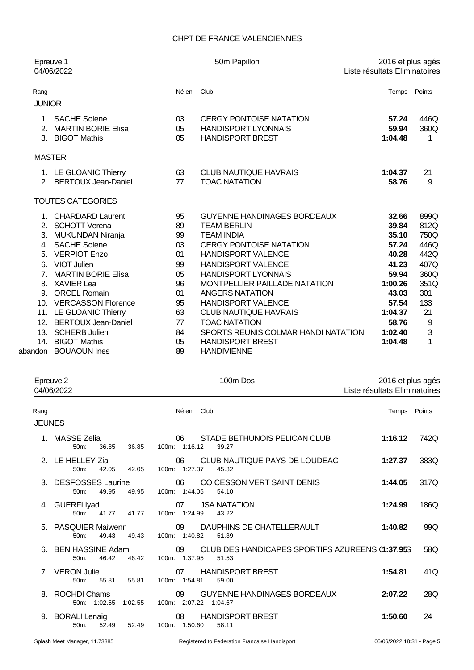### CHPT DE FRANCE VALENCIENNES

| Epreuve 1<br>04/06/2022 |                            |       | 50m Papillon                         | 2016 et plus agés<br>Liste résultats Eliminatoires |        |
|-------------------------|----------------------------|-------|--------------------------------------|----------------------------------------------------|--------|
| Rang                    |                            | Né en | Club                                 | Temps                                              | Points |
| <b>JUNIOR</b>           |                            |       |                                      |                                                    |        |
| 1                       | <b>SACHE Solene</b>        | 03    | <b>CERGY PONTOISE NATATION</b>       | 57.24                                              | 446Q   |
| 2 <sup>1</sup>          | <b>MARTIN BORIE Elisa</b>  | 05    | <b>HANDISPORT LYONNAIS</b>           | 59.94                                              | 360Q   |
|                         | 3. BIGOT Mathis            | 05    | <b>HANDISPORT BREST</b>              | 1:04.48                                            | 1      |
| <b>MASTER</b>           |                            |       |                                      |                                                    |        |
|                         | 1. LE GLOANIC Thierry      | 63    | <b>CLUB NAUTIQUE HAVRAIS</b>         | 1:04.37                                            | 21     |
|                         | 2. BERTOUX Jean-Daniel     | 77    | <b>TOAC NATATION</b>                 | 58.76                                              | 9      |
|                         | <b>TOUTES CATEGORIES</b>   |       |                                      |                                                    |        |
|                         | 1. CHARDARD Laurent        | 95    | <b>GUYENNE HANDINAGES BORDEAUX</b>   | 32.66                                              | 899Q   |
| 2 <sub>1</sub>          | <b>SCHOTT Verena</b>       | 89    | <b>TEAM BERLIN</b>                   | 39.84                                              | 812Q   |
|                         | 3. MUKUNDAN Niranja        | 99    | <b>TEAM INDIA</b>                    | 35.10                                              | 750Q   |
|                         | 4. SACHE Solene            | 03    | <b>CERGY PONTOISE NATATION</b>       | 57.24                                              | 446Q   |
|                         | 5. VERPIOT Enzo            | 01    | <b>HANDISPORT VALENCE</b>            | 40.28                                              | 442Q   |
| 6.                      | <b>VIOT Julien</b>         | 99    | <b>HANDISPORT VALENCE</b>            | 41.23                                              | 407Q   |
| $\overline{7}$          | <b>MARTIN BORIE Elisa</b>  | 05    | <b>HANDISPORT LYONNAIS</b>           | 59.94                                              | 360Q   |
| 8.                      | <b>XAVIER Lea</b>          | 96    | <b>MONTPELLIER PAILLADE NATATION</b> | 1:00.26                                            | 351Q   |
|                         | 9. ORCEL Romain            | 01    | <b>ANGERS NATATION</b>               | 43.03                                              | 301    |
|                         | 10. VERCASSON Florence     | 95    | <b>HANDISPORT VALENCE</b>            | 57.54                                              | 133    |
|                         | 11. LE GLOANIC Thierry     | 63    | <b>CLUB NAUTIQUE HAVRAIS</b>         | 1:04.37                                            | 21     |
| 12.                     | <b>BERTOUX Jean-Daniel</b> | 77    | <b>TOAC NATATION</b>                 | 58.76                                              | 9      |
| 13.                     | <b>SCHERB Julien</b>       | 84    | SPORTS REUNIS COLMAR HANDI NATATION  | 1:02.40                                            | 3      |
| 14.                     | <b>BIGOT Mathis</b>        | 05    | <b>HANDISPORT BREST</b>              | 1:04.48                                            | 1      |
|                         | abandon BOUAOUN Ines       | 89    | <b>HANDIVIENNE</b>                   |                                                    |        |

|                       | Epreuve 2<br>04/06/2022                            | 100m Dos                                                                         | 2016 et plus agés<br>Liste résultats Eliminatoires |        |
|-----------------------|----------------------------------------------------|----------------------------------------------------------------------------------|----------------------------------------------------|--------|
| Rang<br><b>JEUNES</b> |                                                    | Né en Club                                                                       | Temps                                              | Points |
|                       | MASSE Zelia<br>50 <sub>m</sub> :<br>36.85<br>36.85 | STADE BETHUNOIS PELICAN CLUB<br>06<br>100m: 1:16.12<br>39.27                     | 1:16.12                                            | 742Q   |
|                       | 2. LE HELLEY Zia<br>$50m$ :<br>42.05<br>42.05      | CLUB NAUTIQUE PAYS DE LOUDEAC<br>06<br>100m: 1:27.37<br>45.32                    | 1:27.37                                            | 383Q   |
|                       | 3. DESFOSSES Laurine<br>49.95<br>$50m$ :<br>49.95  | CO CESSON VERT SAINT DENIS<br>06<br>100m: 1:44.05<br>54.10                       | 1:44.05                                            | 317Q   |
|                       | 4. GUERFI Iyad<br>41.77<br>$50m$ :<br>41.77        | 07<br><b>JSA NATATION</b><br>100m: 1:24.99<br>43.22                              | 1:24.99                                            | 186Q   |
|                       | 5. PASQUIER Maiwenn<br>$50m$ :<br>49.43<br>49.43   | 09<br>DAUPHINS DE CHATELLERAULT<br>100m: 1:40.82<br>51.39                        | 1:40.82                                            | 99Q    |
|                       | 6. BEN HASSINE Adam<br>46.42<br>46.42<br>$50m$ :   | CLUB DES HANDICAPES SPORTIFS AZUREENS (1:37.953)<br>09<br>100m: 1:37.95<br>51.53 |                                                    | 58Q    |
|                       | 7. VERON Julie<br>$50m$ :<br>55.81<br>55.81        | <b>HANDISPORT BREST</b><br>07<br>100m: 1:54.81<br>59.00                          | 1:54.81                                            | 41Q    |
| 8.                    | <b>ROCHDI Chams</b><br>1:02.55<br>50m: 1:02.55     | 09<br><b>GUYENNE HANDINAGES BORDEAUX</b><br>100m: 2:07.22 1:04.67                | 2:07.22                                            | 28Q    |
| 9.                    | <b>BORALI Lenaig</b><br>52.49<br>50m:<br>52.49     | <b>HANDISPORT BREST</b><br>08<br>100m: 1:50.60<br>58.11                          | 1:50.60                                            | 24     |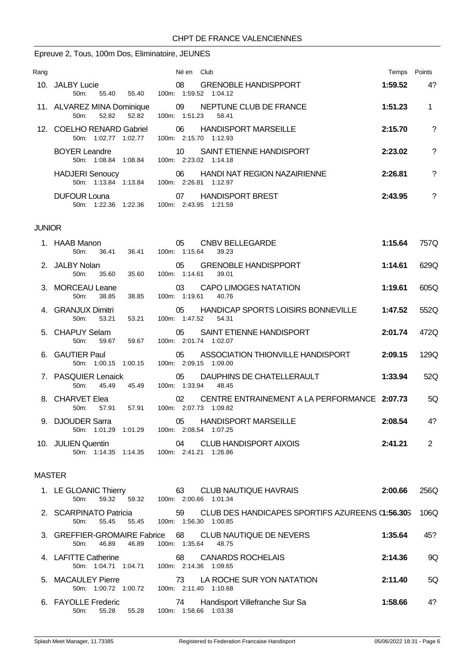# Epreuve 2, Tous, 100m Dos, Eliminatoire, JEUNES

| Rang |                                                         | Né en<br>Club                                                         | Temps   | Points   |
|------|---------------------------------------------------------|-----------------------------------------------------------------------|---------|----------|
|      | 10. JALBY Lucie<br>$50m$ :<br>55.40<br>55.40            | <b>GRENOBLE HANDISPPORT</b><br>08<br>100m: 1:59.52 1:04.12            | 1:59.52 | 4?       |
|      | 11. ALVAREZ MINA Dominique<br>52.82<br>52.82<br>$50m$ : | 09 NEPTUNE CLUB DE FRANCE<br>100m: 1:51.23<br>58.41                   | 1:51.23 |          |
|      | 12. COELHO RENARD Gabriel<br>1:02.77<br>1:02.77<br>50m: | 06<br><b>HANDISPORT MARSEILLE</b><br>100m: 2:15.70 1:12.93            | 2:15.70 | ?        |
|      | <b>BOYER Leandre</b><br>50m: 1:08.84 1:08.84            | SAINT ETIENNE HANDISPORT<br>10<br>100m: 2:23.02 1:14.18               | 2:23.02 | ?        |
|      | <b>HADJERI</b> Senoucy<br>50m 1:13.84 1:13.84           | <b>HANDI NAT REGION NAZAIRIENNE</b><br>06<br>100m: 2:26.81<br>1:12.97 | 2:26.81 | ?        |
|      | <b>DUFOUR Louna</b><br>1:22.36<br>$50m$ :<br>1:22.36    | <b>HANDISPORT BREST</b><br>07<br>100m: 2:43.95<br>1:21.59             | 2:43.95 | $\gamma$ |

### JUNIOR

|               | 1. HAAB Manon<br>$50m$ :             | 36.41                                      |  | 36.41 100m: 1:15.64         | 05 CNBV BELLEGARDE<br>39.23                     | 1:15.64 | 757Q |
|---------------|--------------------------------------|--------------------------------------------|--|-----------------------------|-------------------------------------------------|---------|------|
|               | 2. JALBY Nolan<br>50m:               | 35.60<br>35.60                             |  | 100m: 1:14.61               | 05 GRENOBLE HANDISPPORT<br>39.01                | 1:14.61 | 629Q |
|               | 3. MORCEAU Leane<br>50 <sub>m</sub>  | 38.85<br>38.85                             |  | 100m: 1:19.61               | 03 CAPO LIMOGES NATATION<br>40.76               | 1:19.61 | 605Q |
|               | 4. GRANJUX Dimitri<br>50m: 53.21     |                                            |  | 53.21 100m: 1:47.52 54.31   | 05 HANDICAP SPORTS LOISIRS BONNEVILLE           | 1:47.52 | 552Q |
|               | 5. CHAPUY Selam<br>50 <sub>m</sub> : | 59.67                                      |  | 59.67 100m: 2:01.74 1:02.07 | 05 SAINT ETIENNE HANDISPORT                     | 2:01.74 | 472Q |
|               | 6. GAUTIER Paul                      | 50m: 1:00.15 1:00.15                       |  | 100m: 2:09.15 1:09.00       | 05 ASSOCIATION THIONVILLE HANDISPORT            | 2:09.15 | 129Q |
|               | 7. PASQUIER Lenaick<br>$50m$ :       | 45.49<br>45.49                             |  | 100m: 1:33.94 48.45         | 05 DAUPHINS DE CHATELLERAULT                    | 1:33.94 | 52Q  |
|               | 8. CHARVET Elea<br>$50m$ :           | 57.91 100m: 2:07.73 1:09.82<br>57.91       |  |                             | 02 CENTRE ENTRAINEMENT A LA PERFORMANCE 2:07.73 |         | .5Q  |
|               | 9. DJOUDER Sarra                     | 50m: 1:01.29 1:01.29                       |  | 100m: 2:08.54 1:07.25       | 05 HANDISPORT MARSEILLE                         | 2:08.54 | 4?   |
|               | 10. JULIEN Quentin                   | 50m: 1:14.35 1:14.35 100m: 2:41.21 1:26.86 |  |                             | 04 CLUB HANDISPORT AIXOIS                       | 2:41.21 | 2    |
| <b>MASTER</b> |                                      |                                            |  |                             |                                                 |         |      |

| 1. LE GLOANIC Thierry<br>59.32<br>59.32<br>50m           | <b>CLUB NAUTIQUE HAVRAIS</b><br>63<br>100m: 2:00.66 1:01.34                        | 2:00.66 | 256Q |
|----------------------------------------------------------|------------------------------------------------------------------------------------|---------|------|
| 2. SCARPINATO Patricia<br>55.45<br>$50m$ :<br>55.45      | CLUB DES HANDICAPES SPORTIFS AZUREENS (1:56.305)<br>59<br>100m: 1:56.30<br>1:00.85 |         | 106Q |
| 3. GREFFIER-GROMAIRE Fabrice 68<br>46.89<br>46.89<br>50m | CLUB NAUTIQUE DE NEVERS<br>100m: 1:35.64<br>48.75                                  | 1:35.64 | 45?  |
| 4. LAFITTE Catherine<br>50m: 1:04.71 1:04.71             | <b>CANARDS ROCHELAIS</b><br>68<br>100m: 2:14.36 1:09.65                            | 2:14.36 | 9Q   |
| 5. MACAULEY Pierre<br>50m: 1:00.72<br>1:00.72            | LA ROCHE SUR YON NATATION<br>73.<br>100m: 2:11.40 1:10.68                          | 2:11.40 | 5Q   |
| 6. FAYOLLE Frederic<br>55.28<br>55.28<br>$50m$ :         | Handisport Villefranche Sur Sa<br>74<br>100m: 1:58.66<br>1:03.38                   | 1:58.66 | 4?   |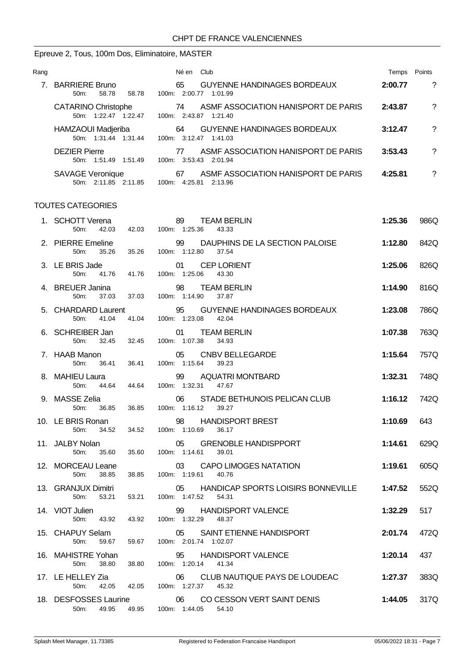# Epreuve 2, Tous, 100m Dos, Eliminatoire, MASTER

| Rang |                                                                | Club<br>Né en                                                      | Temps   | Points |
|------|----------------------------------------------------------------|--------------------------------------------------------------------|---------|--------|
|      | <b>BARRIERE Bruno</b><br>$50m$ :<br>58.78<br>58.78<br>$100m$ : | <b>GUYENNE HANDINAGES BORDEAUX</b><br>65<br>2:00.77<br>1:01.99     | 2:00.77 | ?      |
|      | <b>CATARINO Christophe</b><br>50m: 1:22.47 1:22.47             | ASMF ASSOCIATION HANISPORT DE PARIS<br>74<br>100m: 2:43.87 1:21.40 | 2:43.87 | ?      |
|      | HAMZAOUI Madjeriba<br>50m: 1:31.44 1:31.44                     | <b>GUYENNE HANDINAGES BORDEAUX</b><br>64<br>100m: 3:12.47 1:41.03  | 3:12.47 | ?      |
|      | <b>DEZIER Pierre</b><br>50m: 1:51.49<br>1:51.49<br>100m:       | ASME ASSOCIATION HANISPORT DE PARIS<br>77<br>3:53.43 2:01.94       | 3:53.43 | ?      |
|      | <b>SAVAGE Veronique</b><br>50m: 2:11.85 2:11.85<br>$100m$ :    | ASME ASSOCIATION HANISPORT DE PARIS<br>67<br>2:13.96<br>4:25.81    | 4:25.81 | ?      |

#### TOUTES CATEGORIES

| 1. SCHOTT Verena<br>50m:<br>42.03               |       | 89<br><b>TEAM BERLIN</b><br>42.03 100m: 1:25.36<br>43.33                  | 1:25.36 | 986Q |
|-------------------------------------------------|-------|---------------------------------------------------------------------------|---------|------|
| 2. PIERRE Emeline<br>35.26<br>50 <sub>m</sub> : |       | 99<br>DAUPHINS DE LA SECTION PALOISE<br>35.26 100m: 1:12.80<br>37.54      | 1:12.80 | 842Q |
| 3. LE BRIS Jade<br>50m:                         |       | 01 CEP LORIENT<br>41.76  41.76  100m: 1:25.06  43.30                      | 1:25.06 | 826Q |
| 4. BREUER Janina<br>37.03<br>50m:               | 37.03 | 98 TEAM BERLIN<br>100m: 1:14.90<br>37.87                                  | 1:14.90 | 816Q |
| 5. CHARDARD Laurent<br>50m: 41.04               |       | 95 GUYENNE HANDINAGES BORDEAUX<br>95 GUYENNI<br>41.04 100m: 1:23.08 42.04 | 1:23.08 | 786Q |
| 6. SCHREIBER Jan<br>50m:                        |       | 01 TEAM BERLIN<br>32.45 32.45 100m: 1:07.38 34.93                         | 1:07.38 | 763Q |
| 7. HAAB Manon<br>36.41<br>50m:                  |       | 05 CNBV BELLEGARDE<br>36.41 100m: 1:15.64 39.23                           | 1:15.64 | 757Q |
| 8. MAHIEU Laura<br>50m:<br>44.64                | 44.64 | 99 AQUATRI MONTBARD<br>100m: 1:32.31 47.67                                | 1:32.31 | 748Q |
| 9. MASSE Zelia<br>50m:<br>36.85                 | 36.85 | 06 STADE BETHUNOIS PELICAN CLUB<br>100m: 1:16.12<br>39.27                 | 1:16.12 | 742Q |
| 10. LE BRIS Ronan<br>50m:<br>34.52              | 34.52 | 98 HANDISPORT BREST<br>100m: 1:10.69<br>36.17                             | 1:10.69 | 643  |
| 11. JALBY Nolan<br>50 <sub>m</sub> :<br>35.60   | 35.60 | 05<br><b>GRENOBLE HANDISPPORT</b><br>100m: 1:14.61 39.01                  | 1:14.61 | 629Q |
| 12. MORCEAU Leane<br>50m:<br>38.85              | 38.85 | CAPO LIMOGES NATATION<br>03<br>100m: 1:19.61 40.76                        | 1:19.61 | 605Q |
| 13. GRANJUX Dimitri<br>$50m$ :<br>53.21         | 53.21 | HANDICAP SPORTS LOISIRS BONNEVILLE<br>05<br>100m: 1:47.52 54.31           | 1:47.52 | 552Q |
| 14. VIOT Julien<br>43.92<br>50 <sub>m</sub> :   | 43.92 | 99<br><b>HANDISPORT VALENCE</b><br>100m: 1:32.29 48.37                    | 1:32.29 | 517  |
| 15. CHAPUY Selam<br>50m:<br>59.67               |       | 05 SAINT ETIENNE HANDISPORT<br>59.67 100m: 2:01.74 1:02.07                | 2:01.74 | 472Q |
| 16. MAHISTRE Yohan<br>50m:<br>38.80             | 38.80 | 95 HANDISPORT VALENCE<br>100m: 1:20.14 41.34                              | 1:20.14 | 437  |
| 17. LE HELLEY Zia<br>42.05<br>50m:              | 42.05 | CLUB NAUTIQUE PAYS DE LOUDEAC<br>06<br>100m: 1:27.37 45.32                | 1:27.37 | 383Q |
| 18. DESFOSSES Laurine<br>50m: 49.95             | 49.95 | 06<br>CO CESSON VERT SAINT DENIS<br>100m: 1:44.05 54.10                   | 1:44.05 | 317Q |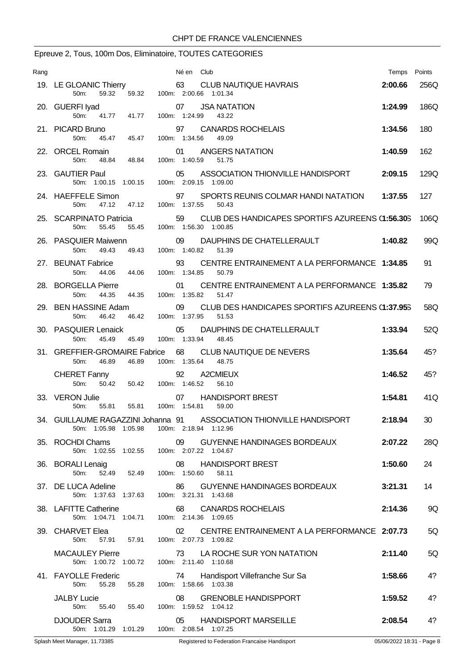# Epreuve 2, Tous, 100m Dos, Eliminatoire, TOUTES CATEGORIES

| Rang | Né en Club                                                                                                                          |                                                  | Points<br>Temps |     |
|------|-------------------------------------------------------------------------------------------------------------------------------------|--------------------------------------------------|-----------------|-----|
|      | 63 CLUB NAUTIQUE HAVRAIS<br>19. LE GLOANIC Thierry<br>100m: 2:00.66 1:01.34<br>50m:<br>59.32<br>59.32                               |                                                  | 2:00.66<br>256Q |     |
|      | 07<br><b>JSA NATATION</b><br>20. GUERFI Iyad<br>50m:<br>41.77 41.77<br>100m: 1:24.99<br>43.22                                       |                                                  | 186Q<br>1:24.99 |     |
|      | 21. PICARD Bruno<br>97<br><b>CANARDS ROCHELAIS</b><br>45.47 45.47<br>50 <sub>m</sub><br>100m: 1:34.56<br>49.09                      |                                                  | 180<br>1:34.56  |     |
|      | 22. ORCEL Romain<br>ANGERS NATATION<br>01<br>50m:<br>48.84<br>48.84<br>100m: 1:40.59<br>51.75                                       |                                                  | 162<br>1:40.59  |     |
|      | 23. GAUTIER Paul<br>ASSOCIATION THIONVILLE HANDISPORT<br>05<br>100m: 2:09.15 1:09.00<br>50m: 1:00.15 1:00.15                        |                                                  | 129Q<br>2:09.15 |     |
|      | 24. HAEFFELE Simon<br>97<br>SPORTS REUNIS COLMAR HANDI NATATION<br>47.12<br>100m: 1:37.55<br>50m:<br>47.12<br>50.43                 |                                                  | 127<br>1:37.55  |     |
|      | 25. SCARPINATO Patricia<br>59 CLUB DES HANDICAPES SPORTIFS AZUREENS (1:56.305<br>100m: 1:56.30 1:00.85<br>55.45<br>55.45<br>$50m$ : |                                                  | 106Q            |     |
|      | 26. PASQUIER Maiwenn<br>09<br>DAUPHINS DE CHATELLERAULT<br>100m: 1:40.82<br>50m:<br>49.43<br>49.43<br>51.39                         |                                                  | 1:40.82         | 99Q |
|      | 27. BEUNAT Fabrice<br>93<br>50m:<br>44.06<br>44.06<br>100m: 1:34.85<br>50.79                                                        | CENTRE ENTRAINEMENT A LA PERFORMANCE 1:34.85     | 91              |     |
|      | 28. BORGELLA Pierre<br>01<br>100m: 1:35.82<br>50m:<br>44.35<br>51.47<br>44.35                                                       | CENTRE ENTRAINEMENT A LA PERFORMANCE 1:35.82     | 79              |     |
|      | 29. BEN HASSINE Adam<br>09<br>46.42<br>100m: 1:37.95<br>50m:<br>46.42<br>51.53                                                      | CLUB DES HANDICAPES SPORTIFS AZUREENS (1:37.953) |                 | 58Q |
|      | 30. PASQUIER Lenaick<br>05<br>DAUPHINS DE CHATELLERAULT<br>100m: 1:33.94<br>50m:<br>45.49<br>45.49<br>48.45                         |                                                  | 1:33.94         | 52Q |
|      | 31. GREFFIER-GROMAIRE Fabrice 68<br>CLUB NAUTIQUE DE NEVERS<br>100m: 1:35.64<br>48.75<br>50m:<br>46.89<br>46.89                     |                                                  | 45?<br>1:35.64  |     |
|      | 92<br>A2CMIEUX<br><b>CHERET Fanny</b><br>50m:<br>50.42<br>50.42<br>100m: 1:46.52<br>56.10                                           |                                                  | 45?<br>1:46.52  |     |
|      | 33. VERON Julie<br><b>HANDISPORT BREST</b><br>07<br>55.81  55.81  100m: 1:54.81<br>50 <sub>m</sub><br>59.00                         |                                                  | 1:54.81         | 41Q |
|      | 34. GUILLAUME RAGAZZINI Johanna 91 ASSOCIATION THIONVILLE HANDISPORT<br>100m: 2:18.94 1:12.96<br>50m: 1:05.98 1:05.98               |                                                  | 2:18.94<br>30   |     |
|      | 35. ROCHDI Chams<br>09 GUYENNE HANDINAGES BORDEAUX<br>50m: 1:02.55 1:02.55 100m: 2:07.22 1:04.67                                    |                                                  | 2:07.22         | 28Q |
|      | 36. BORALI Lenaig 08 HAN<br>50m: 52.49 52.49 100m: 1:50.60<br>08 HANDISPORT BREST<br>58.11                                          |                                                  | 1:50.60<br>24   |     |
|      | 37. DE LUCA Adeline<br>86<br>GUYENNE HANDINAGES BORDEAUX<br>50m: 1:37.63 1:37.63 100m: 3:21.31 1:43.68                              |                                                  | 14<br>3:21.31   |     |
|      | 38. LAFITTE Catherine<br>68 CANARDS ROCHELAIS<br>50m: 1:04.71 1:04.71 100m: 2:14.36 1:09.65                                         |                                                  | 2:14.36         | 9Q  |
|      | 39. CHARVET Elea<br>02 CENTRE ENTRAINEMENT A LA PERFORMANCE 2:07.73<br>57.91  57.91  100m: 2:07.73  1:09.82<br>50m:                 |                                                  |                 | 5Q  |
|      | <b>MACAULEY Pierre</b><br>73 LA ROCHE SUR YON NATATION<br>50m: 1:00.72 1:00.72 100m: 2:11.40 1:10.68                                |                                                  | 2:11.40         | 5Q  |
|      | 41. FAYOLLE Frederic<br>74 Handisport Villefranche Sur Sa<br>100m: 1:58.66 1:03.38<br>55.28<br>55.28<br>50m:                        |                                                  | 1:58.66         | 4?  |
|      | JALBY Lucie<br><b>GRENOBLE HANDISPPORT</b><br>08<br>55.40  55.40  100m: 1:59.52  1:04.12<br>50m:                                    |                                                  | 1:59.52         | 4?  |
|      | <b>DJOUDER Sarra</b><br>05 HANDISPORT MARSEILLE<br>50m: 1:01.29 1:01.29 100m: 2:08.54 1:07.25                                       |                                                  | 2:08.54         | 4?  |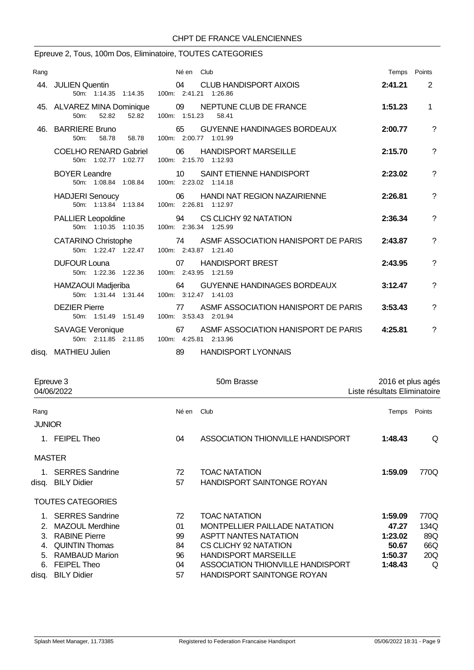## Epreuve 2, Tous, 100m Dos, Eliminatoire, TOUTES CATEGORIES

| Rang |                                                                   | Né en Club                                                           | Temps Points |                |
|------|-------------------------------------------------------------------|----------------------------------------------------------------------|--------------|----------------|
|      | 44. JULIEN Quentin<br>50m: 1:14.35 1:14.35 100m: 2:41.21 1:26.86  | <b>CLUB HANDISPORT AIXOIS</b><br>04                                  | 2:41.21      | $\overline{2}$ |
|      | 45. ALVAREZ MINA Dominique<br>52.82<br>50 <sub>m</sub> :<br>52.82 | 09 NEPTUNE CLUB DE FRANCE<br>100m: 1:51.23<br>58.41                  | 1:51.23      | $\mathbf{1}$   |
| 46.  | <b>BARRIERE Bruno</b><br>58.78<br>$50m$ :<br>58.78                | <b>GUYENNE HANDINAGES BORDEAUX</b><br>65<br>100m: 2:00.77 1:01.99    | 2:00.77      | ?              |
|      | <b>COELHO RENARD Gabriel</b><br>50m: 1:02.77 1:02.77              | 06<br><b>HANDISPORT MARSEILLE</b><br>100m: 2:15.70 1:12.93           | 2:15.70      | ?              |
|      | <b>BOYER Leandre</b><br>50m: 1:08.84 1:08.84                      | 10 <sup>°</sup><br>SAINT ETIENNE HANDISPORT<br>100m: 2:23.02 1:14.18 | 2:23.02      | $\overline{?}$ |
|      | <b>HADJERI</b> Senoucy<br>50m: 1:13.84 1:13.84                    | 06<br><b>HANDI NAT REGION NAZAIRIENNE</b><br>100m: 2:26.81 1:12.97   | 2:26.81      | ?              |
|      | <b>PALLIER Leopoldine</b><br>50m: 1:10.35 1:10.35                 | 94<br>CS CLICHY 92 NATATION<br>100m: 2:36.34 1:25.99                 | 2:36.34      | $\overline{?}$ |
|      | <b>CATARINO Christophe</b><br>50m: 1:22.47 1:22.47                | ASMF ASSOCIATION HANISPORT DE PARIS<br>74<br>100m: 2:43.87 1:21.40   | 2:43.87      | ?              |
|      | <b>DUFOUR Louna</b><br>50m: 1:22.36 1:22.36                       | 07<br><b>HANDISPORT BREST</b><br>100m: 2:43.95 1:21.59               | 2:43.95      | ?              |
|      | HAMZAOUI Madjeriba<br>50m: 1:31.44 1:31.44                        | <b>GUYENNE HANDINAGES BORDEAUX</b><br>64<br>100m: 3:12.47 1:41.03    | 3:12.47      | ?              |
|      | <b>DEZIER Pierre</b><br>50m: 1:51.49 1:51.49                      | ASMF ASSOCIATION HANISPORT DE PARIS<br>77<br>100m: 3:53.43 2:01.94   | 3:53.43      | ?              |
|      | SAVAGE Veronique<br>50m: 2:11.85 2:11.85                          | ASMF ASSOCIATION HANISPORT DE PARIS<br>67<br>100m: 4:25.81 2:13.96   | 4:25.81      | ?              |
|      | disa. MATHIEU Julien                                              | 89<br><b>HANDISPORT LYONNAIS</b>                                     |              |                |

| Epreuve 3<br>04/06/2022 |                          |            | 50m Brasse                        | 2016 et plus agés<br>Liste résultats Eliminatoire |        |
|-------------------------|--------------------------|------------|-----------------------------------|---------------------------------------------------|--------|
| Rang                    |                          | Né en Club |                                   | Temps                                             | Points |
| <b>JUNIOR</b>           |                          |            |                                   |                                                   |        |
|                         | 1. FEIPEL Theo           | 04         | ASSOCIATION THIONVILLE HANDISPORT | 1:48.43                                           | Q      |
| <b>MASTER</b>           |                          |            |                                   |                                                   |        |
|                         | 1. SERRES Sandrine       | 72         | <b>TOAC NATATION</b>              | 1:59.09                                           | 770Q   |
|                         | disq. BILY Didier        | 57         | <b>HANDISPORT SAINTONGE ROYAN</b> |                                                   |        |
|                         | <b>TOUTES CATEGORIES</b> |            |                                   |                                                   |        |
|                         | 1. SERRES Sandrine       | 72         | <b>TOAC NATATION</b>              | 1:59.09                                           | 770Q   |
| $\mathcal{P}$           | MAZOUL Merdhine          | 01         | MONTPELLIER PAILLADE NATATION     | 47.27                                             | 134Q   |
| 3.                      | <b>RABINE Pierre</b>     | 99         | <b>ASPTT NANTES NATATION</b>      | 1:23.02                                           | 89Q    |
| 4.                      | <b>QUINTIN Thomas</b>    | 84         | CS CLICHY 92 NATATION             | 50.67                                             | 66Q    |
| 5.                      | <b>RAMBAUD Marion</b>    | 96         | <b>HANDISPORT MARSEILLE</b>       | 1:50.37                                           | 20Q    |
| 6.                      | <b>FEIPEL Theo</b>       | 04         | ASSOCIATION THIONVILLE HANDISPORT | 1:48.43                                           | Q      |
|                         | disq. BILY Didier        | 57         | <b>HANDISPORT SAINTONGE ROYAN</b> |                                                   |        |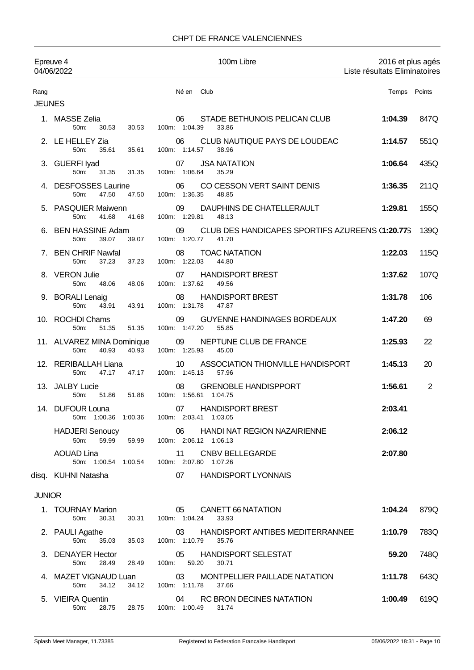### CHPT DE FRANCE VALENCIENNES

|                       | Epreuve 4<br>04/06/2022                                           | 100m Libre                                                                      | 2016 et plus agés<br>Liste résultats Eliminatoires |                |
|-----------------------|-------------------------------------------------------------------|---------------------------------------------------------------------------------|----------------------------------------------------|----------------|
| Rang<br><b>JEUNES</b> |                                                                   | Né en Club                                                                      | Temps Points                                       |                |
|                       | 1. MASSE Zelia<br>50m:<br>30.53<br>30.53                          | STADE BETHUNOIS PELICAN CLUB<br>06<br>100m: 1:04.39<br>33.86                    | 1:04.39                                            | 847Q           |
|                       | 2. LE HELLEY Zia<br>50 <sub>m</sub> :<br>35.61<br>35.61           | CLUB NAUTIQUE PAYS DE LOUDEAC<br>06<br>100m: 1:14.57<br>38.96                   | 1:14.57                                            | 551Q           |
|                       | 3. GUERFI Iyad<br>50m:<br>31.35<br>31.35                          | <b>JSA NATATION</b><br>07<br>100m: 1:06.64<br>35.29                             | 1:06.64                                            | 435Q           |
|                       | 4. DESFOSSES Laurine<br>47.50<br>47.50<br>50m:                    | 06<br>CO CESSON VERT SAINT DENIS<br>100m: 1:36.35<br>48.85                      | 1:36.35                                            | 211Q           |
|                       | 5. PASQUIER Maiwenn<br>50 <sub>m</sub> :<br>41.68<br>41.68        | DAUPHINS DE CHATELLERAULT<br>09<br>100m: 1:29.81<br>48.13                       | 1:29.81                                            | 155Q           |
|                       | 6. BEN HASSINE Adam<br>39.07<br>50 <sub>m</sub> :<br>39.07        | 09<br>CLUB DES HANDICAPES SPORTIFS AZUREENS (1:20.775<br>100m: 1:20.77<br>41.70 |                                                    | 139Q           |
|                       | 7. BEN CHRIF Nawfal<br>37.23<br>50m:<br>37.23                     | 08<br><b>TOAC NATATION</b><br>100m: 1:22.03<br>44.80                            | 1:22.03                                            | 115Q           |
|                       | 8. VERON Julie<br>50m:<br>48.06<br>48.06                          | <b>HANDISPORT BREST</b><br>07<br>100m: 1:37.62<br>49.56                         | 1:37.62                                            | 107Q           |
|                       | 9. BORALI Lenaig<br>50 <sub>m</sub> :<br>43.91<br>43.91           | <b>HANDISPORT BREST</b><br>08<br>100m: 1:31.78<br>47.87                         | 1:31.78                                            | 106            |
|                       | 10. ROCHDI Chams<br>51.35<br>50m:<br>51.35                        | 09<br><b>GUYENNE HANDINAGES BORDEAUX</b><br>100m: 1:47.20<br>55.85              | 1:47.20                                            | 69             |
|                       | 11. ALVAREZ MINA Dominique<br>50 <sub>m</sub> :<br>40.93<br>40.93 | NEPTUNE CLUB DE FRANCE<br>09<br>100m: 1:25.93<br>45.00                          | 1:25.93                                            | 22             |
|                       | 12. RERIBALLAH Liana<br>47.17<br>47.17<br>50m:                    | ASSOCIATION THIONVILLE HANDISPORT<br>10<br>100m: 1:45.13<br>57.96               | 1:45.13                                            | 20             |
|                       | 13. JALBY Lucie<br>$50m$ :<br>51.86<br>51.86                      | <b>GRENOBLE HANDISPPORT</b><br>08<br>100m: 1:56.61 1:04.75                      | 1:56.61                                            | $\overline{2}$ |
|                       | 14. DUFOUR Louna<br>50m: 1:00.36 1:00.36                          | <b>HANDISPORT BREST</b><br>07<br>100m: 2:03.41 1:03.05                          | 2:03.41                                            |                |
|                       | <b>HADJERI Senoucy</b><br>59.99<br>50m:<br>59.99                  | 06<br>HANDI NAT REGION NAZAIRIENNE<br>100m: 2:06.12 1:06.13                     | 2:06.12                                            |                |
|                       | <b>AOUAD Lina</b><br>50m: 1:00.54 1:00.54                         | <b>CNBV BELLEGARDE</b><br>11<br>100m: 2:07.80 1:07.26                           | 2:07.80                                            |                |
|                       | disq. KUHNI Natasha                                               | 07<br><b>HANDISPORT LYONNAIS</b>                                                |                                                    |                |
| <b>JUNIOR</b>         |                                                                   |                                                                                 |                                                    |                |
|                       | 1. TOURNAY Marion<br>50m:<br>30.31<br>30.31                       | <b>CANETT 66 NATATION</b><br>05<br>100m: 1:04.24<br>33.93                       | 1:04.24                                            | 879Q           |
|                       | 2. PAULI Agathe<br>50m:<br>35.03<br>35.03                         | 03<br>HANDISPORT ANTIBES MEDITERRANNEE<br>100m: 1:10.79<br>35.76                | 1:10.79                                            | 783Q           |
|                       | 3. DENAYER Hector<br>50m:<br>28.49<br>28.49                       | <b>HANDISPORT SELESTAT</b><br>05<br>100m: 59.20<br>30.71                        | 59.20                                              | 748Q           |
|                       | 4. MAZET VIGNAUD Luan<br>34.12<br>34.12<br>50m:                   | MONTPELLIER PAILLADE NATATION<br>03<br>100m: 1:11.78<br>37.66                   | 1:11.78                                            | 643Q           |
|                       | 5. VIEIRA Quentin<br>50m:<br>28.75<br>28.75                       | RC BRON DECINES NATATION<br>04<br>100m: 1:00.49 31.74                           | 1:00.49                                            | 619Q           |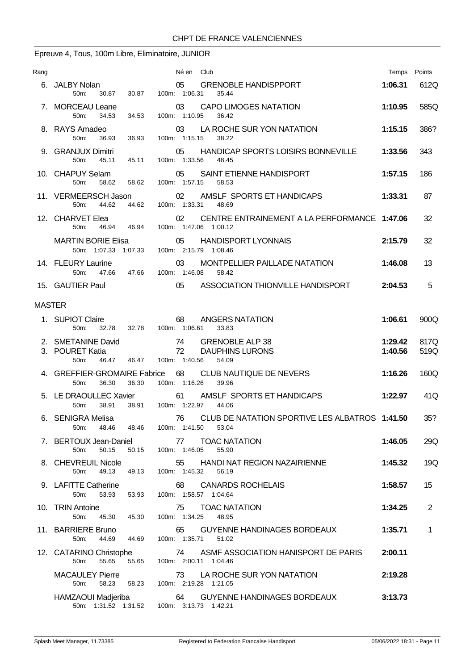# Epreuve 4, Tous, 100m Libre, Eliminatoire, JUNIOR

| Rang          |                                                                                  | Né en Club                                                                  | Temps              | Points       |
|---------------|----------------------------------------------------------------------------------|-----------------------------------------------------------------------------|--------------------|--------------|
|               | 6. JALBY Nolan<br>50 <sub>m</sub> :<br>30.87<br>30.87                            | 05<br><b>GRENOBLE HANDISPPORT</b><br>100m: 1:06.31<br>35.44                 | 1:06.31            | 612Q         |
|               | 7. MORCEAU Leane<br>100m: 1:10.95<br>34.53<br>50m:<br>34.53                      | 03<br><b>CAPO LIMOGES NATATION</b><br>36.42                                 | 1:10.95            | 585Q         |
|               | 8. RAYS Amadeo<br>50 <sub>m</sub> :<br>36.93<br>36.93                            | LA ROCHE SUR YON NATATION<br>03<br>100m: 1:15.15<br>38.22                   | 1:15.15            | 386?         |
|               | 9. GRANJUX Dimitri<br>100m: 1:33.56<br>50 <sub>m</sub> :<br>45.11<br>45.11       | HANDICAP SPORTS LOISIRS BONNEVILLE<br>05<br>48.45                           | 1:33.56            | 343          |
|               | 10. CHAPUY Selam<br>05<br>100m: 1:57.15<br>58.62 58.62<br>50 <sub>m</sub>        | SAINT ETIENNE HANDISPORT<br>58.53                                           | 1:57.15            | 186          |
|               | 44.62<br>44.62<br>50 <sub>m</sub> :                                              | 11. VERMEERSCH Jason 02 AMSLF SPORTS ET HANDICAPS<br>100m: 1:33.31 48.69    | 1:33.31            | 87           |
|               | 12. CHARVET Elea<br>50m: 46.94 46.94                                             | 02<br>CENTRE ENTRAINEMENT A LA PERFORMANCE 1:47.06<br>100m: 1:47.06 1:00.12 |                    | 32           |
|               | MARTIN BORIE Elisa<br>50m: 1:07.33 1:07.33 100m: 2:15.79 1:08.46                 | 05<br><b>HANDISPORT LYONNAIS</b>                                            | 2:15.79            | 32           |
|               | 14. FLEURY Laurine<br>100m: 1:46.08<br>50 <sub>m</sub><br>47.66<br>47.66         | 03<br>MONTPELLIER PAILLADE NATATION<br>58.42                                | 1:46.08            | 13           |
|               | 15. GAUTIER Paul<br>05                                                           | ASSOCIATION THIONVILLE HANDISPORT                                           | 2:04.53            | 5            |
| <b>MASTER</b> |                                                                                  |                                                                             |                    |              |
|               | 1. SUPIOT Claire<br>68<br>32.78<br>32.78<br>100m: 1:06.61<br>50m:                | ANGERS NATATION<br>33.83                                                    | 1:06.61            | 900Q         |
|               | 2. SMETANINE David<br>3. POURET Katia<br>100m: 1:40.56<br>50m:<br>46.47<br>46.47 | 74 GRENOBLE ALP 38<br>72<br><b>DAUPHINS LURONS</b><br>54.09                 | 1:29.42<br>1:40.56 | 817Q<br>519Q |
|               | 4. GREFFIER-GROMAIRE Fabrice<br>36.30<br>36.30<br>50m:                           | 68<br>CLUB NAUTIQUE DE NEVERS<br>100m: 1:16.26<br>39.96                     | 1:16.26            | 160Q         |
|               | 38.91<br>100m: 1:22.97<br>38.91<br>50m:                                          | 5. LE DRAOULLEC Xavier 61 AMSLF SPORTS ET HANDICAPS<br>44.06                | 1:22.97            | 41Q          |
|               | 6. SENIGRA Melisa<br>50 <sub>m</sub> :<br>48.46<br>100m: 1:41.50<br>48.46        | 76 CLUB DE NATATION SPORTIVE LES ALBATROS 1:41.50<br>53.04                  |                    | 35?          |
|               | 7. BERTOUX Jean-Daniel<br>50.15<br>50.15<br>100m: 1:46.05<br>50m:                | <b>TOAC NATATION</b><br>77<br>55.90                                         | 1:46.05            | 29Q          |
|               | 8. CHEVREUIL Nicole<br>55<br>100m: 1:45.32<br>50m:<br>49.13<br>49.13             | HANDI NAT REGION NAZAIRIENNE<br>56.19                                       | 1:45.32            | 19Q          |
|               | 9. LAFITTE Catherine<br>68<br>50m:<br>53.93<br>53.93                             | <b>CANARDS ROCHELAIS</b><br>100m: 1:58.57 1:04.64                           | 1:58.57            | 15           |
|               | 10. TRIN Antoine<br>75<br>50m:<br>100m: 1:34.25<br>45.30<br>45.30                | <b>TOAC NATATION</b><br>48.95                                               | 1:34.25            | 2            |
|               | 11. BARRIERE Bruno<br>65<br>100m: 1:35.71<br>50m:<br>44.69<br>44.69              | GUYENNE HANDINAGES BORDEAUX<br>51.02                                        | 1:35.71            | $\mathbf 1$  |
|               | 12. CATARINO Christophe<br>55.65<br>50m:<br>55.65                                | 74 ASME ASSOCIATION HANISPORT DE PARIS<br>100m: 2:00.11 1:04.46             | 2:00.11            |              |
|               | <b>MACAULEY Pierre</b><br>50m:<br>58.23<br>58.23                                 | 73 LA ROCHE SUR YON NATATION<br>100m: 2:19.28 1:21.05                       | 2:19.28            |              |
|               | HAMZAOUI Madjeriba<br>50m: 1:31.52 1:31.52 100m: 3:13.73 1:42.21                 | 64<br>GUYENNE HANDINAGES BORDEAUX                                           | 3:13.73            |              |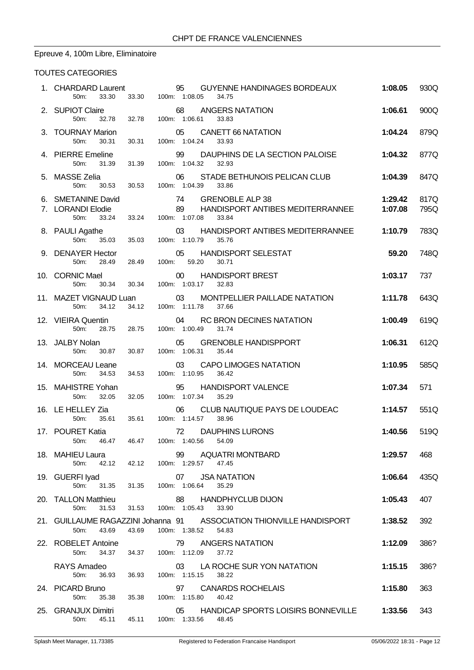# Epreuve 4, 100m Libre, Eliminatoire

### TOUTES CATEGORIES

| 2. SUPIOT Claire<br>50m:                  |                                                                                                                                                                                                                                                                           |                                                                                                     |                                                                                                                                                                                                             |                                                                                                                                                         |
|-------------------------------------------|---------------------------------------------------------------------------------------------------------------------------------------------------------------------------------------------------------------------------------------------------------------------------|-----------------------------------------------------------------------------------------------------|-------------------------------------------------------------------------------------------------------------------------------------------------------------------------------------------------------------|---------------------------------------------------------------------------------------------------------------------------------------------------------|
|                                           |                                                                                                                                                                                                                                                                           | 68 ANGERS NATATION<br>32.78  32.78  100m: 1:06.61<br>33.83                                          | 1:06.61                                                                                                                                                                                                     | 900Q                                                                                                                                                    |
| 3. TOURNAY Marion<br>50m:<br>30.31        | 30.31                                                                                                                                                                                                                                                                     | 05 CANETT 66 NATATION<br>100m: 1:04.24<br>33.93                                                     | 1:04.24                                                                                                                                                                                                     | 879Q                                                                                                                                                    |
| 50m:<br>31.39                             | 31.39                                                                                                                                                                                                                                                                     | 99 DAUPHINS DE LA SECTION PALOISE<br>100m: 1:04.32<br>32.93                                         | 1:04.32                                                                                                                                                                                                     | 877Q                                                                                                                                                    |
|                                           |                                                                                                                                                                                                                                                                           | 06 STADE BETHUNOIS PELICAN CLUB<br>100m: 1:04.39<br>33.86                                           | 1:04.39                                                                                                                                                                                                     | 847Q                                                                                                                                                    |
| 50m:<br>33.24                             |                                                                                                                                                                                                                                                                           | 100m: 1:07.08<br>33.84                                                                              | 1:29.42<br>1:07.08                                                                                                                                                                                          | 817Q<br>795Q                                                                                                                                            |
| 50m:                                      | 35.03                                                                                                                                                                                                                                                                     | 03<br>100m: 1:10.79<br>35.76                                                                        |                                                                                                                                                                                                             | 783Q                                                                                                                                                    |
| 50m:                                      |                                                                                                                                                                                                                                                                           | 05 HANDISPORT SELESTAT<br>100m: 59.20<br>30.71                                                      | 59.20                                                                                                                                                                                                       | 748Q                                                                                                                                                    |
| 30.34<br>50m:                             |                                                                                                                                                                                                                                                                           | 00 HANDISPORT BREST<br>100m: 1:03.17<br>32.83                                                       | 1:03.17                                                                                                                                                                                                     | 737                                                                                                                                                     |
| 50m:<br>34.12                             |                                                                                                                                                                                                                                                                           | 03<br>MONTPELLIER PAILLADE NATATION<br>100m: 1:11.78<br>37.66                                       | 1:11.78                                                                                                                                                                                                     | 643Q                                                                                                                                                    |
| 50m:                                      |                                                                                                                                                                                                                                                                           | 04 RC BRON DECINES NATATION<br>100m: 1:00.49 31.74                                                  | 1:00.49                                                                                                                                                                                                     | 619Q                                                                                                                                                    |
| 50m:<br>30.87                             |                                                                                                                                                                                                                                                                           | 05 GRENOBLE HANDISPPORT<br>100m: 1:06.31<br>35.44                                                   | 1:06.31                                                                                                                                                                                                     | 612Q                                                                                                                                                    |
| 50m:<br>34.53                             | 34.53                                                                                                                                                                                                                                                                     | <b>CAPO LIMOGES NATATION</b><br>03<br>100m: 1:10.95<br>36.42                                        | 1:10.95                                                                                                                                                                                                     | 585Q                                                                                                                                                    |
| 32.05<br>50m:                             | 32.05                                                                                                                                                                                                                                                                     | 95<br><b>HANDISPORT VALENCE</b><br>100m: 1:07.34 35.29                                              | 1:07.34                                                                                                                                                                                                     | 571                                                                                                                                                     |
| 50m:<br>35.61                             |                                                                                                                                                                                                                                                                           | CLUB NAUTIQUE PAYS DE LOUDEAC<br>06<br>100m: 1:14.57<br>38.96                                       | 1:14.57                                                                                                                                                                                                     | 551Q                                                                                                                                                    |
| 46.47<br>$50m$ :                          |                                                                                                                                                                                                                                                                           | 72 DAUPHINS LURONS<br>54.09                                                                         | 1:40.56                                                                                                                                                                                                     | 519Q                                                                                                                                                    |
| 50m:                                      |                                                                                                                                                                                                                                                                           | 99<br>AQUATRI MONTBARD<br>100m: 1:29.57<br>47.45                                                    | 1:29.57                                                                                                                                                                                                     | 468                                                                                                                                                     |
| 50m:                                      |                                                                                                                                                                                                                                                                           | <b>JSA NATATION</b><br>07<br>35.29                                                                  | 1:06.64                                                                                                                                                                                                     | 435Q                                                                                                                                                    |
| 50 <sub>m</sub> :<br>31.53                |                                                                                                                                                                                                                                                                           | 88<br><b>HANDPHYCLUB DIJON</b><br>100m: 1:05.43<br>33.90                                            | 1:05.43                                                                                                                                                                                                     | 407                                                                                                                                                     |
| 50m:<br>43.69                             | 43.69                                                                                                                                                                                                                                                                     | 100m: 1:38.52<br>54.83                                                                              | 1:38.52                                                                                                                                                                                                     | 392                                                                                                                                                     |
| 50m:                                      |                                                                                                                                                                                                                                                                           | 79<br>ANGERS NATATION<br>37.72                                                                      | 1:12.09                                                                                                                                                                                                     | 386?                                                                                                                                                    |
|                                           |                                                                                                                                                                                                                                                                           | LA ROCHE SUR YON NATATION<br>03                                                                     | 1:15.15                                                                                                                                                                                                     | 386?                                                                                                                                                    |
| RAYS Amadeo<br>50 <sub>m</sub> :<br>36.93 | 36.93                                                                                                                                                                                                                                                                     | 100m: 1:15.15<br>38.22                                                                              |                                                                                                                                                                                                             |                                                                                                                                                         |
| 24. PICARD Bruno<br>50m:<br>35.38         | 35.38                                                                                                                                                                                                                                                                     | 97<br><b>CANARDS ROCHELAIS</b><br>100m: 1:15.80<br>40.42                                            | 1:15.80                                                                                                                                                                                                     | 363                                                                                                                                                     |
|                                           | 4. PIERRE Emeline<br>6. SMETANINE David<br>8. PAULI Agathe<br>10. CORNIC Mael<br>13. JALBY Nolan<br>14. MORCEAU Leane<br>15. MAHISTRE Yohan<br>16. LE HELLEY Zia<br>17. POURET Katia<br>18. MAHIEU Laura<br>19. GUERFI Iyad<br>20. TALLON Matthieu<br>22. ROBELET Antoine | 5. MASSE Zelia<br>35.03<br>9. DENAYER Hector<br>28.49 28.49<br>30.34<br>12. VIEIRA Quentin<br>30.87 | 50m: 30.53 30.53<br>74 GRENOBLE ALP 38<br>7. LORANDI Elodie<br>33.24<br>11. MAZET VIGNAUD Luan<br>34.12<br>28.75 28.75<br>35.61<br>46.47 100m: 1:40.56<br>42.12 42.12<br>31.35 31.35 100m: 1:06.64<br>31.53 | 89 HANDISPORT ANTIBES MEDITERRANNEE<br>HANDISPORT ANTIBES MEDITERRANNEE 1:10.79<br>21. GUILLAUME RAGAZZINI Johanna 91 ASSOCIATION THIONVILLE HANDISPORT |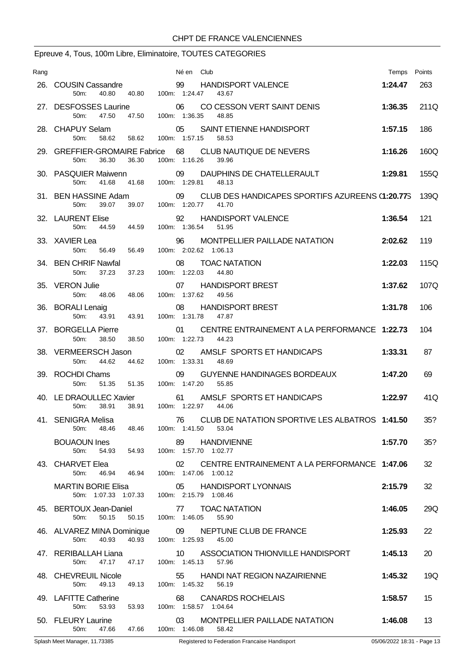# Epreuve 4, Tous, 100m Libre, Eliminatoire, TOUTES CATEGORIES

| Rang |                                                                         | Né en Club                                                                                                            | Temps Points |      |
|------|-------------------------------------------------------------------------|-----------------------------------------------------------------------------------------------------------------------|--------------|------|
|      | 26. COUSIN Cassandre<br>40.80<br>50m:<br>40.80                          | 99 HANDISPORT VALENCE<br>100m: 1:24.47<br>43.67                                                                       | 1:24.47      | 263  |
|      | 27. DESFOSSES Laurine<br>47.50<br>50m:<br>47.50                         | 06<br>CO CESSON VERT SAINT DENIS<br>100m: 1:36.35<br>48.85                                                            | 1:36.35      | 211Q |
|      | 28. CHAPUY Selam<br>50 <sub>m</sub><br>58.62                            | 05 SAINT ETIENNE HANDISPORT<br>58.62 100m: 1:57.15 58.53                                                              | 1:57.15      | 186  |
|      | 29. GREFFIER-GROMAIRE Fabrice 68<br>36.30<br>36.30<br>50m:              | <b>CLUB NAUTIQUE DE NEVERS</b><br>100m: 1:16.26<br>39.96                                                              | 1:16.26      | 160Q |
|      | 30. PASQUIER Maiwenn<br>50m:<br>41.68                                   | 09<br>DAUPHINS DE CHATELLERAULT<br>41.68  100m: 1:29.81<br>48.13                                                      | 1:29.81      | 155Q |
|      |                                                                         | 31. BEN HASSINE Adam 09 CLUB DES HANDICAPES SPORTIFS AZUREENS (1:20.775 139Q)<br>50m: 39.07 39.07 100m: 1:20.77 41.70 |              |      |
|      | 32. LAURENT Elise<br>50m:<br>44.59<br>44.59                             | 92<br><b>HANDISPORT VALENCE</b><br>100m: 1:36.54<br>51.95                                                             | 1:36.54      | 121  |
|      | 33. XAVIER Lea<br>50 <sub>m</sub> :<br>56.49 56.49                      | 96<br>MONTPELLIER PAILLADE NATATION<br>100m: 2:02.62 1:06.13                                                          | 2:02.62      | 119  |
|      | 37.23<br>37.23<br>50m:                                                  | 34. BEN CHRIF Nawfal <b>68 COAC NATATION</b><br>100m: 1:22.03 44.80                                                   | 1:22.03      | 115Q |
|      | 35. VERON Julie<br>50m:<br>48.06 48.06                                  | 07 HANDISPORT BREST<br>100m: 1:37.62<br>49.56                                                                         | 1:37.62      | 107Q |
|      | 36. BORALI Lenaig<br>43.91 43.91<br>50 <sub>m</sub>                     | 08<br><b>HANDISPORT BREST</b><br>100m: 1:31.78<br>47.87                                                               | 1:31.78      | 106  |
|      | 38.50<br>50m:<br>38.50                                                  | 37. BORGELLA Pierre 01 CENTRE ENTRAINEMENT A LA PERFORMANCE 1:22.73<br>100m: 1:22.73 44.23                            |              | 104  |
|      | 38. VERMEERSCH Jason<br>50m: 44.62<br>44.62                             | 02 AMSLF SPORTS ET HANDICAPS<br>100m: 1:33.31<br>48.69                                                                | 1:33.31      | 87   |
|      | 39. ROCHDI Chams<br>51.35 51.35<br>50m:                                 | 09<br><b>GUYENNE HANDINAGES BORDEAUX</b><br>100m: 1:47.20<br>55.85                                                    | 1:47.20      | 69   |
|      | 38.91<br>38.91<br>50m:                                                  | 40. LE DRAOULLEC Xavier 61 AMSLF SPORTS ET HANDICAPS<br>100m: 1:22.97 44.06                                           | 1:22.97      | 41Q  |
|      | 41. SENIGRA Melisa<br>50m:<br>48.46<br>48.46                            | 76 CLUB DE NATATION SPORTIVE LES ALBATROS 1:41.50<br>100m: 1:41.50 53.04                                              |              | 35?  |
|      | <b>BOUAOUN Ines</b><br>50m:<br>54.93 54.93                              | 89 HANDIVIENNE<br>100m: 1:57.70 1:02.77                                                                               | 1:57.70      | 35?  |
|      | 43. CHARVET Elea<br>50m:<br>46.94 46.94                                 | CENTRE ENTRAINEMENT A LA PERFORMANCE 1:47.06<br>02<br>100m: 1:47.06 1:00.12                                           |              | 32   |
|      | <b>MARTIN BORIE Elisa</b><br>50m: 1:07.33 1:07.33 100m: 2:15.79 1:08.46 | 05 HANDISPORT LYONNAIS                                                                                                | 2:15.79      | 32   |
|      | 50m:<br>50.15<br>50.15                                                  | 45. BERTOUX Jean-Daniel 77 TOAC NATATION<br>100m: 1:46.05<br>55.90                                                    | 1:46.05      | 29Q  |
|      | 46. ALVAREZ MINA Dominique<br>40.93<br>40.93<br>50m:                    | 09<br>NEPTUNE CLUB DE FRANCE<br>100m: 1:25.93<br>45.00                                                                | 1:25.93      | 22   |
|      | 47. RERIBALLAH Liana<br>50m:                                            | 10 ASSOCIATION THIONVILLE HANDISPORT<br>47.17 47.17 100m: 1:45.13 57.96                                               | 1:45.13      | 20   |
|      | 48. CHEVREUIL Nicole<br>50m:<br>49.13<br>49.13                          | 55 HANDI NAT REGION NAZAIRIENNE<br>100m: 1:45.32<br>56.19                                                             | 1:45.32      | 19Q  |
|      | 49. LAFITTE Catherine<br>50m:<br>53.93<br>53.93                         | <b>CANARDS ROCHELAIS</b><br>68<br>100m: 1:58.57 1:04.64                                                               | 1:58.57      | 15   |
|      | 50. FLEURY Laurine<br>50m:                                              | 03<br>MONTPELLIER PAILLADE NATATION<br>47.66  47.66  100m: 1:46.08  58.42                                             | 1:46.08      | 13   |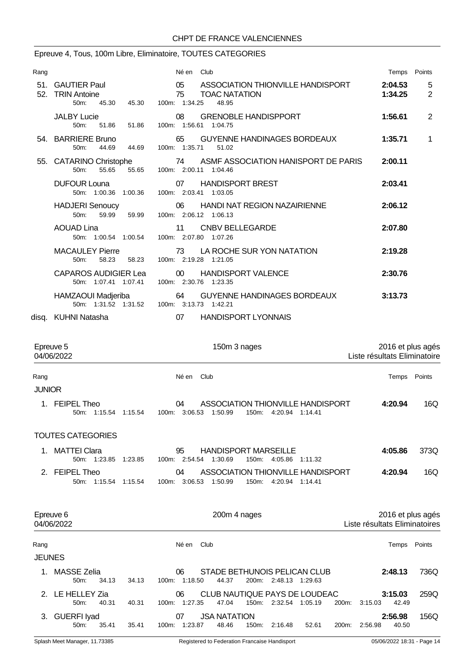### Epreuve 4, Tous, 100m Libre, Eliminatoire, TOUTES CATEGORIES

| Rang |                                                                      | Né en Club                                                                                      | Temps Points                                      |
|------|----------------------------------------------------------------------|-------------------------------------------------------------------------------------------------|---------------------------------------------------|
| 52.  | 51. GAUTIER Paul<br><b>TRIN Antoine</b><br>$50m$ :<br>45.30<br>45.30 | 05<br>ASSOCIATION THIONVILLE HANDISPORT<br>75<br><b>TOAC NATATION</b><br>100m: 1:34.25<br>48.95 | 2:04.53<br>5<br>2<br>1:34.25                      |
|      | <b>JALBY Lucie</b><br>50m:<br>51.86<br>51.86                         | <b>GRENOBLE HANDISPPORT</b><br>08<br>100m: 1:56.61 1:04.75                                      | 1:56.61<br>2                                      |
|      | 54. BARRIERE Bruno<br>50m:<br>44.69<br>44.69                         | <b>GUYENNE HANDINAGES BORDEAUX</b><br>65<br>100m: 1:35.71<br>51.02                              | 1:35.71<br>1                                      |
|      | 55. CATARINO Christophe<br>50m:<br>55.65<br>55.65                    | ASMF ASSOCIATION HANISPORT DE PARIS<br>74<br>100m: 2:00.11 1:04.46                              | 2:00.11                                           |
|      | <b>DUFOUR Louna</b><br>50m: 1:00.36 1:00.36                          | <b>HANDISPORT BREST</b><br>07<br>100m: 2:03.41 1:03.05                                          | 2:03.41                                           |
|      | <b>HADJERI Senoucy</b><br>$50m$ :<br>59.99<br>59.99                  | 06<br><b>HANDI NAT REGION NAZAIRIENNE</b><br>100m: 2:06.12 1:06.13                              | 2:06.12                                           |
|      | <b>AOUAD Lina</b><br>50m: 1:00.54 1:00.54                            | 11<br><b>CNBV BELLEGARDE</b><br>100m: 2:07.80 1:07.26                                           | 2:07.80                                           |
|      | <b>MACAULEY Pierre</b><br>58.23<br>50m:<br>58.23                     | LA ROCHE SUR YON NATATION<br>73<br>100m: 2:19.28 1:21.05                                        | 2:19.28                                           |
|      | <b>CAPAROS AUDIGIER Lea</b><br>50m: 1:07.41 1:07.41                  | <b>HANDISPORT VALENCE</b><br>00 <sup>1</sup><br>100m: 2:30.76 1:23.35                           | 2:30.76                                           |
|      | HAMZAOUI Madjeriba                                                   | <b>GUYENNE HANDINAGES BORDEAUX</b><br>64<br>50m: 1:31.52 1:31.52 100m: 3:13.73 1:42.21          | 3:13.73                                           |
|      | disq. KUHNI Natasha                                                  | 07<br><b>HANDISPORT LYONNAIS</b>                                                                |                                                   |
|      | Epreuve 5<br>04/06/2022                                              | 150m 3 nages                                                                                    | 2016 et plus agés<br>Liste résultats Eliminatoire |
| Rang |                                                                      | Club<br>Né en                                                                                   | Temps<br>Points                                   |

JUNIOR

1. FEIPEL Theo 04 ASSOCIATION THIONVILLE HANDISPORT **4:20.94** 16Q 50m: 1:15.54 1:15.54 100m: 3:06.53 1:50.99

#### TOUTES CATEGORIES

| 1. MATTEI Clara      | <b>HANDISPORT MARSEILLE</b><br>95              | 4:05.86 | 373Q |
|----------------------|------------------------------------------------|---------|------|
| 50m: 1:23.85 1:23.85 | 100m: 2:54.54 1:30.69<br>150m: 4:05.86 1:11.32 |         |      |
| 2. FEIPEL Theo       | ASSOCIATION THIONVILLE HANDISPORT              | 4:20.94 | 16Q  |
| 50m: 1:15.54 1:15.54 | 100m. 3:06.53 1:50.99<br>150m: 4:20.94 1:14.41 |         |      |

|               | Epreuve 6<br>04/06/2022                          |                   |               | 200m 4 nages                 |       |                 |                                          |                    | 2016 et plus agés<br>Liste résultats Eliminatoires |                  |        |  |
|---------------|--------------------------------------------------|-------------------|---------------|------------------------------|-------|-----------------|------------------------------------------|--------------------|----------------------------------------------------|------------------|--------|--|
| Rang          |                                                  |                   | Club<br>Né en |                              |       |                 |                                          |                    |                                                    | Temps            | Points |  |
| <b>JEUNES</b> |                                                  |                   |               |                              |       |                 |                                          |                    |                                                    |                  |        |  |
|               | <b>MASSE Zelia</b><br>34.13<br>50 <sub>m</sub> : | 34.13<br>100m:    | 06<br>1:18.50 | 44.37                        | 200m: | 2:48.13 1:29.63 | STADE BETHUNOIS PELICAN CLUB             |                    |                                                    | 2:48.13          | 736Q   |  |
|               | 2. LE HELLEY Zia<br>$50m$ :<br>40.31             | 40.31<br>100m:    | 06<br>1:27.35 | 47.04                        | 150m: | 2:32.54         | CLUB NAUTIQUE PAYS DE LOUDEAC<br>1:05.19 | 200m:              | 3:15.03                                            | 3:15.03<br>42.49 | 259Q   |  |
| 3.            | <b>GUERFI Iyad</b><br>35.41<br>$50m$ :           | 35.41<br>$100m$ : | 07<br>1:23.87 | <b>JSA NATATION</b><br>48.46 | 150m: | 2:16.48         | 52.61                                    | 200 <sub>m</sub> : | 2:56.98                                            | 2:56.98<br>40.50 | 156Q   |  |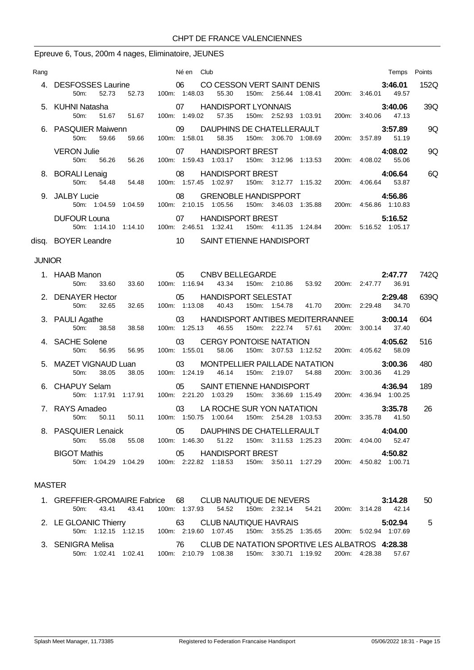#### Epreuve 6, Tous, 200m 4 nages, Eliminatoire, JEUNES

| Rang          |                                                           | Né en Club                                                                                               | Temps Points                      |      |
|---------------|-----------------------------------------------------------|----------------------------------------------------------------------------------------------------------|-----------------------------------|------|
|               | 4. DESFOSSES Laurine 06<br>52.73<br>50 <sub>m</sub>       | CO CESSON VERT SAINT DENIS<br>150m: 2:56.44 1:08.41<br>52.73 100m: 1:48.03<br>55.30                      | 3:46.01<br>200m: 3:46.01 49.57    | 152Q |
|               | 5. KUHNI Natasha<br>$50m$ :<br>51.67<br>51.67             | 07<br><b>HANDISPORT LYONNAIS</b><br>100m: 1:49.02<br>57.35<br>150m: 2:52.93 1:03.91                      | 3:40.06<br>200m: 3:40.06 47.13    | 39Q  |
|               | 6. PASQUIER Maiwenn<br>59.66<br>59.66<br>50m:             | DAUPHINS DE CHATELLERAULT<br>$\sim$ 09<br>100m: 1:58.01<br>58.35<br>150m: 3:06.70 1:08.69                | 3:57.89<br>200m: 3:57.89 51.19    | 9Q   |
|               | <b>VERON Julie</b><br>56.26<br>50 <sub>m</sub> :<br>56.26 | <b>HANDISPORT BREST</b><br>07<br>100m: 1:59.43 1:03.17<br>150m: 3:12.96 1:13.53                          | 4:08.02<br>200m: 4:08.02 55.06    | 9Q   |
|               | 8. BORALI Lenaig<br>50m: 54.48 54.48                      | 08<br><b>HANDISPORT BREST</b><br>100m: 1:57.45 1:02.97 150m: 3:12.77 1:15.32                             | 4:06.64<br>200m: 4:06.64 53.87    | 6Q   |
|               | 9. JALBY Lucie                                            | 08<br><b>GRENOBLE HANDISPPORT</b><br>150m: 3:46.03 1:35.88<br>50m: 1:04.59 1:04.59 100m: 2:10.15 1:05.56 | 4:56.86<br>200m: 4:56.86 1:10.83  |      |
|               | <b>DUFOUR Louna</b>                                       | <b>HANDISPORT BREST</b><br>07<br>50m: 1:14.10  1:14.10  100m: 2:46.51  1:32.41<br>150m: 4:11.35 1:24.84  | 5:16.52<br>200m: 5:16.52 1:05.17  |      |
|               | disq. BOYER Leandre                                       | $\sim$ 10<br>SAINT ETIENNE HANDISPORT                                                                    |                                   |      |
| <b>JUNIOR</b> |                                                           |                                                                                                          |                                   |      |
|               | 1. HAAB Manon<br>33.60<br>50 <sub>m</sub> :<br>33.60      | CNBV BELLEGARDE<br>05<br>100m: 1:16.94<br>150m: 2:10.86 53.92<br>43.34                                   | 2:47.77<br>200m: 2:47.77<br>36.91 | 742Q |
|               | 2. DENAYER Hector<br>32.65<br>50m:<br>32.65               | HANDISPORT SELESTAT<br>05<br>100m: 1:13.08<br>150m: 1:54.78<br>41.70<br>40.43                            | 2:29.48<br>200m: 2:29.48<br>34.70 | 639Q |
|               | 3. PAULI Agathe<br>$50m$ :<br>38.58<br>38.58              | HANDISPORT ANTIBES MEDITERRANNEE<br>03<br>100m: 1:25.13<br>150m: 2:22.74<br>46.55<br>57.61               | 3:00.14<br>200m: 3:00.14<br>37.40 | 604  |
|               | 4. SACHE Solene<br>56.95<br>50 <sub>m</sub><br>56.95      | <b>CERGY PONTOISE NATATION</b><br>03<br>100m: 1:55.01<br>58.06<br>150m: 3:07.53 1:12.52                  | 4:05.62<br>200m: 4:05.62<br>58.09 | 516  |
|               | 5. MAZET VIGNAUD Luan                                     | $\sim$ 03<br>MONTPELLIER PAILLADE NATATION                                                               | 3:00.36                           | 480  |

| 6. CHAPUY Selam |                     |  | SAINT ETIENNE HANDISPORT |                       |  |  |  |                       |  |                       | 4:36.94 |  |  |
|-----------------|---------------------|--|--------------------------|-----------------------|--|--|--|-----------------------|--|-----------------------|---------|--|--|
|                 | 50m 1:17.91 1:17.91 |  |                          | 100m: 2:21.20 1:03.29 |  |  |  | 150m: 3:36.69 1:15.49 |  | 200m: 4:36.94 1:00.25 |         |  |  |

|                |       | 50m: 1:17.91 1:17.91 | 100m: 2:21.20 1:03.29 |                                             |  |  |                     |         |    |
|----------------|-------|----------------------|-----------------------|---------------------------------------------|--|--|---------------------|---------|----|
| 7. RAYS Amadeo |       |                      |                       | 03 LA ROCHE SUR YON NATATION                |  |  |                     | 3:35.78 | 26 |
| 50m:           | 50.11 | 50.11                |                       | 100m: 1.50.75 1.00.64 150m: 2.54.28 1.03.53 |  |  | 200m: 3:35.78 41.50 |         |    |
|                |       |                      |                       |                                             |  |  |                     | 4:04.00 |    |
| 50m:           | 55.08 | 55.08                |                       | 100m: 1:46.30 51.22 150m: 3:11.53 1:25.23   |  |  | 200m: 4:04.00 52.47 |         |    |
|                |       |                      |                       |                                             |  |  |                     |         |    |

## BIGOT Mathis 05 HANDISPORT BREST **4:50.82** 50m: 1:04.29 1:04.29 100m: 2:22.82 1:18.53 150m: 3:50.11 1:27.29 200m: 4:50.82 1:00.71

50m: 38.05 38.05 100m: 1:24.19 46.14 150m: 2:19.07 54.88 200m: 3:00.36 41.29

### MASTER

| 1. GREFFIER-GROMAIRE Fabrice 68 CLUB NAUTIQUE DE NEVERS                                |       |                                            |                                                                 |  |  |                     | 3:14.28 | 50 |
|----------------------------------------------------------------------------------------|-------|--------------------------------------------|-----------------------------------------------------------------|--|--|---------------------|---------|----|
| 43.41<br>50m:                                                                          | 43.41 | 100m: 1:37.93  54.52  150m: 2:32.14  54.21 |                                                                 |  |  | 200m: 3:14.28 42.14 |         |    |
| 2. LE GLOANIC Thierry                                                                  |       | 63 CLUB NAUTIQUE HAVRAIS                   |                                                                 |  |  |                     | 5:02.94 | -5 |
| 50m: 1:12.15 1:12.15 100m: 2:19.60 1:07.45 150m: 3:55.25 1:35.65 200m: 5:02.94 1:07.69 |       |                                            |                                                                 |  |  |                     |         |    |
| 3. SENIGRA Melisa                                                                      |       |                                            | 76 CLUB DE NATATION SPORTIVE LES ALBATROS 4:28.38               |  |  |                     |         |    |
| 50m: 1:02.41 1:02.41                                                                   |       |                                            | 100m: 2:10.79 1:08.38 150m: 3:30.71 1:19.92 200m: 4:28.38 57.67 |  |  |                     |         |    |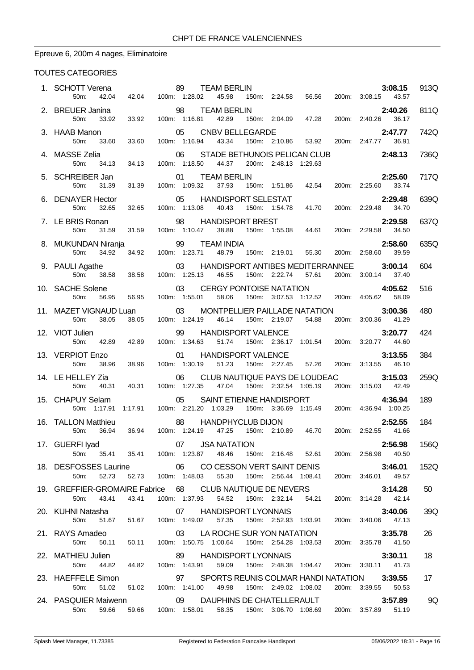# Epreuve 6, 200m 4 nages, Eliminatoire

### TOUTES CATEGORIES

| 1. SCHOTT Verena<br>42.04<br>50m:                                                                                                                             | 89 TEAM BERLIN<br>42.04 100m: 1:28.02 45.98 15                                                                  |               |    |                                         |                       | 150m: 2:24.58  56.56  200m: 3:08.15  43.57                                                      |                     | 3:08.15 | 913Q |
|---------------------------------------------------------------------------------------------------------------------------------------------------------------|-----------------------------------------------------------------------------------------------------------------|---------------|----|-----------------------------------------|-----------------------|-------------------------------------------------------------------------------------------------|---------------------|---------|------|
| 2. BREUER Janina                                                                                                                                              |                                                                                                                 |               |    |                                         |                       |                                                                                                 |                     | 2:40.26 | 811Q |
| 50m:                                                                                                                                                          |                                                                                                                 |               |    |                                         |                       |                                                                                                 |                     |         |      |
| 3. HAAB Manon<br>33.60<br>50m:                                                                                                                                | 33.60                                                                                                           |               |    |                                         |                       | 05 CNBV BELLEGARDE<br>100m: 1:16.94  43.34  150m: 2:10.86  53.92  200m: 2:47.77  36.91          |                     | 2:47.77 | 742Q |
| 4. MASSE Zelia<br>50m:<br>34.13                                                                                                                               | 34.13                                                                                                           | 100m: 1:18.50 | 06 | 44.37                                   | 200m: 2:48.13 1:29.63 | STADE BETHUNOIS PELICAN CLUB                                                                    | 2:48.13             |         | 736Q |
| 5. SCHREIBER Jan<br>50m:<br>31.39                                                                                                                             | 01 TEA<br>31.39 100m: 1:09.32                                                                                   |               |    | 01 TEAM BERLIN                          |                       | <b>2:25.60</b><br>37.93   150m: 1:51.86   42.54   200m: 2:25.60   37.93   150m: 1:51.86   42.54 |                     | 2:25.60 | 717Q |
| 6. DENAYER Hector<br>32.65<br>50m:                                                                                                                            | 32.65                                                                                                           |               |    | 100m: 1:13.08  40.43  150m: 1:54.78     |                       | 05 HANDISPORT SELESTAT<br>41.70                                                                 | 200m: 2:29.48 34.70 | 2:29.48 | 639Q |
| 7. LE BRIS Ronan                                                                                                                                              |                                                                                                                 |               | 98 | <b>HANDISPORT BREST</b>                 |                       | 2:29.58<br>150m: 1:55.08 44.61 200m: 2:29.58 34.50                                              |                     |         | 637Q |
| 50m:<br>31.59                                                                                                                                                 | 31.59 100m: 1:10.47                                                                                             |               |    | 38.88                                   |                       |                                                                                                 |                     |         | 635Q |
|                                                                                                                                                               |                                                                                                                 |               |    |                                         |                       |                                                                                                 |                     |         |      |
| 9. PAULI Agathe<br>38.58<br>50m:                                                                                                                              | 38.58                                                                                                           |               |    | 100m: 1:25.13 46.55 150m: 2:22.74 57.61 |                       | 03 HANDISPORT ANTIBES MEDITERRANNEE 3:00.14                                                     | 200m: 3:00.14 37.40 |         | 604  |
| 10. SACHE Solene<br>50m:<br>56.95                                                                                                                             | 56.95  100m: 1:55.01  58.06                                                                                     |               | 03 |                                         |                       | CERGY PONTOISE NATATION 4:05.62<br>55.01 58.06 150m: 3:07.53 1:12.52 200m: 4:05.62 58.09        |                     |         | 516  |
| <b>11. MAZET VIGNAUD Luan</b> 03 MONTPELLIER PAILLADE NATATION <b>3:00.36</b><br>50m: 38.05 38.05 100m: 1:24.19 46.14 150m: 2:19.07 54.88 200m: 3:00.36 41.29 |                                                                                                                 |               |    |                                         |                       |                                                                                                 | 200m: 3:00.36 41.29 |         | 480  |
| 12. VIOT Julien<br>50m:<br>42.89                                                                                                                              | 42.89                                                                                                           | 100m: 1:34.63 |    | 99 HANDISPORT VALENCE                   |                       | 51.74  150m: 2:36.17  1:01.54  200m: 3:20.77  44.60                                             |                     | 3:20.77 | 424  |
| 13. VERPIOT Enzo<br>50m:<br>38.96                                                                                                                             | 38.96                                                                                                           | 100m: 1:30.19 | 01 | HANDISPORT VALENCE<br>51.23             |                       | 150m: 2:27.45 57.26 200m: 3:13.55 46.10                                                         |                     | 3:13.55 | 384  |
| 14. LE HELLEY Zia                                                                                                                                             | 06 CLUB NAUTIQUE PAYS DE LOUDEAC 3:15.03<br>40.31 100m: 1:27.35 47.04 150m: 2:32.54 1:05.19 200m: 3:15.03 42.49 |               |    |                                         |                       |                                                                                                 |                     |         | 259Q |
| 50m: 40.31<br>15. CHAPUY Selam                                                                                                                                |                                                                                                                 |               | 05 |                                         |                       | SAINT ETIENNE HANDISPORT                                                                        |                     | 4:36.94 | 189  |
| 50m: 1:17.91                                                                                                                                                  | 1:17.91  100m: 2:21.20  1:03.29  150m: 3:36.69  1:15.49  200m: 4:36.94  1:00.25                                 |               |    |                                         |                       |                                                                                                 |                     |         |      |
| 16. TALLON Matthieu<br>50m:<br>36.94                                                                                                                          | 88 HANDPHYCLUB DIJON 2:52.55<br>36.94 100m: 1:24.19 47.25 150m: 2:10.89 46.70 200m: 2:52.55 41.66               |               |    |                                         |                       |                                                                                                 |                     | 2:52.55 | 184  |
| 17. GUERFI Iyad 07 JSA NATATION<br>50m: 35.41 35.41 100m: 1:23.87 48.46 150m: 2:16.48 52.61 200m: 2:56.98 40.50                                               |                                                                                                                 |               |    |                                         |                       |                                                                                                 |                     | 2:56.98 | 156Q |
| 18. DESFOSSES Laurine 66 CO CESSON VERT SAINT DENIS 3:46.01<br>50m: 52.73                                                                                     | 52.73  100m: 1:48.03  55.30  150m: 2:56.44  1:08.41  200m: 3:46.01  49.57                                       |               |    |                                         |                       |                                                                                                 |                     |         | 152Q |
| 19. GREFFIER-GROMAIRE Fabrice 68 CLUB NAUTIQUE DE NEVERS 3:14.28<br>50m: 43.41 43.41 100m: 1:37.93 54.52 150m: 2:32.14 54.21 200m: 3:14.28 42.14              |                                                                                                                 |               |    |                                         |                       |                                                                                                 |                     |         | 50   |
|                                                                                                                                                               |                                                                                                                 |               |    |                                         |                       |                                                                                                 | 200m: 3:14.28 42.14 |         |      |
|                                                                                                                                                               |                                                                                                                 |               |    |                                         |                       |                                                                                                 |                     |         | 39Q  |
| 21. RAYS Amadeo <b>3:35.78</b><br>50.11 50.11 100m: 1:50.75 1:00.64 150m: 2:54.28 1:03.53 200m: 3:35.78 41.50                                                 |                                                                                                                 |               |    |                                         |                       |                                                                                                 |                     |         | 26   |
| 22. MATHIEU Julien 69 HANDISPORT LYONNAIS<br>50m:                                                                                                             | 44.82  44.82  100m: 1:43.91  59.09  150m: 2:48.38  1:04.47  200m: 3:30.11  41.73                                |               |    |                                         |                       |                                                                                                 |                     | 3:30.11 | 18   |
| 23. HAEFFELE Simon<br>50m:                                                                                                                                    | 51.02 51.02 100m: 1:41.00 49.98 150m: 2:49.02 1:08.02 200m: 3:39.55 50.53                                       |               |    |                                         |                       | 97 SPORTS REUNIS COLMAR HANDI NATATION 3:39.55                                                  |                     |         | 17   |
| 24. PASQUIER Maiwenn <b>69 DAUPHINS DE CHATELLERAULT</b>                                                                                                      |                                                                                                                 |               |    |                                         |                       |                                                                                                 |                     | 3:57.89 | 9Q   |
| 50m: 59.66 59.66 100m: 1:58.01 58.35 150m: 3:06.70 1:08.69 200m: 3:57.89 51.19                                                                                |                                                                                                                 |               |    |                                         |                       |                                                                                                 |                     |         |      |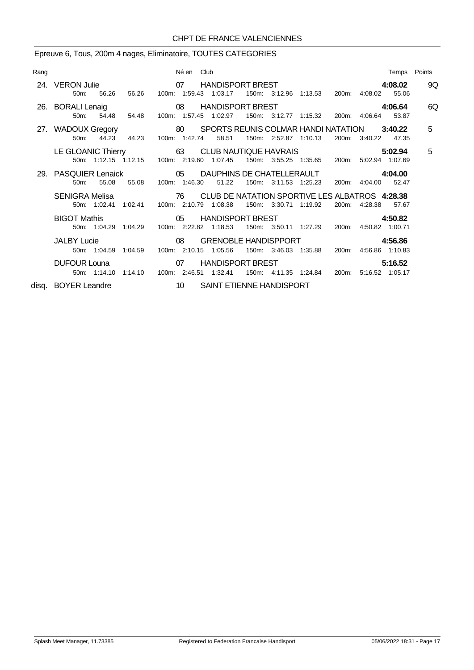# Epreuve 6, Tous, 200m 4 nages, Eliminatoire, TOUTES CATEGORIES

| Rang |                                                                                  | Né en Club | Temps Points                                                                                                                                       |    |
|------|----------------------------------------------------------------------------------|------------|----------------------------------------------------------------------------------------------------------------------------------------------------|----|
|      | $50m$ :<br>56.26                                                                 |            | 24. VERON Julie <b>1988 COVERTS OF THANDISPORT BREST</b><br>4:08.02<br>56.26  100m: 1:59.43  1:03.17  150m: 3:12.96  1:13.53  200m: 4:08.02  55.06 | 9Q |
|      | 26. BORALI Lenaig 08<br>50m: 54.48 54.48                                         |            | HANDISPORT BREST FOR THE STATE STATES TO A STATE STATES.<br>4:06.64<br>100m: 1:57.45 1:02.97<br>150m: 3:12.77 1:15.32<br>200m: 4:06.64 53.87       | 6Q |
|      | 44.23 44.23<br>$50m$ :                                                           |            | 27. WADOUX Gregory 80 SPORTS REUNIS COLMAR HANDI NATATION 3:40.22<br>100m: 1:42.74 58.51<br>150m: 2:52.87 1:10.13<br>200m: 3:40.22<br>47.35        | 5  |
|      |                                                                                  |            | LE GLOANIC Thierry 63 CLUB NAUTIQUE HAVRAIS<br>5:02.94<br>50m: 1:12.15 1:12.15 100m: 2:19.60 1:07.45 150m: 3:55.25 1:35.65 200m: 5:02.94 1:07.69   | 5  |
|      | 55.08<br>$50m$ :                                                                 |            | 29. PASQUIER Lenaick  (05 DAUPHINS DE CHATELLERAULT A:04.00<br>55.08 100m: 1:46.30 51.22<br>150m: 3:11.53 1:25.23<br>200m: 4:04.00 52.47           |    |
|      | <b>SENIGRA Melisa</b><br>50m: 1:02.41 1:02.41 100m: 2:10.79 1:08.38              |            | 76 CLUB DE NATATION SPORTIVE LES ALBATROS 4:28.38<br>150m: 3:30.71 1:19.92<br>200m: 4:28.38<br>57.67                                               |    |
|      | <b>BIGOT Mathis</b>                                                              |            | 05 HANDISPORT BREST<br>4:50.82<br>50m: 1:04.29 1:04.29 100m: 2:22.82 1:18.53 150m: 3:50.11 1:27.29 200m: 4:50.82 1:00.71                           |    |
|      | $\sim$ 08<br><b>JALBY Lucie</b><br>50m: 1:04.59  1:04.59  100m: 2:10.15  1:05.56 |            | <b>GRENOBLE HANDISPPORT</b><br>4:56.86<br>150m: 3:46.03 1:35.88<br>200m: 4:56.86 1:10.83                                                           |    |
|      | 50m: 1:14.10  1:14.10  100m: 2:46.51  1:32.41                                    |            | DUFOUR Louna <b>DUFOUR Louna OT</b> HANDISPORT BREST<br>5:16.52<br>150m: 4:11.35 1:24.84<br>200m: 5:16.52 1:05.17                                  |    |
|      | disg. BOYER Leandre                                                              |            | 10 SAINT ETIENNE HANDISPORT                                                                                                                        |    |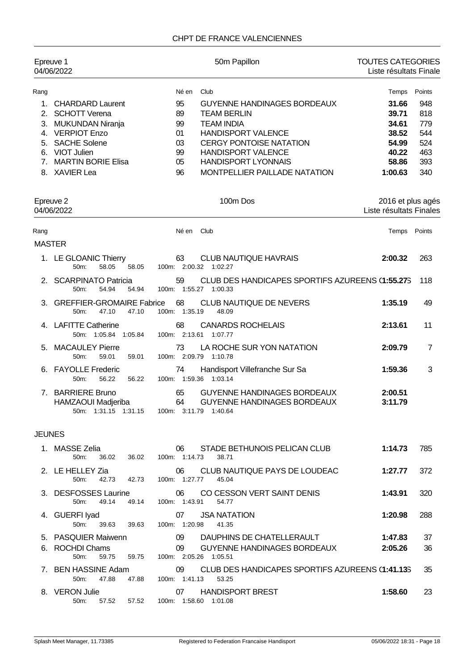### CHPT DE FRANCE VALENCIENNES

| Epreuve 1                                        | 04/06/2022                                                                                                                                                      | 50m Papillon                                                                                                                                                                                                                                      | <b>TOUTES CATEGORIES</b><br>Liste résultats Finale          |                                               |
|--------------------------------------------------|-----------------------------------------------------------------------------------------------------------------------------------------------------------------|---------------------------------------------------------------------------------------------------------------------------------------------------------------------------------------------------------------------------------------------------|-------------------------------------------------------------|-----------------------------------------------|
| Rang                                             |                                                                                                                                                                 | Né en<br>Club                                                                                                                                                                                                                                     | Temps                                                       | Points                                        |
| 1.<br>3.<br>5.<br>$7_{\scriptscriptstyle{\sim}}$ | <b>CHARDARD Laurent</b><br>2. SCHOTT Verena<br><b>MUKUNDAN Niranja</b><br>4. VERPIOT Enzo<br><b>SACHE Solene</b><br>6. VIOT Julien<br><b>MARTIN BORIE Elisa</b> | 95<br><b>GUYENNE HANDINAGES BORDEAUX</b><br>89<br><b>TEAM BERLIN</b><br>99<br><b>TEAM INDIA</b><br><b>HANDISPORT VALENCE</b><br>01<br><b>CERGY PONTOISE NATATION</b><br>03<br><b>HANDISPORT VALENCE</b><br>99<br><b>HANDISPORT LYONNAIS</b><br>05 | 31.66<br>39.71<br>34.61<br>38.52<br>54.99<br>40.22<br>58.86 | 948<br>818<br>779<br>544<br>524<br>463<br>393 |
|                                                  | 8. XAVIER Lea                                                                                                                                                   | MONTPELLIER PAILLADE NATATION<br>96                                                                                                                                                                                                               | 1:00.63                                                     | 340                                           |
|                                                  | Epreuve 2<br>04/06/2022                                                                                                                                         | 100m Dos                                                                                                                                                                                                                                          | 2016 et plus agés<br>Liste résultats Finales                |                                               |
| Rang                                             |                                                                                                                                                                 | Club<br>Né en                                                                                                                                                                                                                                     | Temps                                                       | Points                                        |
| <b>MASTER</b>                                    |                                                                                                                                                                 |                                                                                                                                                                                                                                                   |                                                             |                                               |
|                                                  | 1. LE GLOANIC Thierry<br>50m:<br>58.05<br>58.05                                                                                                                 | 63<br><b>CLUB NAUTIQUE HAVRAIS</b><br>100m: 2:00.32 1:02.27                                                                                                                                                                                       | 2:00.32                                                     | 263                                           |
| 2.                                               | <b>SCARPINATO Patricia</b><br>50m:<br>54.94<br>54.94                                                                                                            | CLUB DES HANDICAPES SPORTIFS AZUREENS (1:55.27S)<br>59<br>100m: 1:55.27 1:00.33                                                                                                                                                                   |                                                             | 118                                           |
| 3.                                               | <b>GREFFIER-GROMAIRE Fabrice</b><br>50m:<br>47.10<br>47.10                                                                                                      | 68<br>CLUB NAUTIQUE DE NEVERS<br>100m: 1:35.19<br>48.09                                                                                                                                                                                           | 1:35.19                                                     | 49                                            |
|                                                  | 4. LAFITTE Catherine<br>50m: 1:05.84 1:05.84                                                                                                                    | <b>CANARDS ROCHELAIS</b><br>68<br>100m: 2:13.61<br>1:07.77                                                                                                                                                                                        | 2:13.61                                                     | 11                                            |
| 5.                                               | <b>MACAULEY Pierre</b><br>50m:<br>59.01<br>59.01                                                                                                                | LA ROCHE SUR YON NATATION<br>73<br>100m: 2:09.79<br>1:10.78                                                                                                                                                                                       | 2:09.79                                                     | 7                                             |
| 6.                                               | <b>FAYOLLE Frederic</b><br>50m:<br>56.22<br>56.22                                                                                                               | Handisport Villefranche Sur Sa<br>74<br>100m: 1:59.36 1:03.14                                                                                                                                                                                     | 1:59.36                                                     | 3                                             |
|                                                  | 7. BARRIERE Bruno<br>HAMZAOUI Madjeriba<br>50m: 1:31.15 1:31.15                                                                                                 | 65<br><b>GUYENNE HANDINAGES BORDEAUX</b><br>64<br><b>GUYENNE HANDINAGES BORDEAUX</b><br>100m: 3:11.79                                                                                                                                             | 2:00.51<br>3:11.79                                          |                                               |
| <b>JEUNES</b>                                    |                                                                                                                                                                 |                                                                                                                                                                                                                                                   |                                                             |                                               |
|                                                  | 1. MASSE Zelia<br>36.02<br>50m:<br>36.02                                                                                                                        | STADE BETHUNOIS PELICAN CLUB<br>06<br>100m: 1:14.73<br>38.71                                                                                                                                                                                      | 1:14.73                                                     | 785                                           |
|                                                  | 2. LE HELLEY Zia<br>50m:<br>42.73<br>42.73                                                                                                                      | CLUB NAUTIQUE PAYS DE LOUDEAC<br>06<br>100m: 1:27.77<br>45.04                                                                                                                                                                                     | 1:27.77                                                     | 372                                           |
|                                                  | 3. DESFOSSES Laurine<br>50 <sub>m</sub><br>49.14<br>49.14                                                                                                       | CO CESSON VERT SAINT DENIS<br>06<br>100m: 1:43.91<br>54.77                                                                                                                                                                                        | 1:43.91                                                     | 320                                           |
|                                                  | 4. GUERFI Iyad<br>50m:<br>39.63<br>39.63                                                                                                                        | 07<br><b>JSA NATATION</b><br>100m: 1:20.98<br>41.35                                                                                                                                                                                               | 1:20.98                                                     | 288                                           |
|                                                  | 5. PASQUIER Maiwenn                                                                                                                                             | 09 DAUPHINS DE CHATELLERAULT                                                                                                                                                                                                                      | 1:47.83                                                     | 37                                            |
|                                                  | 6. ROCHDI Chams<br>59.75<br>50m:<br>59.75                                                                                                                       | 09<br>GUYENNE HANDINAGES BORDEAUX<br>100m: 2:05.26 1:05.51                                                                                                                                                                                        | 2:05.26                                                     | 36                                            |
|                                                  | 7. BEN HASSINE Adam<br>47.88<br>47.88<br>$50m$ :                                                                                                                | CLUB DES HANDICAPES SPORTIFS AZUREENS (1:41.135<br>09<br>100m: 1:41.13<br>53.25                                                                                                                                                                   |                                                             | 35                                            |
|                                                  | 8. VERON Julie<br>50m:<br>57.52<br>57.52                                                                                                                        | <b>HANDISPORT BREST</b><br>07<br>100m: 1:58.60 1:01.08                                                                                                                                                                                            | 1:58.60                                                     | 23                                            |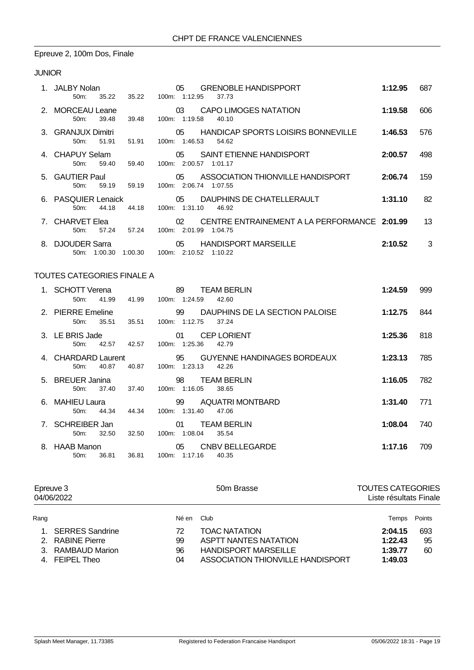# Epreuve 2, 100m Dos, Finale

### JUNIOR

|    | 1. JALBY Nolan<br>35.22<br>$50m$ :           | 35.22   | 05<br><b>GRENOBLE HANDISPPORT</b><br>100m: 1:12.95<br>37.73                 | 1:12.95 | 687 |
|----|----------------------------------------------|---------|-----------------------------------------------------------------------------|---------|-----|
|    | 2. MORCEAU Leane<br>50 <sub>m</sub><br>39.48 | 39.48   | CAPO LIMOGES NATATION<br>03<br>100m: 1:19.58<br>40.10                       | 1:19.58 | 606 |
|    | 3. GRANJUX Dimitri<br>51.91<br>50m:          | 51.91   | HANDICAP SPORTS LOISIRS BONNEVILLE<br>05<br>100m: 1:46.53 54.62             | 1:46.53 | 576 |
|    | 4. CHAPUY Selam<br>59.40<br>$50m$ :          | 59.40   | SAINT ETIENNE HANDISPORT<br>05<br>100m: 2:00.57 1:01.17                     | 2:00.57 | 498 |
|    | 5. GAUTIER Paul<br>50m:<br>59.19             | 59.19   | 05<br>ASSOCIATION THIONVILLE HANDISPORT<br>100m: 2:06.74 1:07.55            | 2:06.74 | 159 |
|    | 6. PASQUIER Lenaick<br>44.18<br>$50m$ :      | 44.18   | 05 DAUPHINS DE CHATELLERAULT<br>100m: 1:31.10<br>46.92                      | 1:31.10 | 82  |
|    | 7. CHARVET Elea<br>57.24<br>$50m$ :          | 57.24   | CENTRE ENTRAINEMENT A LA PERFORMANCE 2:01.99<br>02<br>100m: 2:01.99 1:04.75 |         | 13  |
| 8. | <b>DJOUDER Sarra</b><br>50m:<br>1:00.30      | 1:00.30 | 05<br><b>HANDISPORT MARSEILLE</b><br>100m: 2:10.52 1:10.22                  | 2:10.52 | 3   |

## TOUTES CATEGORIES FINALE A

| 1. SCHOTT Verena<br>41.99<br>50m        | 41.99 | 89<br><b>TEAM BERLIN</b><br>100m: 1:24.59<br>42.60          | 1:24.59 | 999 |
|-----------------------------------------|-------|-------------------------------------------------------------|---------|-----|
| 2. PIERRE Emeline<br>35.51<br>$50m$ :   | 35.51 | 99 DAUPHINS DE LA SECTION PALOISE<br>100m: 1:12.75<br>37.24 | 1:12.75 | 844 |
| 3. LE BRIS Jade<br>42.57<br>$50m$ :     | 42.57 | <b>CEP LORIENT</b><br>01<br>100m: 1:25.36<br>42.79          | 1:25.36 | 818 |
| 4. CHARDARD Laurent<br>40.87<br>$50m$ : | 40.87 | 100m: 1:23.13<br>42.26                                      | 1:23.13 | 785 |
| 5. BREUER Janina<br>37.40<br>$50m$ :    | 37.40 | 98<br><b>TEAM BERLIN</b><br>100m: 1:16.05<br>38.65          | 1:16.05 | 782 |
| 6. MAHIEU Laura<br>44.34<br>50m:        | 44.34 | AQUATRI MONTBARD<br>99<br>100m: 1:31.40<br>47.06            | 1:31.40 | 771 |
| 7. SCHREIBER Jan<br>32.50<br>50m        | 32.50 | <b>TEAM BERLIN</b><br>01<br>100m: 1:08.04<br>35.54          | 1:08.04 | 740 |
| 8. HAAB Manon<br>$50m$ :<br>36.81       | 36.81 | 05<br>CNBV BELLEGARDE<br>100m: 1:17.16<br>40.35             | 1:17.16 | 709 |

| Epreuve 3<br>04/06/2022 |                    |       | 50m Brasse                        | <b>TOUTES CATEGORIES</b><br>Liste résultats Finale |        |
|-------------------------|--------------------|-------|-----------------------------------|----------------------------------------------------|--------|
| Rang                    |                    | Né en | Club                              | Temps                                              | Points |
|                         | 1. SERRES Sandrine | 72    | <b>TOAC NATATION</b>              | 2:04.15                                            | 693    |
|                         | 2. RABINE Pierre   | 99    | <b>ASPTT NANTES NATATION</b>      | 1:22.43                                            | 95     |
|                         | 3. RAMBAUD Marion  | 96    | <b>HANDISPORT MARSEILLE</b>       | 1:39.77                                            | 60     |
|                         | 4. FEIPEL Theo     | 04    | ASSOCIATION THIONVILLE HANDISPORT | 1:49.03                                            |        |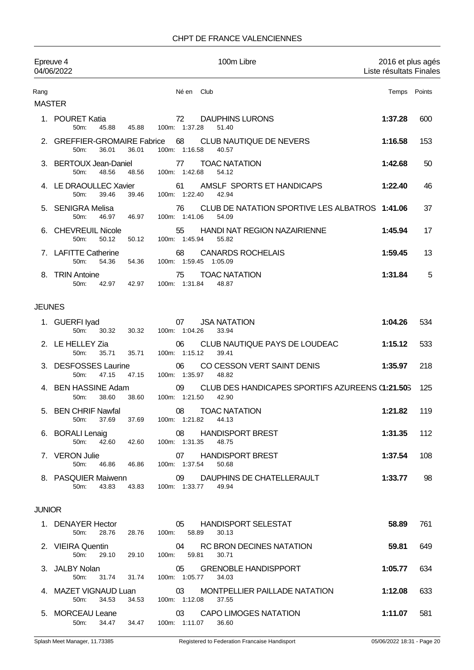### CHPT DE FRANCE VALENCIENNES

|                       | Epreuve 4<br>04/06/2022                                  |                                               |                             | 100m Libre                                                | 2016 et plus agés<br>Liste résultats Finales |        |
|-----------------------|----------------------------------------------------------|-----------------------------------------------|-----------------------------|-----------------------------------------------------------|----------------------------------------------|--------|
| Rang<br><b>MASTER</b> |                                                          |                                               | Né en Club                  |                                                           | Temps                                        | Points |
|                       | 1. POURET Katia<br>50 <sub>m</sub> :<br>45.88            | 45.88                                         | 72<br>100m: 1:37.28         | <b>DAUPHINS LURONS</b><br>51.40                           | 1:37.28                                      | 600    |
|                       | 2. GREFFIER-GROMAIRE Fabrice<br>50m:<br>36.01            | 36.01                                         | 68<br>100m: 1:16.58         | CLUB NAUTIQUE DE NEVERS<br>40.57                          | 1:16.58                                      | 153    |
|                       | 3. BERTOUX Jean-Daniel<br>50m:<br>48.56                  | 48.56                                         | 77<br>100m: 1:42.68         | <b>TOAC NATATION</b><br>54.12                             | 1:42.68                                      | 50     |
|                       | 4. LE DRAOULLEC Xavier<br>50m:<br>39.46                  | 39.46                                         | 61<br>100m: 1:22.40         | AMSLF SPORTS ET HANDICAPS<br>42.94                        | 1:22.40                                      | 46     |
|                       | 5. SENIGRA Melisa<br>50m:<br>46.97                       | 46.97                                         | 76<br>100m: 1:41.06         | CLUB DE NATATION SPORTIVE LES ALBATROS 1:41.06<br>54.09   |                                              | 37     |
|                       | 6. CHEVREUIL Nicole<br>50m:<br>50.12                     | 50.12                                         | 55<br>100m: 1:45.94         | <b>HANDI NAT REGION NAZAIRIENNE</b><br>55.82              | 1:45.94                                      | 17     |
|                       | 7. LAFITTE Catherine<br>50m:<br>54.36                    | 54.36                                         | 68<br>100m: 1:59.45 1:05.09 | <b>CANARDS ROCHELAIS</b>                                  | 1:59.45                                      | 13     |
|                       | 8. TRIN Antoine<br>50m:<br>42.97                         | 42.97                                         | 75<br>100m: 1:31.84         | <b>TOAC NATATION</b><br>48.87                             | 1:31.84                                      | 5      |
| <b>JEUNES</b>         |                                                          |                                               |                             |                                                           |                                              |        |
|                       | 1. GUERFI lyad<br>50m:<br>30.32                          | 30.32                                         | 07<br>100m: 1:04.26         | <b>JSA NATATION</b><br>33.94                              | 1:04.26                                      | 534    |
|                       | 2. LE HELLEY Zia<br>50m:<br>35.71                        | 35.71                                         | 06<br>100m: 1:15.12         | CLUB NAUTIQUE PAYS DE LOUDEAC<br>39.41                    | 1:15.12                                      | 533    |
|                       | 3. DESFOSSES Laurine<br>50m:<br>47.15                    | 47.15                                         | 06<br>100m: 1:35.97         | CO CESSON VERT SAINT DENIS<br>48.82                       | 1:35.97                                      | 218    |
|                       | 4. BEN HASSINE Adam<br>38.60<br>50m:                     | 38.60                                         | 09<br>100m: 1:21.50         | CLUB DES HANDICAPES SPORTIFS AZUREENS (1:21.505)<br>42.90 |                                              | 125    |
|                       | 5. BEN CHRIF Nawfal<br>37.69<br>50m:                     | 08 TOAC NATATION<br>37.69 100m: 1:21.82 44.13 |                             |                                                           | 1:21.82                                      | 119    |
|                       | 6. BORALI Lenaig<br>42.60 42.60<br>50m:                  |                                               | 100m: 1:31.35 48.75         | 08 HANDISPORT BREST                                       | 1:31.35                                      | 112    |
|                       | 7. VERON Julie<br>50 <sub>m</sub> :<br>46.86 46.86       |                                               | 100m: 1:37.54               | 07 HANDISPORT BREST<br>50.68                              | 1:37.54                                      | 108    |
|                       | 43.83<br>50m:                                            | 43.83                                         | 100m: 1:33.77 49.94         | 8. PASQUIER Maiwenn 09 DAUPHINS DE CHATELLERAULT          | 1:33.77                                      | 98     |
| <b>JUNIOR</b>         |                                                          |                                               |                             |                                                           |                                              |        |
|                       | 1. DENAYER Hector<br>28.76 28.76<br>50m:                 |                                               | 100m: 58.89                 | 05 HANDISPORT SELESTAT<br>30.13                           | 58.89                                        | 761    |
|                       | 2. VIEIRA Quentin<br>29.10<br>$50m$ :                    | 29.10                                         | 100m: 59.81                 | 04 RC BRON DECINES NATATION<br>30.71                      | 59.81                                        | 649    |
|                       | 3. JALBY Nolan<br>50 <sub>m</sub> :<br>31.74 31.74       |                                               | 05<br>100m: 1:05.77         | <b>GRENOBLE HANDISPPORT</b><br>34.03                      | 1:05.77                                      | 634    |
|                       | 50m:                                                     | 34.53 34.53 100m: 1:12.08 37.55               |                             | 4. MAZET VIGNAUD Luan 03 MONTPELLIER PAILLADE NATATION    | 1:12.08                                      | 633    |
|                       | 5. MORCEAU Leane<br>50m: 34.47 34.47 100m: 1:11.07 36.60 |                                               |                             | 03 CAPO LIMOGES NATATION                                  | 1:11.07                                      | 581    |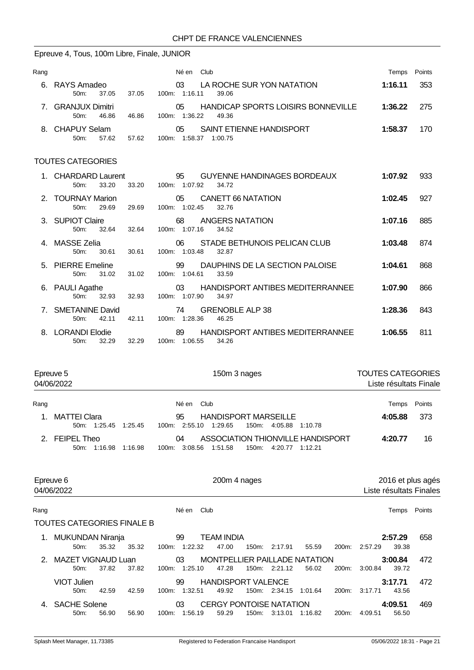# Epreuve 4, Tous, 100m Libre, Finale, JUNIOR

| Rang |                                            |       | Né en<br>Club                                                         | Temps   | Points |
|------|--------------------------------------------|-------|-----------------------------------------------------------------------|---------|--------|
|      | 6. RAYS Amadeo<br>37.05<br>$50m$ :         | 37.05 | LA ROCHE SUR YON NATATION<br>03<br>100m: 1:16.11<br>39.06             | 1:16.11 | 353    |
|      | <b>GRANJUX Dimitri</b><br>46.86<br>$50m$ : | 46.86 | HANDICAP SPORTS LOISIRS BONNEVILLE<br>05<br>1:36.22<br>100m:<br>49.36 | 1:36.22 | -275   |
|      | 8. CHAPUY Selam<br>57.62<br>50m            | 57.62 | SAINT ETIENNE HANDISPORT<br>05<br>1:58.37<br>100m:<br>1:00.75         | 1:58.37 | 170    |

## TOUTES CATEGORIES

| 1. CHARDARD Laurent<br>33.20<br>50m:   | 33.20 | 95<br>GUYENNE HANDINAGES BORDEAUX<br>100m: 1:07.92<br>34.72      | 1:07.92 | 933 |
|----------------------------------------|-------|------------------------------------------------------------------|---------|-----|
| 2. TOURNAY Marion<br>50m:<br>29.69     | 29.69 | CANETT 66 NATATION<br>05<br>100m: 1:02.45<br>32.76               | 1:02.45 | 927 |
| 3. SUPIOT Claire<br>32.64<br>$50m$ :   | 32.64 | 68<br>ANGERS NATATION<br>100m: 1:07.16<br>34.52                  | 1:07.16 | 885 |
| 4. MASSE Zelia<br>30.61<br>$50m$ :     | 30.61 | STADE BETHUNOIS PELICAN CLUB<br>06.<br>100m: 1:03.48<br>32.87    | 1:03.48 | 874 |
| 5. PIERRE Emeline<br>31.02<br>$50m$ :  | 31.02 | 99<br>DAUPHINS DE LA SECTION PALOISE<br>100m: 1:04.61<br>33.59   | 1:04.61 | 868 |
| 6. PAULI Agathe<br>32.93<br>$50m$ :    | 32.93 | HANDISPORT ANTIBES MEDITERRANNEE<br>03<br>100m: 1:07.90<br>34.97 | 1:07.90 | 866 |
| 7. SMETANINE David<br>42.11<br>$50m$ : | 42.11 | <b>GRENOBLE ALP 38</b><br>74<br>100m: 1:28.36<br>46.25           | 1:28.36 | 843 |
| 8. LORANDI Elodie<br>32.29<br>50m:     | 32.29 | HANDISPORT ANTIBES MEDITERRANNEE<br>89<br>100m: 1:06.55<br>34.26 | 1:06.55 | 811 |

|      | Epreuve 5<br>04/06/2022                | 150m 3 nages                                                                                       | <b>TOUTES CATEGORIES</b><br>Liste résultats Finale |        |  |  |
|------|----------------------------------------|----------------------------------------------------------------------------------------------------|----------------------------------------------------|--------|--|--|
| Rang |                                        | Club<br>Né en                                                                                      | Temps                                              | Points |  |  |
| 1.   | MATTEI Clara<br>50m: 1:25.45 1:25.45   | <b>HANDISPORT MARSEILLE</b><br>95<br>100m: 2:55.10 1:29.65<br>150m:<br>4:05.88<br>1:10.78          | 4:05.88                                            | 373    |  |  |
|      | 2. FEIPEL Theo<br>50m: 1:16.98 1:16.98 | ASSOCIATION THIONVILLE HANDISPORT<br>04<br>1:51.58<br>150m:<br>4:20.77 1:12.21<br>3:08.56<br>100m: | 4:20.77                                            | 16     |  |  |

|      | Epreuve 6<br>04/06/2022           |       |       |       | 200m 4 nages  |                                |       |         |         |                    | 2016 et plus agés<br>Liste résultats Finales |         |        |
|------|-----------------------------------|-------|-------|-------|---------------|--------------------------------|-------|---------|---------|--------------------|----------------------------------------------|---------|--------|
|      |                                   |       |       |       |               |                                |       |         |         |                    |                                              |         |        |
| Rang |                                   |       |       |       | Club<br>Né en |                                |       |         |         |                    |                                              | Temps   | Points |
|      | <b>TOUTES CATEGORIES FINALE B</b> |       |       |       |               |                                |       |         |         |                    |                                              |         |        |
| 1.   | MUKUNDAN Niranja                  |       |       |       | 99            | <b>TEAM INDIA</b>              |       |         |         |                    |                                              | 2:57.29 | 658    |
|      | $50m$ :                           | 35.32 | 35.32 |       | 100m: 1:22.32 | 47.00                          | 150m: | 2:17.91 | 55.59   | 200 <sub>m</sub> : | 2:57.29                                      | 39.38   |        |
| 2    | MAZET VIGNAUD Luan                |       |       |       | 03            | MONTPELLIER PAILLADE NATATION  |       |         |         |                    |                                              | 3:00.84 | 472    |
|      | 50m:                              | 37.82 | 37.82 | 100m: | 1:25.10       | 47.28                          | 150m: | 2:21.12 | 56.02   | 200m:              | 3:00.84                                      | 39.72   |        |
|      | VIOT Julien                       |       |       |       | 99            | <b>HANDISPORT VALENCE</b>      |       |         |         |                    |                                              | 3:17.71 | 472    |
|      | $50m$ :                           | 42.59 | 42.59 | 100m: | 1:32.51       | 49.92                          | 150m: | 2:34.15 | 1:01.64 | 200 <sub>m</sub> : | 3:17.71                                      | 43.56   |        |
|      | 4. SACHE Solene                   |       |       |       | 03            | <b>CERGY PONTOISE NATATION</b> |       |         |         |                    |                                              | 4:09.51 | 469    |
|      | 50 <sub>m</sub> :                 | 56.90 | 56.90 | 100m: | 1:56.19       | 59.29                          | 150m: | 3:13.01 | 1:16.82 | 200 <sub>m</sub> : | 4:09.51                                      | 56.50   |        |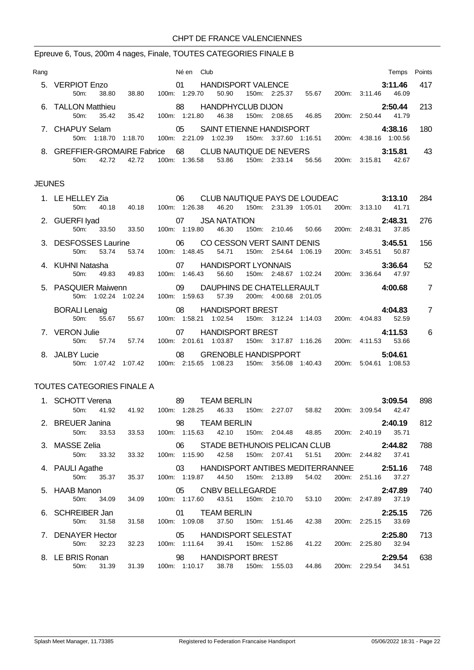## Epreuve 6, Tous, 200m 4 nages, Finale, TOUTES CATEGORIES FINALE B

| Rang |                                  |                  | Né en          | Club                     |       |               |         |       |               | Temps   | Points |
|------|----------------------------------|------------------|----------------|--------------------------|-------|---------------|---------|-------|---------------|---------|--------|
| 5.   | <b>VERPIOT Enzo</b>              |                  | 01             | HANDISPORT VALENCE       |       |               |         |       |               | 3:11.46 | 417    |
|      | 38.80<br>50m                     | 38.80            | $100m$ 1:29.70 | 50.90                    |       | 150m: 2:25.37 | 55.67   |       | 200m: 3:11.46 | 46.09   |        |
|      | 6. TALLON Matthieu               |                  | 88             | <b>HANDPHYCLUB DIJON</b> |       |               |         |       |               | 2:50.44 | 213    |
|      | $50m$ :<br>35.42                 | 35.42<br>100m:   | 1:21.80        | 46.38                    | 150m: | 2:08.65       | 46.85   | 200m: | 2:50.44       | 41.79   |        |
|      | 7. CHAPUY Selam                  |                  | 05             | SAINT ETIENNE HANDISPORT |       |               |         |       |               | 4:38.16 | 180    |
|      | 1:18.70<br>$50m$ :               | 100m:<br>1:18.70 | 2:21.09        | 1:02.39                  | 150m: | 3:37.60       | 1:16.51 | 200m  | 4:38.16       | 1:00.56 |        |
| 8.   | <b>GREFFIER-GROMAIRE Fabrice</b> |                  | 68             | CLUB NAUTIQUE DE NEVERS  |       |               |         |       |               | 3:15.81 | 43     |
|      | $50m$ :<br>42.72                 | 42.72<br>100m:   | 1:36.58        | 53.86                    | 150m: | 2:33.14       | 56.56   | 200m: | 3:15.81       | 42.67   |        |

#### JEUNES

| 1. LE HELLEY Zia                                               |              |                                    |                      |               | 06 CLUB NAUTIQUE PAYS DE LOUDEAC |                       |                             |                                     | 3:13.10                             |         | 284             |
|----------------------------------------------------------------|--------------|------------------------------------|----------------------|---------------|----------------------------------|-----------------------|-----------------------------|-------------------------------------|-------------------------------------|---------|-----------------|
| 50 <sub>m</sub> :                                              | 40.18        |                                    | 40.18  100m: 1:26.38 |               | 46.20                            |                       | 150m: 2:31.39 1:05.01       |                                     | 200m: 3:13.10                       | 41.71   |                 |
| 2. GUERFI Iyad                                                 |              |                                    |                      |               | 155 USA NATATION                 |                       |                             |                                     |                                     | 2:48.31 | 276             |
|                                                                |              | 50m: 33.50 33.50                   |                      | 100m: 1:19.80 | 46.30                            |                       |                             |                                     | 150m: 2:10.46 50.66 200m: 2:48.31   | 37.85   |                 |
| 3. DESFOSSES Laurine 600 06 CO CESSON VERT SAINT DENIS 3:45.51 |              |                                    |                      |               |                                  |                       |                             |                                     |                                     |         | 156             |
| $50m$ :                                                        | 53.74        | 53.74                              |                      | 100m: 1:48.45 | 54.71                            |                       | 150m: 2:54.64 1:06.19       |                                     | 200m: 3:45.51                       | 50.87   |                 |
| 4. KUHNI Natasha                                               |              |                                    |                      |               | 07 HANDISPORT LYONNAIS 3:36.64   |                       |                             |                                     |                                     |         | - 52            |
| 50m:                                                           | 49.83        | 49.83                              |                      | 100m: 1:46.43 | 56.60                            |                       |                             |                                     | 150m: 2:48.67 1:02.24 200m: 3:36.64 | 47.97   |                 |
| 5. PASQUIER Maiwenn 09 DAUPHINS DE CHATELLERAULT 4:00.68       |              |                                    |                      |               |                                  |                       |                             |                                     |                                     |         | $\overline{7}$  |
|                                                                |              | 50m: 1:02.24 1:02.24 100m: 1:59.63 |                      |               | 57.39                            | 200m: 4:00.68 2:01.05 |                             |                                     |                                     |         |                 |
| <b>BORALI Lenaig</b>                                           |              |                                    |                      |               | 08 HANDISPORT BREST              |                       |                             |                                     | 4:04.83                             |         | $\overline{7}$  |
| $50m$ :                                                        | 55.67        | 55.67                              |                      |               | 100m: 1:58.21 1:02.54            |                       |                             |                                     | 150m: 3:12.24 1:14.03 200m: 4:04.83 | 52.59   |                 |
| 7. VERON Julie                                                 |              |                                    |                      |               | 07 HANDISPORT BREST              |                       |                             |                                     |                                     | 4:11.53 | $6\overline{6}$ |
| $50m$ :                                                        | 57.74        | 57.74                              |                      | 100m: 2:01.61 | 1:03.87                          |                       | 150m: 3:17.87 1:16.26 200m: |                                     | 4:11.53                             | 53.66   |                 |
| 8. JALBY Lucie                                                 |              | $\sim$ 08                          |                      |               | GRENOBLE HANDISPPORT 5:04.61     |                       |                             |                                     |                                     |         |                 |
|                                                                | 50m: 1:07.42 | 1:07.42  100m: 2:15.65             |                      |               | 1:08.23                          |                       |                             | 150m: 3:56.08 1:40.43 200m: 5:04.61 |                                     | 1:08.53 |                 |

### TOUTES CATEGORIES FINALE A

| 1. SCHOTT Verena  |       |           | 89                                          | <b>TEAM BERLIN</b> |                                       |             |       |               | 3:09.54 | 898 |
|-------------------|-------|-----------|---------------------------------------------|--------------------|---------------------------------------|-------------|-------|---------------|---------|-----|
| 50m:              | 41.92 | 41.92     | 100m: 1:28.25                               | 46.33              | 150m: 2:27.07 58.82                   |             | 200m: | 3:09.54       | 42.47   |     |
| 2. BREUER Janina  |       |           |                                             | <b>TEAM BERLIN</b> |                                       |             |       |               | 2:40.19 | 812 |
| 50 <sub>m</sub>   | 33.53 | 33.53     | 100m: 1:15.63                               | 42.10              | 150m: 2:04.48 48.85                   |             |       | 200m: 2:40.19 | 35.71   |     |
| 3. MASSE Zelia    |       |           | 06 STADE BETHUNOIS PELICAN CLUB 2:44.82     |                    |                                       |             |       |               |         | 788 |
| 50m:              | 33.32 | 33.32     | 100m: 1:15.90                               | 42.58              | 150m: 2:07.41                         | 51.51       | 200m: | 2:44.82       | 37.41   |     |
| 4. PAULI Agathe   |       |           | 03 HANDISPORT ANTIBES MEDITERRANNEE 2:51.16 |                    |                                       |             |       |               |         | 748 |
| 50m               | 35.37 | 35.37     | 100m: 1:19.87                               | 44.50              | 150m: 2:13.89                         | 54.02       | 200m: | 2:51.16       | 37.27   |     |
| 5. HAAB Manon     |       |           | 05                                          | CNBV BELLEGARDE    |                                       |             |       |               | 2:47.89 | 740 |
| 50m:              | 34.09 | 34.09     | 100m: 1:17.60                               | 43.51              | 150m: 2:10.70                         | 53.10       | 200m: | 2:47.89       | 37.19   |     |
| 6. SCHREIBER Jan  |       |           | 01                                          | <b>TEAM BERLIN</b> |                                       |             |       |               | 2:25.15 | 726 |
| 50m:              | 31.58 | 31.58     | 100m: 1:09.08                               | 37.50              | 150m: 1:51.46                         | 42.38       | 200m: | 2:25.15       | 33.69   |     |
| 7. DENAYER Hector |       |           | 05 HANDISPORT SELESTAT                      |                    |                                       |             |       |               | 2:25.80 | 713 |
| 50m:              | 32.23 | 32.23     | 100m: 1:11.64                               | 39.41              | 150m: 1:52.86                         | 41.22 200m: |       | 2:25.80       | 32.94   |     |
| 8. LE BRIS Ronan  |       | $\sim$ 98 |                                             |                    | HANDISPORT BREST FOR THE STATE STATES |             |       |               | 2:29.54 | 638 |
| 50m:              | 31.39 | 31.39     | 100m: 1:10.17                               | 38.78              | 150m: 1:55.03                         | 44.86       | 200m: | 2:29.54       | 34.51   |     |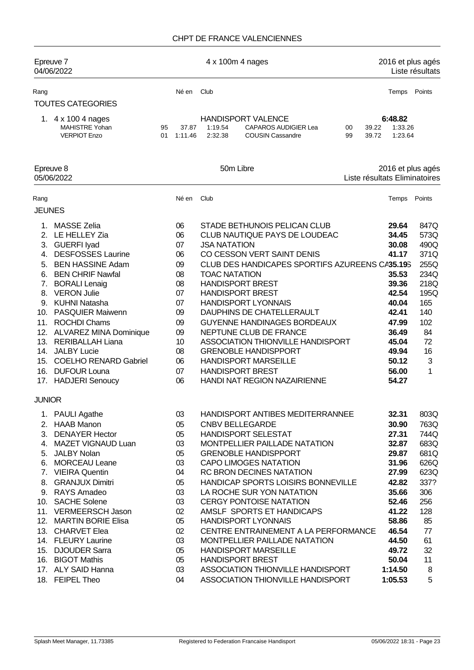### CHPT DE FRANCE VALENCIENNES

|                                                 | Epreuve 7<br>04/06/2022                                                                                                                                                                                                                                                                                                                                                                                 |          |                                                                                                    |                                             | 4 x 100m 4 nages                                                                                                                                                                                                                                                                                                                                                                                                                                                                                    |                               | 2016 et plus agés                                                                                                                            | Liste résultats                                                                                               |
|-------------------------------------------------|---------------------------------------------------------------------------------------------------------------------------------------------------------------------------------------------------------------------------------------------------------------------------------------------------------------------------------------------------------------------------------------------------------|----------|----------------------------------------------------------------------------------------------------|---------------------------------------------|-----------------------------------------------------------------------------------------------------------------------------------------------------------------------------------------------------------------------------------------------------------------------------------------------------------------------------------------------------------------------------------------------------------------------------------------------------------------------------------------------------|-------------------------------|----------------------------------------------------------------------------------------------------------------------------------------------|---------------------------------------------------------------------------------------------------------------|
| Rang                                            |                                                                                                                                                                                                                                                                                                                                                                                                         |          | Né en                                                                                              | Club                                        |                                                                                                                                                                                                                                                                                                                                                                                                                                                                                                     |                               | Temps                                                                                                                                        | Points                                                                                                        |
|                                                 | <b>TOUTES CATEGORIES</b>                                                                                                                                                                                                                                                                                                                                                                                |          |                                                                                                    |                                             |                                                                                                                                                                                                                                                                                                                                                                                                                                                                                                     |                               |                                                                                                                                              |                                                                                                               |
|                                                 | 1. 4 x 100 4 nages<br><b>MAHISTRE Yohan</b><br><b>VERPIOT Enzo</b>                                                                                                                                                                                                                                                                                                                                      | 95<br>01 | 37.87<br>1:11.46                                                                                   | 1:19.54<br>2:32.38                          | <b>HANDISPORT VALENCE</b><br>CAPAROS AUDIGIER Lea<br><b>COUSIN Cassandre</b>                                                                                                                                                                                                                                                                                                                                                                                                                        | 39.22<br>00<br>99<br>39.72    | 6:48.82<br>1:33.26<br>1:23.64                                                                                                                |                                                                                                               |
|                                                 | Epreuve 8<br>05/06/2022                                                                                                                                                                                                                                                                                                                                                                                 |          |                                                                                                    |                                             | 50m Libre                                                                                                                                                                                                                                                                                                                                                                                                                                                                                           | Liste résultats Eliminatoires | 2016 et plus agés                                                                                                                            |                                                                                                               |
| Rang                                            |                                                                                                                                                                                                                                                                                                                                                                                                         |          | Né en                                                                                              | Club                                        |                                                                                                                                                                                                                                                                                                                                                                                                                                                                                                     |                               | Temps                                                                                                                                        | Points                                                                                                        |
| <b>JEUNES</b>                                   |                                                                                                                                                                                                                                                                                                                                                                                                         |          |                                                                                                    |                                             |                                                                                                                                                                                                                                                                                                                                                                                                                                                                                                     |                               |                                                                                                                                              |                                                                                                               |
| 2.<br>3.<br>4.<br>5.<br>8.<br>14.<br>15.<br>16. | 1. MASSE Zelia<br>LE HELLEY Zia<br><b>GUERFI Iyad</b><br><b>DESFOSSES Laurine</b><br><b>BEN HASSINE Adam</b><br>6. BEN CHRIF Nawfal<br>7. BORALI Lenaig<br><b>VERON Julie</b><br>9. KUHNI Natasha<br>10. PASQUIER Maiwenn<br>11. ROCHDI Chams<br>12. ALVAREZ MINA Dominique<br>13. RERIBALLAH Liana<br><b>JALBY Lucie</b><br><b>COELHO RENARD Gabriel</b><br><b>DUFOUR Louna</b><br>17. HADJERI Senoucy |          | 06<br>06<br>07<br>06<br>09<br>08<br>08<br>07<br>07<br>09<br>09<br>09<br>10<br>08<br>06<br>07<br>06 | <b>JSA NATATION</b><br><b>TOAC NATATION</b> | STADE BETHUNOIS PELICAN CLUB<br>CLUB NAUTIQUE PAYS DE LOUDEAC<br>CO CESSON VERT SAINT DENIS<br>CLUB DES HANDICAPES SPORTIFS AZUREENS CA35.19S<br><b>HANDISPORT BREST</b><br><b>HANDISPORT BREST</b><br><b>HANDISPORT LYONNAIS</b><br>DAUPHINS DE CHATELLERAULT<br><b>GUYENNE HANDINAGES BORDEAUX</b><br>NEPTUNE CLUB DE FRANCE<br>ASSOCIATION THIONVILLE HANDISPORT<br><b>GRENOBLE HANDISPPORT</b><br><b>HANDISPORT MARSEILLE</b><br><b>HANDISPORT BREST</b><br><b>HANDI NAT REGION NAZAIRIENNE</b> |                               | 29.64<br>34.45<br>30.08<br>41.17<br>35.53<br>39.36<br>42.54<br>40.04<br>42.41<br>47.99<br>36.49<br>45.04<br>49.94<br>50.12<br>56.00<br>54.27 | 847Q<br>573Q<br>490Q<br>371Q<br>255Q<br>234Q<br>218Q<br>195Q<br>165<br>140<br>102<br>84<br>72<br>16<br>3<br>1 |
| <b>JUNIOR</b>                                   | 1. PAULI Agathe<br>2. HAAB Manon                                                                                                                                                                                                                                                                                                                                                                        |          | 03<br>05                                                                                           |                                             | HANDISPORT ANTIBES MEDITERRANNEE<br><b>CNBV BELLEGARDE</b>                                                                                                                                                                                                                                                                                                                                                                                                                                          |                               | 32.31<br>30.90                                                                                                                               | 803Q<br>763Q                                                                                                  |
| 6.                                              | 3. DENAYER Hector<br>4. MAZET VIGNAUD Luan<br>5. JALBY Nolan<br><b>MORCEAU Leane</b><br>7. VIEIRA Quentin                                                                                                                                                                                                                                                                                               |          | 05<br>03<br>05<br>03<br>04                                                                         |                                             | HANDISPORT SELESTAT<br>MONTPELLIER PAILLADE NATATION<br><b>GRENOBLE HANDISPPORT</b><br><b>CAPO LIMOGES NATATION</b><br>RC BRON DECINES NATATION                                                                                                                                                                                                                                                                                                                                                     |                               | 27.31<br>32.87<br>29.87<br>31.96<br>27.99                                                                                                    | 744Q<br>683Q<br>681Q<br>626Q<br>623Q                                                                          |
| 8.                                              | <b>GRANJUX Dimitri</b><br>9. RAYS Amadeo<br>10. SACHE Solene<br>11. VERMEERSCH Jason                                                                                                                                                                                                                                                                                                                    |          | 05<br>03<br>03<br>02                                                                               |                                             | HANDICAP SPORTS LOISIRS BONNEVILLE<br>LA ROCHE SUR YON NATATION<br><b>CERGY PONTOISE NATATION</b><br>AMSLF SPORTS ET HANDICAPS                                                                                                                                                                                                                                                                                                                                                                      |                               | 42.82<br>35.66<br>52.46<br>41.22                                                                                                             | 337?<br>306<br>256<br>128                                                                                     |
|                                                 | 12. MARTIN BORIE Elisa<br>13. CHARVET Elea<br>14. FLEURY Laurine<br>15. DJOUDER Sarra                                                                                                                                                                                                                                                                                                                   |          | 05<br>02<br>03<br>05                                                                               |                                             | <b>HANDISPORT LYONNAIS</b><br>CENTRE ENTRAINEMENT A LA PERFORMANCE<br>MONTPELLIER PAILLADE NATATION<br><b>HANDISPORT MARSEILLE</b>                                                                                                                                                                                                                                                                                                                                                                  |                               | 58.86<br>46.54<br>44.50<br>49.72                                                                                                             | 85<br>77<br>61<br>32                                                                                          |
|                                                 | 16. BIGOT Mathis<br>17. ALY SAID Hanna<br>18. FEIPEL Theo                                                                                                                                                                                                                                                                                                                                               |          | 05<br>03<br>04                                                                                     |                                             | <b>HANDISPORT BREST</b><br>ASSOCIATION THIONVILLE HANDISPORT<br>ASSOCIATION THIONVILLE HANDISPORT                                                                                                                                                                                                                                                                                                                                                                                                   |                               | 50.04<br>1:14.50<br>1:05.53                                                                                                                  | 11<br>8<br>5                                                                                                  |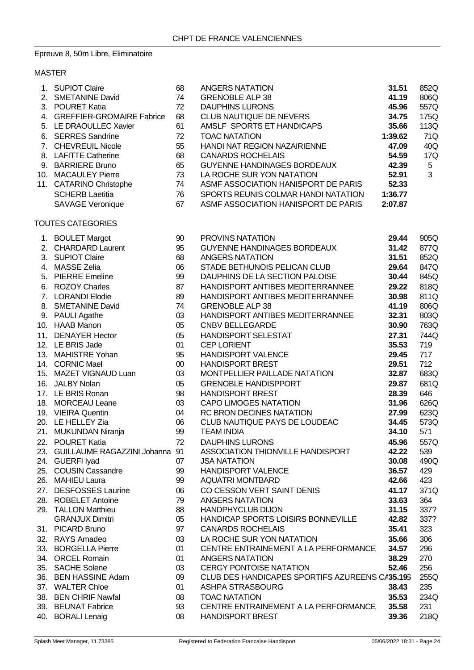# Epreuve 8, 50m Libre, Eliminatoire

## MASTER

|     | 1. SUPIOT Claire                   | 68     | <b>ANGERS NATATION</b>                         | 31.51   | 852Q            |
|-----|------------------------------------|--------|------------------------------------------------|---------|-----------------|
|     | 2. SMETANINE David                 | 74     | <b>GRENOBLE ALP 38</b>                         | 41.19   | 806Q            |
|     | 3. POURET Katia                    | 72     | <b>DAUPHINS LURONS</b>                         | 45.96   | 557Q            |
|     | 4. GREFFIER-GROMAIRE Fabrice       | 68     | CLUB NAUTIQUE DE NEVERS                        | 34.75   | 175Q            |
|     | 5. LE DRAOULLEC Xavier             | 61     | AMSLF SPORTS ET HANDICAPS                      | 35.66   | 113Q            |
|     | 6. SERRES Sandrine                 | 72     | <b>TOAC NATATION</b>                           | 1:39.62 | 71Q             |
|     | 7. CHEVREUIL Nicole                | 55     | HANDI NAT REGION NAZAIRIENNE                   | 47.09   | 40Q             |
|     | 8. LAFITTE Catherine               | 68     | <b>CANARDS ROCHELAIS</b>                       | 54.59   | 17Q             |
|     | 9. BARRIERE Bruno                  | 65     | GUYENNE HANDINAGES BORDEAUX                    | 42.39   | $5\phantom{.0}$ |
|     | 10. MACAULEY Pierre                | 73     | LA ROCHE SUR YON NATATION                      | 52.91   | 3               |
|     | 11. CATARINO Christophe            | 74     | ASMF ASSOCIATION HANISPORT DE PARIS            | 52.33   |                 |
|     |                                    |        |                                                |         |                 |
|     | <b>SCHERB Laetitia</b>             | 76     | SPORTS REUNIS COLMAR HANDI NATATION            | 1:36.77 |                 |
|     | <b>SAVAGE Veronique</b>            | 67     | ASMF ASSOCIATION HANISPORT DE PARIS            | 2:07.87 |                 |
|     | TOUTES CATEGORIES                  |        |                                                |         |                 |
|     | 1. BOULET Margot                   | 90     | PROVINS NATATION                               | 29.44   | 905Q            |
|     | 2. CHARDARD Laurent                | 95     | GUYENNE HANDINAGES BORDEAUX                    | 31.42   | 877Q            |
|     | 3. SUPIOT Claire                   | 68     | <b>ANGERS NATATION</b>                         | 31.51   | 852Q            |
| 4.  | <b>MASSE Zelia</b>                 | 06     | STADE BETHUNOIS PELICAN CLUB                   | 29.64   | 847Q            |
|     | 5. PIERRE Emeline                  | 99     | DAUPHINS DE LA SECTION PALOISE                 | 30.44   | 845Q            |
|     | 6. ROZOY Charles                   | 87     | HANDISPORT ANTIBES MEDITERRANNEE               | 29.22   | 818Q            |
|     | 7. LORANDI Elodie                  | 89     | HANDISPORT ANTIBES MEDITERRANNEE               | 30.98   | 811Q            |
|     | 8. SMETANINE David                 | 74     | <b>GRENOBLE ALP 38</b>                         | 41.19   | 806Q            |
|     |                                    |        | HANDISPORT ANTIBES MEDITERRANNEE               | 32.31   |                 |
|     | 9. PAULI Agathe                    | 03     |                                                |         | 803Q            |
|     | 10. HAAB Manon                     | 05     | CNBV BELLEGARDE                                | 30.90   | 763Q            |
|     | 11. DENAYER Hector                 | 05     | <b>HANDISPORT SELESTAT</b>                     | 27.31   | 744Q            |
|     | 12. LE BRIS Jade                   | 01     | <b>CEP LORIENT</b>                             | 35.53   | 719             |
|     | 13. MAHISTRE Yohan                 | 95     | <b>HANDISPORT VALENCE</b>                      | 29.45   | 717             |
|     | 14. CORNIC Mael                    | $00\,$ | <b>HANDISPORT BREST</b>                        | 29.51   | 712             |
|     | 15. MAZET VIGNAUD Luan             | 03     | MONTPELLIER PAILLADE NATATION                  | 32.87   | 683Q            |
|     | 16. JALBY Nolan                    | 05     | <b>GRENOBLE HANDISPPORT</b>                    | 29.87   | 681Q            |
|     | 17. LE BRIS Ronan                  | 98     | <b>HANDISPORT BREST</b>                        | 28.39   | 646             |
|     | 18. MORCEAU Leane                  | 03     | <b>CAPO LIMOGES NATATION</b>                   | 31.96   | 626Q            |
|     | 19. VIEIRA Quentin                 | 04     | RC BRON DECINES NATATION                       | 27.99   | 623Q            |
|     | 20. LE HELLEY Zia                  | 06     | CLUB NAUTIQUE PAYS DE LOUDEAC                  | 34.45   | 573Q            |
|     | 21. MUKUNDAN Niranja               | 99     | <b>TEAM INDIA</b>                              | 34.10   | 571             |
|     | 22. POURET Katia                   | 72     | <b>DAUPHINS LURONS</b>                         | 45.96   | 557Q            |
|     | 23. GUILLAUME RAGAZZINI Johanna 91 |        | ASSOCIATION THIONVILLE HANDISPORT              | 42.22   | 539             |
|     | 24. GUERFI Iyad                    | 07     | <b>JSA NATATION</b>                            | 30.08   | 490Q            |
|     | 25. COUSIN Cassandre               | 99     | <b>HANDISPORT VALENCE</b>                      | 36.57   | 429             |
|     | 26. MAHIEU Laura                   | 99     | <b>AQUATRI MONTBARD</b>                        | 42.66   | 423             |
|     | 27. DESFOSSES Laurine              | 06     | CO CESSON VERT SAINT DENIS                     | 41.17   | 371Q            |
|     | 28. ROBELET Antoine                | 79     | <b>ANGERS NATATION</b>                         | 33.63   | 364             |
|     | 29. TALLON Matthieu                | 88     | <b>HANDPHYCLUB DIJON</b>                       | 31.15   | 337?            |
|     | <b>GRANJUX Dimitri</b>             | 05     | HANDICAP SPORTS LOISIRS BONNEVILLE             | 42.82   | 337?            |
|     |                                    | 97     | <b>CANARDS ROCHELAIS</b>                       | 35.41   | 323             |
|     | 31. PICARD Bruno                   |        |                                                |         |                 |
|     | 32. RAYS Amadeo                    | 03     | LA ROCHE SUR YON NATATION                      | 35.66   | 306             |
|     | 33. BORGELLA Pierre                | 01     | CENTRE ENTRAINEMENT A LA PERFORMANCE           | 34.57   | 296             |
|     | 34. ORCEL Romain                   | 01     | <b>ANGERS NATATION</b>                         | 38.29   | 270             |
|     | 35. SACHE Solene                   | 03     | <b>CERGY PONTOISE NATATION</b>                 | 52.46   | 256             |
|     | 36. BEN HASSINE Adam               | 09     | CLUB DES HANDICAPES SPORTIFS AZUREENS CA35.19S |         | 255Q            |
|     | 37. WALTER Chloe                   | 01     | ASHPA STRASBOURG                               | 38.43   | 235             |
|     | 38. BEN CHRIF Nawfal               | 08     | <b>TOAC NATATION</b>                           | 35.53   | 234Q            |
|     | 39. BEUNAT Fabrice                 | 93     | CENTRE ENTRAINEMENT A LA PERFORMANCE           | 35.58   | 231             |
| 40. | <b>BORALI Lenaig</b>               | 08     | <b>HANDISPORT BREST</b>                        | 39.36   | 218Q            |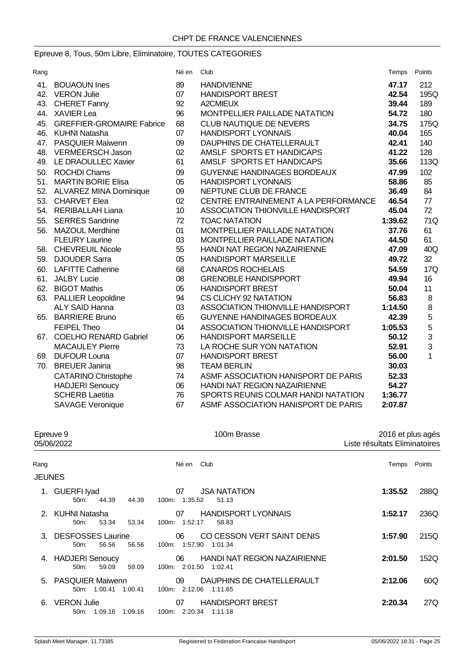# Epreuve 8, Tous, 50m Libre, Eliminatoire, TOUTES CATEGORIES

| Rang |                               | Né en | Club                                 | Temps   | Points         |
|------|-------------------------------|-------|--------------------------------------|---------|----------------|
|      | 41. BOUAOUN Ines              | 89    | <b>HANDIVIENNE</b>                   | 47.17   | 212            |
|      | 42. VERON Julie               | 07    | <b>HANDISPORT BREST</b>              | 42.54   | 195Q           |
|      | 43. CHERET Fanny              | 92    | A2CMIEUX                             | 39.44   | 189            |
|      | 44. XAVIER Lea                | 96    | MONTPELLIER PAILLADE NATATION        | 54.72   | 180            |
|      | 45. GREFFIER-GROMAIRE Fabrice | 68    | <b>CLUB NAUTIQUE DE NEVERS</b>       | 34.75   | 175Q           |
|      | 46. KUHNI Natasha             | 07    | <b>HANDISPORT LYONNAIS</b>           | 40.04   | 165            |
|      | 47. PASQUIER Maiwenn          | 09    | DAUPHINS DE CHATELLERAULT            | 42.41   | 140            |
|      | 48. VERMEERSCH Jason          | 02    | AMSLF SPORTS ET HANDICAPS            | 41.22   | 128            |
|      | 49. LE DRAOULLEC Xavier       | 61    | AMSLF SPORTS ET HANDICAPS            | 35.66   | 113Q           |
|      | 50. ROCHDI Chams              | 09    | <b>GUYENNE HANDINAGES BORDEAUX</b>   | 47.99   | 102            |
| 51.  | <b>MARTIN BORIE Elisa</b>     | 05    | <b>HANDISPORT LYONNAIS</b>           | 58.86   | 85             |
|      | 52. ALVAREZ MINA Dominique    | 09    | NEPTUNE CLUB DE FRANCE               | 36.49   | 84             |
|      | 53. CHARVET Elea              | 02    | CENTRE ENTRAINEMENT A LA PERFORMANCE | 46.54   | 77             |
|      | 54. RERIBALLAH Liana          | 10    | ASSOCIATION THIONVILLE HANDISPORT    | 45.04   | 72             |
|      | 55. SERRES Sandrine           | 72    | <b>TOAC NATATION</b>                 | 1:39.62 | 71Q            |
|      | 56. MAZOUL Merdhine           | 01    | MONTPELLIER PAILLADE NATATION        | 37.76   | 61             |
|      | <b>FLEURY Laurine</b>         | 03    | MONTPELLIER PAILLADE NATATION        | 44.50   | 61             |
|      | 58. CHEVREUIL Nicole          | 55    | <b>HANDI NAT REGION NAZAIRIENNE</b>  | 47.09   | 40Q            |
|      | 59. DJOUDER Sarra             | 05    | <b>HANDISPORT MARSEILLE</b>          | 49.72   | 32             |
|      | 60. LAFITTE Catherine         | 68    | <b>CANARDS ROCHELAIS</b>             | 54.59   | 17Q            |
|      | 61. JALBY Lucie               | 08    | <b>GRENOBLE HANDISPPORT</b>          | 49.94   | 16             |
|      | 62. BIGOT Mathis              | 05    | <b>HANDISPORT BREST</b>              | 50.04   | 11             |
|      | 63. PALLIER Leopoldine        | 94    | CS CLICHY 92 NATATION                | 56.83   | 8              |
|      | <b>ALY SAID Hanna</b>         | 03    | ASSOCIATION THIONVILLE HANDISPORT    | 1:14.50 | 8              |
|      | 65. BARRIERE Bruno            | 65    | <b>GUYENNE HANDINAGES BORDEAUX</b>   | 42.39   | $\mathbf 5$    |
|      | <b>FEIPEL Theo</b>            | 04    | ASSOCIATION THIONVILLE HANDISPORT    | 1:05.53 | 5              |
| 67.  | <b>COELHO RENARD Gabriel</b>  | 06    | <b>HANDISPORT MARSEILLE</b>          | 50.12   | $\mathfrak{S}$ |
|      | <b>MACAULEY Pierre</b>        | 73    | LA ROCHE SUR YON NATATION            | 52.91   | 3              |
| 69.  | <b>DUFOUR Louna</b>           | 07    | <b>HANDISPORT BREST</b>              | 56.00   | 1              |
| 70.  | <b>BREUER Janina</b>          | 98    | <b>TEAM BERLIN</b>                   | 30.03   |                |
|      | <b>CATARINO Christophe</b>    | 74    | ASMF ASSOCIATION HANISPORT DE PARIS  | 52.33   |                |
|      | <b>HADJERI</b> Senoucy        | 06    | HANDI NAT REGION NAZAIRIENNE         | 54.27   |                |
|      | <b>SCHERB Laetitia</b>        | 76    | SPORTS REUNIS COLMAR HANDI NATATION  | 1:36.77 |                |
|      | <b>SAVAGE Veronique</b>       | 67    | ASMF ASSOCIATION HANISPORT DE PARIS  | 2:07.87 |                |

| Epreuve 9<br>05/06/2022 |                                              |       | 100m Brasse                                                   | 2016 et plus agés<br>Liste résultats Eliminatoires |        |
|-------------------------|----------------------------------------------|-------|---------------------------------------------------------------|----------------------------------------------------|--------|
| Rang<br><b>JEUNES</b>   |                                              |       | Né en Club                                                    | Temps                                              | Points |
| 1.                      | <b>GUERFI Iyad</b><br>44.39<br>$50m$ :       | 44.39 | <b>JSA NATATION</b><br>07<br>1:35.52<br>51.13<br>100m:        | 1:35.52                                            | 288Q   |
|                         | 2. KUHNI Natasha<br>53.34<br>50 <sub>m</sub> | 53.34 | <b>HANDISPORT LYONNAIS</b><br>07<br>1:52.17<br>100m:<br>58.83 | 1:52.17                                            | 236Q   |
|                         | <b>DESFOSSES Laurine</b>                     |       | CO CESSON VERT SAINT DENIS<br>06                              | 1:57.90                                            | 215Q   |

| <b>U.</b> DLUI OUULU LAUIIIE |       | <b>UU CU CLUUCH VERI UAINI DENIU</b> | <i></i> | 20V  |
|------------------------------|-------|--------------------------------------|---------|------|
| 56.56<br>$50m$ :             | 56.56 | 100m: 1:57.90 1:01.34                |         |      |
| 4. HADJERI Senoucy           |       | HANDI NAT REGION NAZAIRIENNE<br>06   | 2:01.50 | 152Q |
| 59.09<br>50 <sub>m</sub> :   | 59.09 | 100m: 2:01.50 1:02.41                |         |      |

| 5. PASQUIER Maiwenn<br>50m: 1:00.41 1:00.41 | DAUPHINS DE CHATELLERAULT<br>09.<br>100m: 2:12.06 1:11.65 | 2:12.06 | 60Q |
|---------------------------------------------|-----------------------------------------------------------|---------|-----|
| 6. VERON Julie<br>50m: 1:09.16 1:09.16      | <b>HANDISPORT BREST</b><br>07 —<br>100m. 2:20.34 1:11.18  | 2:20.34 | 27Q |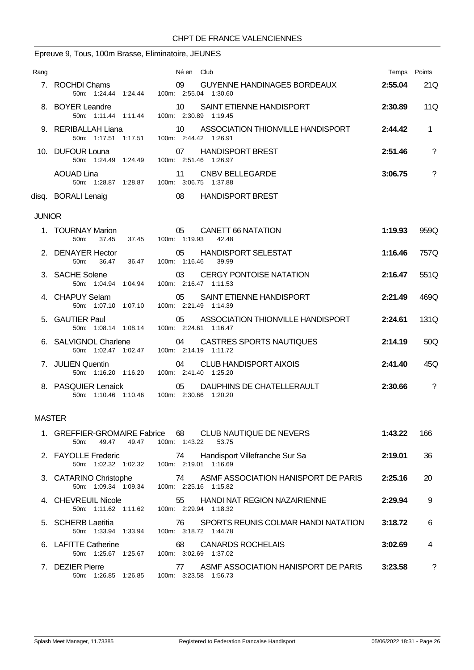### Epreuve 9, Tous, 100m Brasse, Eliminatoire, JEUNES

| Rang          |                                                     | Né en Club                                                                                      | Temps Points |                |
|---------------|-----------------------------------------------------|-------------------------------------------------------------------------------------------------|--------------|----------------|
|               | 7. ROCHDI Chams                                     | 09 GUYENNE HANDINAGES BORDEAUX<br>50m: 1:24.44 1:24.44 100m: 2:55.04 1:30.60                    | 2:55.04      | 21Q            |
|               | 8. BOYER Leandre                                    | 10 SAINT ETIENNE HANDISPORT<br>50m: 1:11.44 1:11.44 100m: 2:30.89 1:19.45                       | 2:30.89      | 11Q            |
|               | 9. RERIBALLAH Liana                                 | 10 ASSOCIATION THIONVILLE HANDISPORT<br>50m: 1:17.51  1:17.51  100m: 2:44.42  1:26.91           | 2:44.42      | $\mathbf{1}$   |
|               | 10. DUFOUR Louna                                    | 07 HANDISPORT BREST<br>50m: 1:24.49 1:24.49 100m: 2:51.46 1:26.97                               | 2:51.46      | $\gamma$       |
|               | <b>AOUAD Lina</b>                                   | 11 CNBV BELLEGARDE<br>50m: 1:28.87  1:28.87  100m: 3:06.75  1:37.88                             | 3:06.75      | $\overline{?}$ |
|               | disq. BORALI Lenaig                                 | 08 HANDISPORT BREST                                                                             |              |                |
| <b>JUNIOR</b> |                                                     |                                                                                                 |              |                |
|               | 37.45<br>50m:                                       | 1. TOURNAY Marion 05 CANETT 66 NATATION<br>37.45 100m: 1:19.93<br>42.48                         | 1:19.93      | 959Q           |
|               | 2. DENAYER Hector<br>50m: 36.47 36.47 100m: 1:16.46 | 05 HANDISPORT SELESTAT<br>39.99                                                                 | 1:16.46      | 757Q           |
|               | 3. SACHE Solene                                     | 03 CERGY PONTOISE NATATION<br>50m: 1:04.94 1:04.94 100m: 2:16.47 1:11.53                        | 2:16.47      | 551Q           |
|               | 4. CHAPUY Selam                                     | 05 SAINT ETIENNE HANDISPORT<br>50m: 1:07.10 1:07.10 100m: 2:21.49 1:14.39                       | 2:21.49      | 469Q           |
|               | 5. GAUTIER Paul                                     | 05 ASSOCIATION THIONVILLE HANDISPORT<br>50m: 1:08.14 1:08.14 100m: 2:24.61 1:16.47              | 2:24.61      | 131Q           |
|               |                                                     | 6. SALVIGNOL Charlene 04 CASTRES SPORTS NAUTIQUES<br>50m: 1:02.47 1:02.47 100m: 2:14.19 1:11.72 | 2:14.19      | 50Q            |
|               | 7. JULIEN Quentin                                   | 04<br>CLUB HANDISPORT AIXOIS<br>50m: 1:16.20 1:16.20 100m: 2:41.40 1:25.20                      | 2:41.40      | 45Q            |
|               |                                                     |                                                                                                 |              |                |

8. PASQUIER Lenaick **05** DAUPHINS DE CHATELLERAULT **2:30.66** ? 50m: 1:10.46 1:10.46 100m: 2:30.66 1:20.20

### MASTER

| 49.47<br>50m:<br>49.47                          | 1. GREFFIER-GROMAIRE Fabrice 68 CLUB NAUTIQUE DE NEVERS<br>100m: 1:43.22<br>53.75 | 1:43.22 | 166 |
|-------------------------------------------------|-----------------------------------------------------------------------------------|---------|-----|
| 2. FAYOLLE Frederic<br>50m: 1:02.32 1:02.32     | Handisport Villefranche Sur Sa<br>74<br>100m: 2:19.01<br>1:16.69                  | 2:19.01 | 36  |
| 3. CATARINO Christophe<br>50m: 1:09.34 1:09.34  | ASME ASSOCIATION HANISPORT DE PARIS<br>74<br>100m: 2:25.16 1:15.82                | 2:25.16 | 20  |
| 4. CHEVREUIL Nicole<br>50m: 1:11.62 1:11.62     | 55<br><b>HANDI NAT REGION NAZAIRIENNE</b><br>100m: 2:29.94 1:18.32                | 2:29.94 | 9   |
| 5. SCHERB Laetitia<br>1:33.94<br>50m: 1:33.94   | SPORTS REUNIS COLMAR HANDI NATATION<br>76<br>100m: 3:18.72 1:44.78                | 3:18.72 | 6   |
| 6. LAFITTE Catherine<br>1:25.67<br>50m: 1:25.67 | <b>CANARDS ROCHELAIS</b><br>68<br>100m: 3:02.69<br>1:37.02                        | 3:02.69 | 4   |
| 7. DEZIER Pierre<br>50m: 1:26.85<br>1:26.85     | ASMF ASSOCIATION HANISPORT DE PARIS<br>77<br>100m. 3:23.58<br>1:56.73             | 3:23.58 | ?   |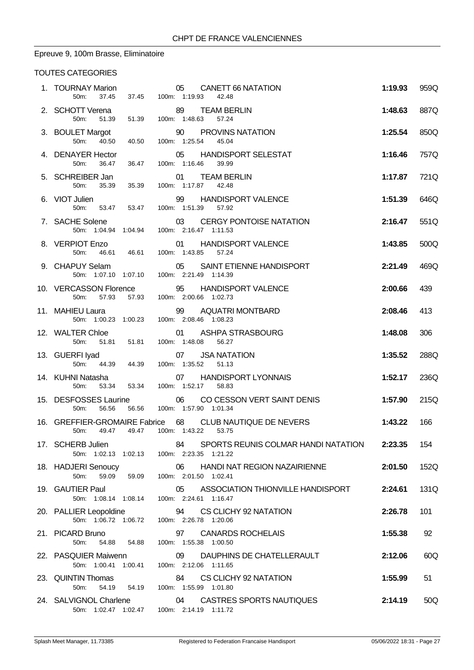## Epreuve 9, 100m Brasse, Eliminatoire

### TOUTES CATEGORIES

| 1. TOURNAY Marion<br>50 <sub>m</sub> :                               | 05 CANETT 66 NATATION<br>37.45 37.45 100m: 1:19.93 42.48                                                               | 1:19.93 | 959Q |
|----------------------------------------------------------------------|------------------------------------------------------------------------------------------------------------------------|---------|------|
| 2. SCHOTT Verena 89 TEAM BE<br>50m: 51.39 51.39 100m: 1:48.63 57.24  | 89 TEAM BERLIN                                                                                                         | 1:48.63 | 887Q |
| 3. BOULET Margot<br>40.50<br>50m:<br>40.50                           | 90 PROVINS NATATION<br>100m: 1:25.54<br>45.04                                                                          | 1:25.54 | 850Q |
| 4. DENAYER Hector<br>50m:<br>36.47                                   | 05 HANDISPORT SELESTAT<br>36.47 100m: 1:16.46 39.99                                                                    | 1:16.46 | 757Q |
| 5. SCHREIBER Jan<br>50m:                                             | 01 TEAM BERLIN                                                                                                         | 1:17.87 | 721Q |
| 6. VIOT Julien<br>50m:                                               | 99 HANDISPORT VALENCE<br>53.47  53.47  100m: 1:51.39<br>57.92                                                          | 1:51.39 | 646Q |
| 7. SACHE Solene                                                      | 03 CERGY PONTOISE NATATION<br>50m: 1:04.94 1:04.94 100m: 2:16.47 1:11.53                                               | 2:16.47 | 551Q |
|                                                                      |                                                                                                                        | 1:43.85 | 500Q |
|                                                                      | 9. CHAPUY Selam 05 SAINT ETIENNE HANDISPORT<br>50m: 1:07.10 1:07.10 100m: 2:21.49 1:14.39                              | 2:21.49 | 469Q |
|                                                                      | 10. VERCASSON Florence 95 HANDISPORT VALENCE<br>50m: 57.93 57.93 100m: 2:00.66 1:02.73                                 | 2:00.66 | 439  |
| 11. MAHIEU Laura                                                     |                                                                                                                        | 2:08.46 | 413  |
| 12. WALTER Chloe<br>50m:                                             | 01 ASHPA STRASBOURG<br>51.81  51.81  100m: 1:48.08  56.27                                                              | 1:48.08 | 306  |
| 13. GUERFI Iyad 607 USA NATA<br>50m: 44.39 44.39 100m: 1:35.52 51.13 | 07 JSA NATATION                                                                                                        | 1:35.52 | 288Q |
| 50m:                                                                 | 14. KUHNI Natasha                                   07       HANDISPORT LYONNAIS<br>53.34  53.34  100m: 1:52.17  58.83 | 1:52.17 | 236Q |
| 50m:<br>56.56                                                        | 15. DESFOSSES Laurine $06$ CO CESSON VERT SAINT DENIS<br>56.56 100m: 1:57.90 1:01.34                                   | 1:57.90 | 215Q |
| 50 <sub>m</sub> :<br>49.47<br>49.47                                  | 16. GREFFIER-GROMAIRE Fabrice 68 CLUB NAUTIQUE DE NEVERS<br>100m: 1:43.22 53.75                                        | 1:43.22 | 166  |
| 17. SCHERB Julien                                                    | SPORTS REUNIS COLMAR HANDI NATATION 2:23.35<br>84<br>50m: 1:02.13 1:02.13 100m: 2:23.35 1:21.22                        |         | 154  |
| 18. HADJERI Senoucy<br>50m:<br>59.09 59.09                           | 06 HANDI NAT REGION NAZAIRIENNE<br>100m: 2:01.50 1:02.41                                                               | 2:01.50 | 152Q |
| 19. GAUTIER Paul<br>50m: 1:08.14 1:08.14                             | ASSOCIATION THIONVILLE HANDISPORT<br>05<br>100m: 2:24.61 1:16.47                                                       | 2:24.61 | 131Q |
| 20. PALLIER Leopoldine                                               | 94<br>CS CLICHY 92 NATATION<br>50m: 1:06.72 1:06.72 100m: 2:26.78 1:20.06                                              | 2:26.78 | 101  |
| 21. PICARD Bruno<br>54.88 54.88<br>50m:                              | <b>CANARDS ROCHELAIS</b><br>97<br>100m: 1:55.38 1:00.50                                                                | 1:55.38 | 92   |
| 22. PASQUIER Maiwenn<br>50m: 1:00.41 1:00.41                         | 09<br>DAUPHINS DE CHATELLERAULT<br>100m: 2:12.06 1:11.65                                                               | 2:12.06 | 60Q  |
| 23. QUINTIN Thomas<br>50m:<br>54.19                                  | CS CLICHY 92 NATATION<br>84<br>54.19  100m: 1:55.99  1:01.80                                                           | 1:55.99 | 51   |
| 24. SALVIGNOL Charlene                                               | 04 CASTRES SPORTS NAUTIQUES<br>50m: 1:02.47 1:02.47 100m: 2:14.19 1:11.72                                              | 2:14.19 | 50Q  |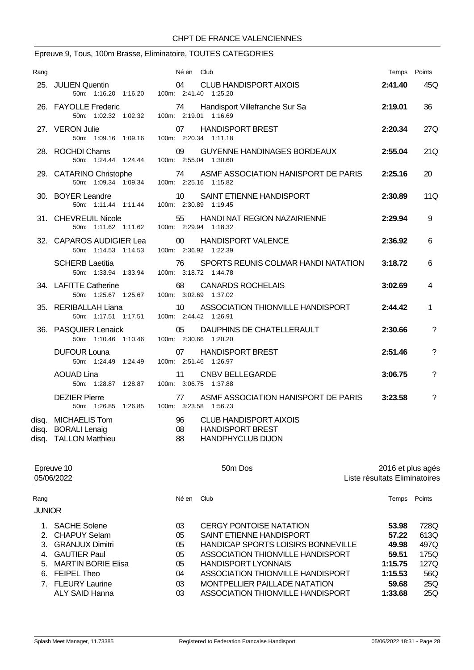# Epreuve 9, Tous, 100m Brasse, Eliminatoire, TOUTES CATEGORIES

| Rang           |                                                                       | Né en Club                                                                                             |         | Temps Points   |
|----------------|-----------------------------------------------------------------------|--------------------------------------------------------------------------------------------------------|---------|----------------|
|                | 25. JULIEN Quentin                                                    | <b>CLUB HANDISPORT AIXOIS</b><br>04<br>50m: 1:16.20 1:16.20 100m: 2:41.40 1:25.20                      | 2:41.40 | 45Q            |
|                | 26. FAYOLLE Frederic<br>50m: 1:02.32 1:02.32                          | 74 Handisport Villefranche Sur Sa<br>100m: 2:19.01 1:16.69                                             | 2:19.01 | 36             |
|                | 27. VERON Julie<br>50m: 1:09.16 1:09.16                               | <b>HANDISPORT BREST</b><br>07<br>100m: 2:20.34 1:11.18                                                 | 2:20.34 | 27Q            |
|                | 28. ROCHDI Chams<br>50m: 1:24.44 1:24.44                              | 09<br>GUYENNE HANDINAGES BORDEAUX<br>100m: 2:55.04 1:30.60                                             | 2:55.04 | 21Q            |
|                | 29. CATARINO Christophe                                               | 74<br>ASMF ASSOCIATION HANISPORT DE PARIS<br>50m: 1:09.34 1:09.34 100m: 2:25.16 1:15.82                | 2:25.16 | 20             |
|                | 30. BOYER Leandre<br>50m: 1:11.44 1:11.44                             | 10<br>SAINT ETIENNE HANDISPORT<br>100m: 2:30.89 1:19.45                                                | 2:30.89 | 11Q            |
|                | 31. CHEVREUIL Nicole<br>50m: 1:11.62 1:11.62                          | 55 HANDI NAT REGION NAZAIRIENNE<br>100m: 2:29.94 1:18.32                                               | 2:29.94 | 9              |
|                | 32. CAPAROS AUDIGIER Lea<br>50m: 1:14.53 1:14.53                      | 00 <sup>°</sup><br><b>HANDISPORT VALENCE</b><br>100m: 2:36.92 1:22.39                                  | 2:36.92 | 6              |
|                | <b>SCHERB Laetitia</b><br>50m: 1:33.94 1:33.94                        | 76<br>SPORTS REUNIS COLMAR HANDI NATATION<br>100m: 3:18.72 1:44.78                                     | 3:18.72 | 6              |
|                | 34. LAFITTE Catherine<br>50m: 1:25.67 1:25.67                         | 68<br><b>CANARDS ROCHELAIS</b><br>100m: 3:02.69 1:37.02                                                | 3:02.69 | 4              |
|                | 35. RERIBALLAH Liana<br>50m: 1:17.51 1:17.51                          | ASSOCIATION THIONVILLE HANDISPORT<br>10<br>100m: 2:44.42 1:26.91                                       | 2:44.42 | 1              |
|                | 36. PASQUIER Lenaick<br>50m: 1:10.46 1:10.46                          | DAUPHINS DE CHATELLERAULT<br>05<br>100m: 2:30.66 1:20.20                                               | 2:30.66 | ?              |
|                | <b>DUFOUR Louna</b><br>50m: 1:24.49 1:24.49                           | 07<br><b>HANDISPORT BREST</b><br>100m: 2:51.46 1:26.97                                                 | 2:51.46 | $\overline{?}$ |
|                | <b>AOUAD Lina</b><br>50m: 1:28.87 1:28.87                             | 11<br><b>CNBV BELLEGARDE</b><br>100m: 3:06.75 1:37.88                                                  | 3:06.75 | $\tilde{?}$    |
|                | <b>DEZIER Pierre</b><br>50m: 1:26.85 1:26.85                          | ASMF ASSOCIATION HANISPORT DE PARIS<br>77<br>100m: 3:23.58 1:56.73                                     | 3:23.58 | ?              |
| disq.<br>disq. | <b>MICHAELIS Tom</b><br><b>BORALI Lenaig</b><br>disq. TALLON Matthieu | 96<br><b>CLUB HANDISPORT AIXOIS</b><br>08<br><b>HANDISPORT BREST</b><br>88<br><b>HANDPHYCLUB DIJON</b> |         |                |

| Epreuve 10<br>05/06/2022 |                           |            | 50 <sub>m</sub> Dos                       | 2016 et plus agés<br>Liste résultats Eliminatoires |        |
|--------------------------|---------------------------|------------|-------------------------------------------|----------------------------------------------------|--------|
| Rang                     |                           | Né en Club |                                           | Temps                                              | Points |
| <b>JUNIOR</b>            |                           |            |                                           |                                                    |        |
|                          | <b>SACHE Solene</b>       | 03         | <b>CERGY PONTOISE NATATION</b>            | 53.98                                              | 728Q   |
| $2^{+}$                  | <b>CHAPUY Selam</b>       | 05         | SAINT ETIENNE HANDISPORT                  | 57.22                                              | 613Q   |
| 3.                       | <b>GRANJUX Dimitri</b>    | 05         | <b>HANDICAP SPORTS LOISIRS BONNEVILLE</b> | 49.98                                              | 497Q   |
| 4                        | <b>GAUTIER Paul</b>       | 05         | ASSOCIATION THIONVILLE HANDISPORT         | 59.51                                              | 175Q   |
| 5.                       | <b>MARTIN BORIE Elisa</b> | 05         | <b>HANDISPORT LYONNAIS</b>                | 1:15.75                                            | 127Q   |
| 6.                       | FEIPEL Theo               | 04         | ASSOCIATION THIONVILLE HANDISPORT         | 1:15.53                                            | 56Q    |
|                          | 7. FLEURY Laurine         | 03         | MONTPELLIER PAILLADE NATATION             | 59.68                                              | 25Q    |
|                          | ALY SAID Hanna            | 03         | ASSOCIATION THIONVILLE HANDISPORT         | 1:33.68                                            | 25Q    |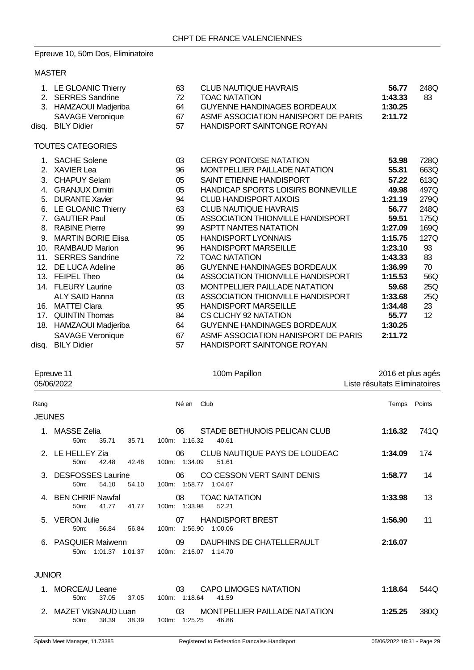### Epreuve 10, 50m Dos, Eliminatoire

### MASTER

|     | 1. LE GLOANIC Thierry     | 63 | <b>CLUB NAUTIQUE HAVRAIS</b>        | 56.77   | 248Q            |
|-----|---------------------------|----|-------------------------------------|---------|-----------------|
|     | 2. SERRES Sandrine        | 72 | <b>TOAC NATATION</b>                | 1:43.33 | 83              |
|     | 3. HAMZAOUI Madjeriba     | 64 | <b>GUYENNE HANDINAGES BORDEAUX</b>  | 1:30.25 |                 |
|     | <b>SAVAGE Veronique</b>   | 67 | ASMF ASSOCIATION HANISPORT DE PARIS | 2:11.72 |                 |
|     | disq. BILY Didier         | 57 | HANDISPORT SAINTONGE ROYAN          |         |                 |
|     | <b>TOUTES CATEGORIES</b>  |    |                                     |         |                 |
|     | 1. SACHE Solene           | 03 | <b>CERGY PONTOISE NATATION</b>      | 53.98   | 728Q            |
|     | 2. XAVIER Lea             | 96 | MONTPELLIER PAILLADE NATATION       | 55.81   | 663Q            |
|     | 3. CHAPUY Selam           | 05 | SAINT ETIENNE HANDISPORT            | 57.22   | 613Q            |
|     | 4. GRANJUX Dimitri        | 05 | HANDICAP SPORTS LOISIRS BONNEVILLE  | 49.98   | 497Q            |
|     | 5. DURANTE Xavier         | 94 | <b>CLUB HANDISPORT AIXOIS</b>       | 1:21.19 | 279Q            |
|     | 6. LE GLOANIC Thierry     | 63 | <b>CLUB NAUTIQUE HAVRAIS</b>        | 56.77   | 248Q            |
|     | 7. GAUTIER Paul           | 05 | ASSOCIATION THIONVILLE HANDISPORT   | 59.51   | 175Q            |
|     | 8. RABINE Pierre          | 99 | <b>ASPTT NANTES NATATION</b>        | 1:27.09 | 169Q            |
| 9.  | <b>MARTIN BORIE Elisa</b> | 05 | <b>HANDISPORT LYONNAIS</b>          | 1:15.75 | 127Q            |
|     | 10. RAMBAUD Marion        | 96 | <b>HANDISPORT MARSEILLE</b>         | 1:23.10 | 93              |
|     | 11. SERRES Sandrine       | 72 | <b>TOAC NATATION</b>                | 1:43.33 | 83              |
|     | 12. DE LUCA Adeline       | 86 | <b>GUYENNE HANDINAGES BORDEAUX</b>  | 1:36.99 | 70              |
|     | 13. FEIPEL Theo           | 04 | ASSOCIATION THIONVILLE HANDISPORT   | 1:15.53 | 56Q             |
|     | 14. FLEURY Laurine        | 03 | MONTPELLIER PAILLADE NATATION       | 59.68   | 25Q             |
|     | <b>ALY SAID Hanna</b>     | 03 | ASSOCIATION THIONVILLE HANDISPORT   | 1:33.68 | 25Q             |
| 16. | <b>MATTEI Clara</b>       | 95 | <b>HANDISPORT MARSEILLE</b>         | 1:34.48 | 23              |
|     | 17. QUINTIN Thomas        | 84 | CS CLICHY 92 NATATION               | 55.77   | 12 <sup>2</sup> |
|     | 18. HAMZAOUI Madjeriba    | 64 | <b>GUYENNE HANDINAGES BORDEAUX</b>  | 1:30.25 |                 |
|     | <b>SAVAGE Veronique</b>   | 67 | ASME ASSOCIATION HANISPORT DE PARIS | 2:11.72 |                 |
|     | disq. BILY Didier         | 57 | <b>HANDISPORT SAINTONGE ROYAN</b>   |         |                 |

| Epreuve 11<br>05/06/2022 |                                                             | 100m Papillon                                                 | 2016 et plus agés<br>Liste résultats Eliminatoires |  |
|--------------------------|-------------------------------------------------------------|---------------------------------------------------------------|----------------------------------------------------|--|
| Rang                     |                                                             | Né en Club                                                    | Temps Points                                       |  |
| <b>JEUNES</b>            |                                                             |                                                               |                                                    |  |
|                          | 1. MASSE Zelia<br>35.71<br>50 <sub>m</sub> :<br>35.71       | STADE BETHUNOIS PELICAN CLUB<br>06<br>100m: 1:16.32<br>40.61  | 1:16.32<br>741Q                                    |  |
| 2.                       | LE HELLEY Zia<br>$50m$ :<br>42.48<br>42.48                  | CLUB NAUTIQUE PAYS DE LOUDEAC<br>06<br>100m: 1:34.09<br>51.61 | 1:34.09<br>174                                     |  |
|                          | 3. DESFOSSES Laurine<br>54.10<br>54.10<br>50m:              | 06<br>CO CESSON VERT SAINT DENIS<br>100m: 1:58.77 1:04.67     | 1:58.77<br>14                                      |  |
|                          | <b>BEN CHRIF Nawfal</b><br>41.77<br>41.77<br>50m:           | <b>TOAC NATATION</b><br>08<br>100m: 1:33.98<br>52.21          | 1:33.98<br>13                                      |  |
|                          | 5. VERON Julie<br>56.84<br>$50m$ :<br>56.84                 | <b>HANDISPORT BREST</b><br>07<br>100m: 1:56.90<br>1:00.06     | 1:56.90<br>11                                      |  |
|                          | 6. PASQUIER Maiwenn<br>50m: 1:01.37 1:01.37                 | DAUPHINS DE CHATELLERAULT<br>09<br>100m: 2:16.07 1:14.70      | 2:16.07                                            |  |
| <b>JUNIOR</b>            |                                                             |                                                               |                                                    |  |
| 1.                       | <b>MORCEAU Leane</b><br>37.05<br>37.05<br>50 <sub>m</sub> : | CAPO LIMOGES NATATION<br>03<br>100m: 1:18.64<br>41.59         | 1:18.64<br>544Q                                    |  |

2. MAZET VIGNAUD Luan 03 MONTPELLIER PAILLADE NATATION **1:25.25** 380Q 50m: 38.39 38.39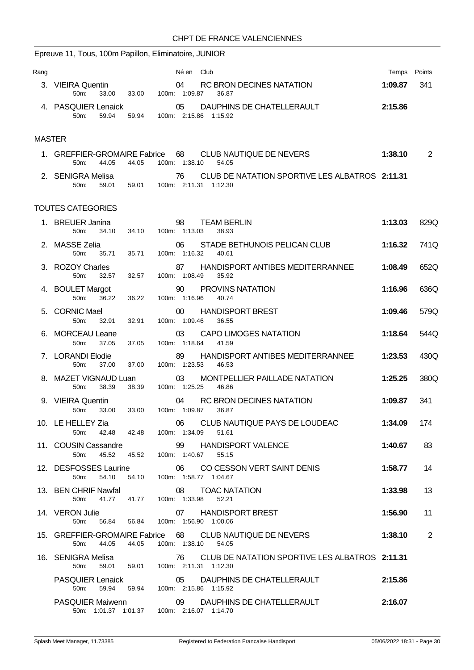|               | Epreuve 11, Tous, 100m Papillon, Eliminatoire, JUNIOR                         |                                      |                                  |               |                                                                   |         |                |
|---------------|-------------------------------------------------------------------------------|--------------------------------------|----------------------------------|---------------|-------------------------------------------------------------------|---------|----------------|
| Rang          |                                                                               |                                      |                                  | Né en<br>Club |                                                                   | Temps   | Points         |
|               | 3. VIEIRA Quentin<br>50m:<br>33.00                                            | 33.00                                | 04<br>100m: 1:09.87              |               | RC BRON DECINES NATATION<br>36.87                                 | 1:09.87 | 341            |
|               | 4. PASQUIER Lenaick<br>50m:<br>59.94                                          | 59.94                                | 05<br>100m: 2:15.86 1:15.92      |               | DAUPHINS DE CHATELLERAULT                                         | 2:15.86 |                |
| <b>MASTER</b> |                                                                               |                                      |                                  |               |                                                                   |         |                |
|               | 1. GREFFIER-GROMAIRE Fabrice<br>50m:<br>44.05                                 | 44.05                                | 68<br>100m: 1:38.10              |               | <b>CLUB NAUTIQUE DE NEVERS</b><br>54.05                           | 1:38.10 | $\overline{2}$ |
|               | 2. SENIGRA Melisa<br>59.01<br>50m:                                            | 59.01                                | 76<br>100m: 2:11.31 1:12.30      |               | CLUB DE NATATION SPORTIVE LES ALBATROS 2:11.31                    |         |                |
|               | <b>TOUTES CATEGORIES</b>                                                      |                                      |                                  |               |                                                                   |         |                |
|               | 1. BREUER Janina<br>50m:<br>34.10                                             | 34.10                                | 98<br>100m: 1:13.03              |               | <b>TEAM BERLIN</b><br>38.93                                       | 1:13.03 | 829Q           |
|               | 2. MASSE Zelia<br>50m:<br>35.71                                               | 35.71                                | 06<br>100m: 1:16.32              |               | STADE BETHUNOIS PELICAN CLUB<br>40.61                             | 1:16.32 | 741Q           |
|               | 3. ROZOY Charles<br>50m:<br>32.57                                             | 32.57                                | 87<br>100m: 1:08.49              |               | HANDISPORT ANTIBES MEDITERRANNEE<br>35.92                         | 1:08.49 | 652Q           |
|               | 4. BOULET Margot<br>50m:<br>36.22                                             | 36.22                                | 90<br>100m: 1:16.96              |               | PROVINS NATATION<br>40.74                                         | 1:16.96 | 636Q           |
|               | 5. CORNIC Mael<br>50m:<br>32.91                                               | 32.91                                | 00 <sup>°</sup><br>100m: 1:09.46 |               | <b>HANDISPORT BREST</b><br>36.55                                  | 1:09.46 | 579Q           |
|               | <b>MORCEAU Leane</b><br>50m:<br>37.05                                         | 37.05                                | 03<br>100m: 1:18.64              |               | <b>CAPO LIMOGES NATATION</b><br>41.59                             | 1:18.64 | 544Q           |
|               | 7. LORANDI Elodie<br>50m:<br>37.00                                            | 37.00                                | 89<br>100m: 1:23.53              |               | HANDISPORT ANTIBES MEDITERRANNEE<br>46.53                         | 1:23.53 | 430Q           |
|               | 8. MAZET VIGNAUD Luan<br>38.39<br>50m:                                        | 38.39                                | 03<br>100m: 1:25.25              |               | MONTPELLIER PAILLADE NATATION<br>46.86                            | 1:25.25 | 380Q           |
|               | 9. VIEIRA Quentin<br>50m:<br>33.00                                            | 33.00                                | 04<br>100m: 1:09.87              |               | <b>RC BRON DECINES NATATION</b><br>36.87                          | 1:09.87 | 341            |
|               | 10. LE HELLEY Zia<br>50m: 42.48 42.48 100m: 1:34.09                           |                                      |                                  |               | 06 CLUB NAUTIQUE PAYS DE LOUDEAC<br>51.61                         | 1:34.09 | 174            |
|               | 11. COUSIN Cassandre<br>50m: 45.52 45.52 100m: 1:40.67 55.15                  |                                      | 99                               |               | <b>HANDISPORT VALENCE</b>                                         | 1:40.67 | 83             |
|               | 54.10<br>50m:                                                                 | 54.10  100m: 1:58.77  1:04.67        |                                  |               | 12. DESFOSSES Laurine 06 CO CESSON VERT SAINT DENIS               | 1:58.77 | 14             |
|               | 13. BEN CHRIF Nawfal<br>50m: 41.77  41.77  100m: 1:33.98  52.21               |                                      |                                  | 08            | <b>TOAC NATATION</b>                                              | 1:33.98 | 13             |
|               | 14. VERON Julie<br>50m: 56.84 56.84 100m: 1:56.90 1:00.06                     |                                      |                                  |               | 07 HANDISPORT BREST                                               | 1:56.90 | 11             |
|               | 50 <sub>m</sub><br>44.05                                                      | 44.05                                | 100m: 1:38.10                    |               | 15. GREFFIER-GROMAIRE Fabrice 68 CLUB NAUTIQUE DE NEVERS<br>54.05 | 1:38.10 | 2              |
|               | 16. SENIGRA Melisa                                                            | 59.01  59.01  100m: 2:11.31  1:12.30 | 76                               |               | CLUB DE NATATION SPORTIVE LES ALBATROS 2:11.31                    |         |                |
|               | 50m:<br>PASQUIER Lenaick 05 DAUPHIN<br>50m: 59.94 59.94 100m: 2:15.86 1:15.92 |                                      |                                  |               | DAUPHINS DE CHATELLERAULT                                         | 2:15.86 |                |
|               | 50m: 1:01.37 1:01.37 100m: 2:16.07 1:14.70                                    |                                      |                                  |               | PASQUIER Maiwenn 09 DAUPHINS DE CHATELLERAULT                     | 2:16.07 |                |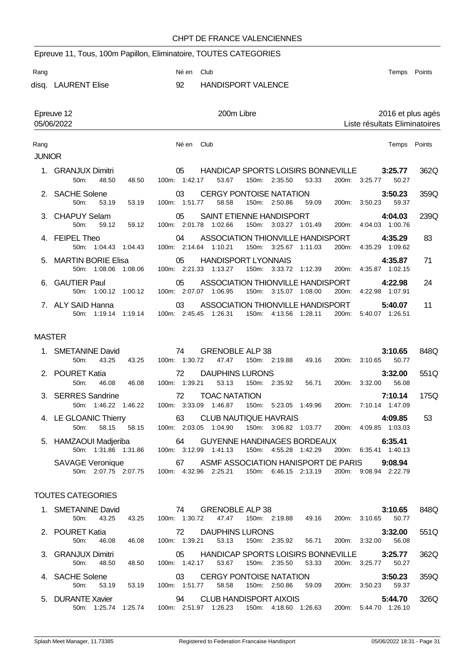|               | Epreuve 11, Tous, 100m Papillon, Eliminatoire, TOUTES CATEGORIES |         |                     |                                                            |                       |         |                    |         |                            |                               |
|---------------|------------------------------------------------------------------|---------|---------------------|------------------------------------------------------------|-----------------------|---------|--------------------|---------|----------------------------|-------------------------------|
| Rang          |                                                                  |         | Né en               | Club                                                       |                       |         |                    |         | Temps                      | Points                        |
|               | disq. LAURENT Elise                                              |         | 92                  | <b>HANDISPORT VALENCE</b>                                  |                       |         |                    |         |                            |                               |
|               |                                                                  |         |                     |                                                            |                       |         |                    |         |                            |                               |
|               | Epreuve 12                                                       |         |                     | 200m Libre                                                 |                       |         |                    |         |                            | 2016 et plus agés             |
|               | 05/06/2022                                                       |         |                     |                                                            |                       |         |                    |         |                            | Liste résultats Eliminatoires |
| Rang          |                                                                  |         | Né en               | Club                                                       |                       |         |                    |         | Temps                      | Points                        |
| <b>JUNIOR</b> |                                                                  |         |                     |                                                            |                       |         |                    |         |                            |                               |
|               | <b>GRANJUX Dimitri</b><br>50m:<br>48.50                          | 48.50   | 05<br>100m: 1:42.17 | <b>HANDICAP SPORTS LOISIRS BONNEVILLE</b><br>53.67         | 150m: 2:35.50         | 53.33   | 200m: 3:25.77      |         | 3:25.77<br>50.27           | 362Q                          |
| 2.            | <b>SACHE Solene</b><br>$50m$ :<br>53.19                          | 53.19   | 03<br>100m: 1:51.77 | <b>CERGY PONTOISE NATATION</b><br>58.58                    | 150m: 2:50.86         | 59.09   | 200m:              | 3:50.23 | 3:50.23<br>59.37           | 359Q                          |
| 3.            | <b>CHAPUY Selam</b><br>50m:<br>59.12                             | 59.12   | 05                  | SAINT ETIENNE HANDISPORT<br>100m: 2:01.78 1:02.66          | 150m: 3:03.27 1:01.49 |         | 200m:              |         | 4:04.03<br>4:04.03 1:00.76 | 239Q                          |
| 4             | <b>FEIPEL Theo</b><br>50m: 1:04.43                               | 1:04.43 | 04<br>100m: 2:14.64 | ASSOCIATION THIONVILLE HANDISPORT<br>1:10.21               | 150m: 3:25.67         | 1:11.03 | 200m:              | 4:35.29 | 4:35.29<br>1:09.62         | 83                            |
| 5.            | <b>MARTIN BORIE Elisa</b><br>50m: 1:08.06 1:08.06                |         | 05                  | <b>HANDISPORT LYONNAIS</b><br>100m: 2:21.33 1:13.27        | 150m: 3:33.72         | 1:12.39 | 200 <sub>m</sub> : |         | 4:35.87<br>4:35.87 1:02.15 | 71                            |
| 6.            | <b>GAUTIER Paul</b><br>50m: 1:00.12 1:00.12                      |         | 05                  | ASSOCIATION THIONVILLE HANDISPORT<br>100m: 2:07.07 1:06.95 | 150m: 3:15.07 1:08.00 |         | 200m:              |         | 4:22.98<br>4:22.98 1:07.91 | 24                            |
|               | 7. ALY SAID Hanna<br>50m: 1:19.14 1:19.14                        |         | 03<br>100m: 2:45.45 | ASSOCIATION THIONVILLE HANDISPORT<br>1:26.31               | 150m: 4:13.56 1:28.11 |         | 200m:              |         | 5:40.07<br>5:40.07 1:26.51 | 11                            |
| <b>MASTER</b> |                                                                  |         |                     |                                                            |                       |         |                    |         |                            |                               |

| 1. SMETANINE David                | $\sim$ 74<br><b>GRENOBLE ALP 38</b>                              | 3:10.65            | 848Q |
|-----------------------------------|------------------------------------------------------------------|--------------------|------|
| 43.25<br>43.25<br>$50m$ :         | 47.47<br>49.16<br>100m: 1:30.72<br>150m: 2:19.88<br>200m:        | 50.77<br>3:10.65   |      |
| 2. POURET Katia                   | DAUPHINS LURONS<br>$\sim$ 72                                     | 3:32.00            | 551Q |
| 46.08<br>46.08<br>50 <sub>m</sub> | 100m: 1:39.21<br>150m: 2:35.92<br>56.71<br>53.13<br>200m:        | 56.08<br>3:32.00   |      |
| 3. SERRES Sandrine                | <b>TOAC NATATION</b><br>72                                       | 7:10.14            | 175Q |
| 50m: 1:46.22 1:46.22              | 100m: 3:33.09<br>150m:<br>1:49.96<br>1:46.87<br>5:23.05<br>200m: | 7:10.14 1:47.09    |      |
| 4. LE GLOANIC Thierry             | CLUB NAUTIQUE HAVRAIS<br>63                                      | 4:09.85            | 53   |
| 58.15<br>58.15<br>$50m$ :         | 200m:<br>2:03.05<br>1:04.90<br>150m: 3:06.82<br>100m:<br>1:03.77 | 4:09.85<br>1:03.03 |      |
| 5. HAMZAOUI Madjeriba 64          | <b>GUYENNE HANDINAGES BORDEAUX</b>                               | 6:35.41            |      |
| 50m: 1:31.86<br>1:31.86           | 3:12.99<br>1:41.13<br>150m:<br>4:55.28 1:42.29<br>200m:<br>100m: | 6:35.41<br>1:40.13 |      |
| SAVAGE Veronique 67               | ASMF ASSOCIATION HANISPORT DE PARIS                              | 9:08.94            |      |
| 50m: 2:07.75 2:07.75              | 100m: 4:32.96 2:25.21<br>150m: 6:46.15 2:13.19<br>200m:          | 9:08.94 2:22.79    |      |

## TOUTES CATEGORIES

| 1. SMETANINE David |       |         |          | 74            | <b>GRENOBLE ALP 38</b>  |       |               |                                    |       |               | 3:10.65 | 848Q |
|--------------------|-------|---------|----------|---------------|-------------------------|-------|---------------|------------------------------------|-------|---------------|---------|------|
| 50m                | 43.25 | 43.25   | $100m$ : | 1:30.72       | 47.47                   |       | 150m: 2:19.88 | 49.16                              | 200m: | 3:10.65       | 50.77   |      |
| 2. POURET Katia    |       |         |          | 72            | DAUPHINS LURONS         |       |               |                                    |       |               | 3:32.00 | 551Q |
| 50m                | 46.08 | 46.08   | 100m:    | 1:39.21       | 53.13                   |       | 150m: 2:35.92 | 56.71                              | 200m: | 3:32.00       | 56.08   |      |
| 3. GRANJUX Dimitri |       |         |          | 05            |                         |       |               | HANDICAP SPORTS LOISIRS BONNEVILLE |       |               | 3:25.77 | 362Q |
| $50m$ :            | 48.50 | 48.50   | 100m:    | 1:42.17       | 53.67                   |       | 150m: 2:35.50 | 53.33                              |       | 200m: 3:25.77 | 50.27   |      |
| 4. SACHE Solene    |       |         |          | 03            | CERGY PONTOISE NATATION |       |               |                                    |       |               | 3:50.23 | 359Q |
| $50m$ :            | 53.19 | 53.19   | $100m$ : | 1:51.77       | 58.58                   |       | 150m: 2:50.86 | 59.09                              | 200m: | 3:50.23       | 59.37   |      |
| 5. DURANTE Xavier  |       |         |          | 94            | CLUB HANDISPORT AIXOIS  |       |               |                                    |       |               | 5:44.70 | 326Q |
| 50m: 1:25.74       |       | 1:25.74 |          | 100m: 2:51.97 | 1:26.23                 | 150m: | 4:18.60       | 1:26.63                            | 200m: | 5:44.70       | 1:26.10 |      |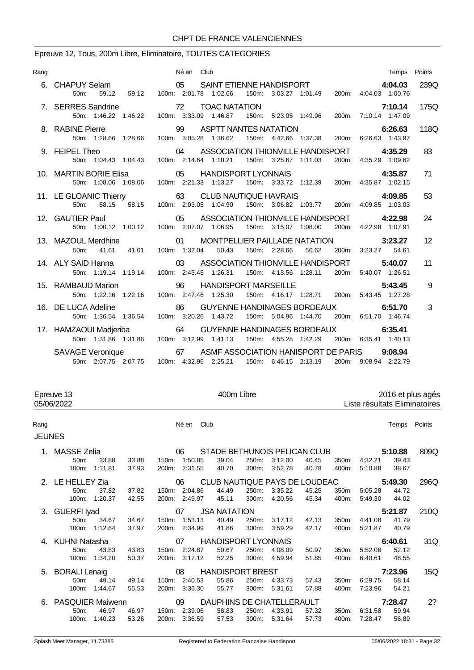# Epreuve 12, Tous, 200m Libre, Eliminatoire, TOUTES CATEGORIES

| Rang |                     | Né en Club                                                                                                                                                                                         | Temps Points |      |
|------|---------------------|----------------------------------------------------------------------------------------------------------------------------------------------------------------------------------------------------|--------------|------|
|      |                     |                                                                                                                                                                                                    |              |      |
|      |                     | 6. CHAPUY Selam 05 SAINT ETIENNE HANDISPORT 4:04.03<br>50m: 59.12 59.12 100m: 2:01.78 1:02.66 150m: 3:03.27 1:01.49 200m: 4:04.03 1:00.76                                                          |              | 239Q |
|      |                     | 7:10.14<br>7:10.14 7:10.14 TOAC NATATION 5:23.05 1:49.96 50m: 1:46.22 1:46.22 100m: 3:33.09 1:46.87 150m: 5:23.05 1:49.96                                                                          | 7:10.14      | 175Q |
|      | 8. RABINE Pierre    | 11/128.66 1128.66 100m: 3:05.28 1:36.62 150m: 4:42.66 1:37.38 200m: 6:26.63 1:43.97                                                                                                                |              | 118Q |
|      | 9. FEIPEL Theo      | EL Theo <b>1.35.29</b><br>50m: 1:04.43 1:04.43 100m: 2:14.64 1:10.21 150m: 3:25.67 1:11.03 200m: 4:35.29 1:09.62                                                                                   |              | 83   |
|      |                     | TIN BORIE Elisa (1.08.06 05 HANDISPORT LYONNAIS 4:35.87 4:35.87 1.08.06 1.08.06 100m: 2:21.33 1:13.27 150m: 3:33.72 1:12.39 200m: 4:35.87 1:02.15<br>10. MARTIN BORIE Elisa 65 HANDISPORT LYONNAIS |              | 71   |
|      |                     | 11. LE GLOANIC Thierry 63 CLUB NAUTIQUE HAVRAIS 4:09.85 4:09.85<br>58.15 58.15 58.15 100m: 2:03.05 1:04.90 150m: 3:06.82 1:03.77 200m: 4:09.85 1:03.03                                             |              | 53   |
|      |                     | 12. GAUTIER Paul <b>122.98</b> COMPOST ASSOCIATION THIONVILLE HANDISPORT 4:22.98<br>50m: 1:00.12 1:00.12 100m: 2:07.07 1:06.95 150m: 3:15.07 1:08.00 200m: 4:22.98 1:07.91                         |              | 24   |
|      | 50m:                | 13. MAZOUL Merdhine <b>120 OLAR MONTPELLIER PAILLADE NATATION</b> 3:23.27<br>41.61  41.61  100m: 1:32.04  50.43  150m: 2:28.66  56.62<br>200m: 3:23.27 54.61                                       |              | 12   |
|      |                     | 14. ALY SAID Hanna $\qquad \qquad 03$ ASSOCIATION THIONVILLE HANDISPORT<br>50m: 1:19.14 1:19.14 100m: 2:45.45 1:26.31 150m: 4:13.56 1:28.11 200m: 5:40.07 1:26.51                                  | 5:40.07      | 11   |
|      | 15. RAMBAUD Marion  | $\sim$ 96<br>HANDISPORT MARSEILLE<br>50m: 1:22.16 1:22.16 100m: 2:47.46 1:25.30 150m: 4:16.17 1:28.71 200m: 5:43.45 1:27.28                                                                        | 5:43.45      | 9    |
|      | 16. DE LUCA Adeline | 86 GUYENNE HANDINAGES BORDEAUX 6:51.70<br>50m: 1:36.54 1:36.54 100m: 3:20.26 1:43.72 150m: 5:04.96 1:44.70 200m: 6:51.70 1:46.74                                                                   |              | 3    |
|      |                     | 17. HAMZAOUI Madjeriba 64 GUYENNE HANDINAGES BORDEAUX 6:35.41<br>50m: 1:31.86 1:31.86 100m: 3:12.99 1:41.13 150m: 4:55.28 1:42.29 200m: 6:35.41 1:40.13                                            |              |      |
|      |                     | SAVAGE Veronique 67 ASMF ASSOCIATION HANISPORT DE PARIS 9:08.94<br>50m: 2:07.75 2:07.75 100m: 4:32.96 2:25.21 150m: 6:46.15 2:13.19<br>200m: 9:08.94 2:22.79                                       |              |      |

|               | 400m Libre<br>2016 et plus agés<br>Epreuve 13<br>05/06/2022<br>Liste résultats Eliminatoires |                  |                |                |                                |                            |                |                               |                |                |                    |                |        |
|---------------|----------------------------------------------------------------------------------------------|------------------|----------------|----------------|--------------------------------|----------------------------|----------------|-------------------------------|----------------|----------------|--------------------|----------------|--------|
| Rang          |                                                                                              |                  |                |                | Club<br>Né en                  |                            |                |                               |                |                |                    | Temps          | Points |
| <b>JEUNES</b> |                                                                                              |                  |                |                |                                |                            |                |                               |                |                |                    |                |        |
|               | 1. MASSE Zelia                                                                               |                  |                |                | 06                             |                            |                | STADE BETHUNOIS PELICAN CLUB  |                |                |                    | 5:10.88        | 809Q   |
|               | 50 <sub>m</sub> :<br>$100m$ :                                                                | 33.88<br>1:11.81 | 33.88<br>37.93 | 150m:<br>200m: | 1:50.85<br>2:31.55             | 39.04<br>40.70             | 250m:<br>300m: | 3:12.00<br>3:52.78            | 40.45<br>40.78 | 350m:<br>400m: | 4:32.21<br>5:10.88 | 39.43<br>38.67 |        |
|               | 2. LE HELLEY Zia                                                                             |                  |                |                | 06                             |                            |                | CLUB NAUTIQUE PAYS DE LOUDEAC |                |                |                    | 5:49.30        | 296Q   |
|               | $50m$ :<br>100m:                                                                             | 37.82<br>1:20.37 | 37.82<br>42.55 | 150m:<br>200m: | 2:04.86<br>2:49.97             | 44.49<br>45.11             | 250m:<br>300m: | 3:35.22<br>4:20.56            | 45.25<br>45.34 | 350m:<br>400m: | 5:05.28<br>5:49.30 | 44.72<br>44.02 |        |
|               | 3. GUERFI Iyad                                                                               |                  |                |                | 07                             | <b>JSA NATATION</b>        |                |                               |                |                |                    | 5:21.87        | 210Q   |
|               | 50m:<br>100m:                                                                                | 34.67<br>1:12.64 | 34.67<br>37.97 | 150m:<br>200m: | 1:53.13<br>2:34.99             | 40.49<br>41.86             | 250m:<br>300m: | 3:17.12<br>3:59.29            | 42.13<br>42.17 | 350m:<br>400m: | 4:41.08<br>5:21.87 | 41.79<br>40.79 |        |
| 4.            | <b>KUHNI Natasha</b>                                                                         |                  |                |                | 07                             | <b>HANDISPORT LYONNAIS</b> |                |                               |                |                |                    | 6:40.61        | 31Q    |
|               | 50 <sub>m</sub> :<br>100m:                                                                   | 43.83<br>1:34.20 | 43.83<br>50.37 | 200m:          | 150m: 2:24.87<br>3:17.12       | 50.67<br>52.25             | 250m:<br>300m: | 4:08.09<br>4:59.94            | 50.97<br>51.85 | 350m:<br>400m: | 5:52.06<br>6:40.61 | 52.12<br>48.55 |        |
| 5.            | <b>BORALI Lenaig</b>                                                                         |                  |                |                | 08                             | <b>HANDISPORT BREST</b>    |                |                               |                |                |                    | 7:23.96        | 15Q    |
|               | 50m:<br>100m:                                                                                | 49.14<br>1:44.67 | 49.14<br>55.53 | 200m:          | 150m: 2:40.53<br>3:36.30       | 55.86<br>55.77             | 250m:<br>300m: | 4:33.73<br>5:31.61            | 57.43<br>57.88 | 350m:<br>400m: | 6:29.75<br>7:23.96 | 58.14<br>54.21 |        |
| 6.            | <b>PASQUIER Maiwenn</b>                                                                      |                  |                |                | 09                             |                            |                | DAUPHINS DE CHATELLERAULT     |                |                |                    | 7:28.47        | 2?     |
|               | 50 <sub>m</sub> :<br>100m:                                                                   | 46.97<br>1:40.23 | 46.97<br>53.26 |                | 150m: 2:39.06<br>200m: 3:36.59 | 58.83<br>57.53             | 250m:<br>300m: | 4:33.91<br>5:31.64            | 57.32<br>57.73 | 350m:<br>400m: | 6:31.58<br>7:28.47 | 59.94<br>56.89 |        |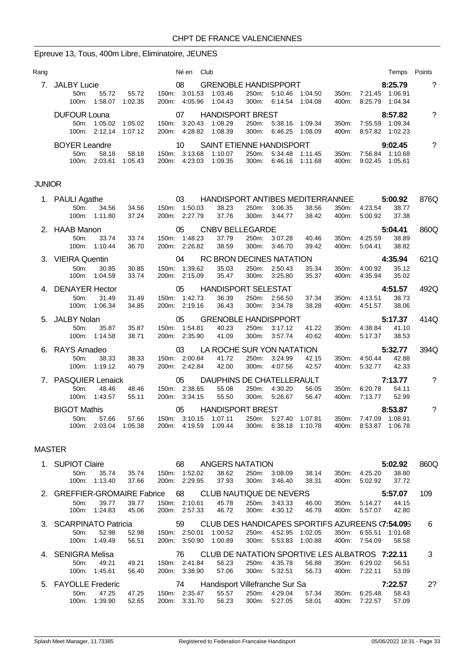# Epreuve 13, Tous, 400m Libre, Eliminatoire, JEUNES

| Rang          |                           |                        |                  | Né en Club                     |                                                      |       |                                                |                       |                |                                                | Temps Points     |                          |
|---------------|---------------------------|------------------------|------------------|--------------------------------|------------------------------------------------------|-------|------------------------------------------------|-----------------------|----------------|------------------------------------------------|------------------|--------------------------|
|               | 7. JALBY Lucie<br>50m:    | 55.72                  | 55.72            | 08                             | <b>GRENOBLE HANDISPPORT</b><br>150m: 3:01.53 1:03.46 |       | 250m: 5:10.46 1:04.50                          |                       | 350m:          | 7:21.45 1:06.91                                | 8:25.79          | $\overline{\phantom{0}}$ |
|               |                           | 100m: 1:58.07 1:02.35  |                  | 200m: 4:05.96                  | 1:04.43                                              |       | 300m: 6:14.54 1:04.08                          |                       |                | 400m: 8:25.79 1:04.34                          |                  |                          |
|               | <b>DUFOUR Louna</b>       |                        |                  | 07                             | <b>HANDISPORT BREST</b>                              |       |                                                |                       |                |                                                | 8:57.82          | ?                        |
|               |                           | 50m: 1:05.02 1:05.02   |                  |                                | 150m: 3:20.43 1:08.29                                |       | 250m: 5:38.16 1:09.34                          |                       | 350m:          | 7:55.59 1:09.34                                |                  |                          |
|               |                           | 100m: 2:12.14          | 1:07.12          | 200m: 4:28.82                  | 1:08.39                                              |       | 300m: 6:46.25                                  | 1:08.09               | 400m:          | 8:57.82 1:02.23                                |                  |                          |
|               | <b>BOYER Leandre</b>      |                        |                  | 10                             | SAINT ETIENNE HANDISPORT                             |       |                                                |                       |                |                                                | 9:02.45          | $\tilde{?}$              |
|               | 50m:                      | 58.18                  | 58.18            | 150m: 3:13.68                  | 1:10.07                                              |       |                                                | 250m: 5:34.48 1:11.45 |                | 350m: 7:56.84 1:10.68                          |                  |                          |
|               |                           | 100m: 2:03.61          | 1:05.43          | 200m: 4:23.03                  | 1:09.35                                              | 300m: | 6:46.16                                        | 1:11.68               | 400m:          | 9:02.45 1:05.61                                |                  |                          |
| <b>JUNIOR</b> |                           |                        |                  |                                |                                                      |       |                                                |                       |                |                                                |                  |                          |
|               | 1. PAULI Agathe           |                        |                  | 03                             | HANDISPORT ANTIBES MEDITERRANNEE                     |       |                                                |                       |                |                                                | 5:00.92          | 876Q                     |
|               | 50m:                      | 34.56                  | 34.56            | 150m: 1:50.03                  | 38.23                                                |       | 250m: 3:06.35                                  | 38.56                 |                | 350m: 4:23.54                                  | 38.77            |                          |
|               |                           | 100m: 1:11.80          | 37.24            | 200m: 2:27.79                  | 37.76                                                | 300m: | 3:44.77                                        | 38.42                 | 400m:          | 5:00.92                                        | 37.38            |                          |
|               | 2. HAAB Manon             |                        |                  | 05                             | <b>CNBV BELLEGARDE</b>                               |       |                                                |                       |                |                                                | 5:04.41          | 860Q                     |
|               | 50m:                      | 33.74                  | 33.74            | 150m: 1:48.23                  | 37.79                                                |       | 250m: 3:07.28                                  | 40.46                 | 350m:          | 4:25.59                                        | 38.89            |                          |
|               |                           | 100m: 1:10.44          | 36.70            | 200m: 2:26.82                  | 38.59                                                | 300m: | 3:46.70                                        | 39.42                 | 400m:          | 5:04.41                                        | 38.82            |                          |
|               | 3. VIEIRA Quentin         |                        |                  | 04                             | <b>RC BRON DECINES NATATION</b>                      |       |                                                |                       |                |                                                | 4:35.94          | 621Q                     |
|               | 50m:                      | 30.85<br>100m: 1:04.59 | 30.85<br>33.74   | 150m: 1:39.62<br>200m: 2:15.09 | 35.03<br>35.47                                       |       | 250m: 2:50.43<br>300m: 3:25.80                 | 35.34<br>35.37        | 350m:<br>400m: | 4:00.92<br>4:35.94                             | 35.12<br>35.02   |                          |
|               |                           |                        |                  |                                |                                                      |       |                                                |                       |                |                                                |                  |                          |
|               | 4. DENAYER Hector<br>50m: | 31.49                  | 31.49            | 05<br>150m: 1:42.73            | <b>HANDISPORT SELESTAT</b><br>36.39                  |       | 250m: 2:56.50                                  | 37.34                 | 350m:          | 4:13.51                                        | 4:51.57<br>38.73 | 492Q                     |
|               |                           | 100m: 1:06.34          | 34.85            | 200m: 2:19.16                  | 36.43                                                |       | 300m: 3:34.78                                  | 38.28                 |                | 400m: 4:51.57                                  | 38.06            |                          |
|               | 5. JALBY Nolan            |                        |                  | 05                             | <b>GRENOBLE HANDISPPORT</b>                          |       |                                                |                       |                |                                                | 5:17.37          | 414Q                     |
|               | 50m:                      | 35.87                  | 35.87            | 150m: 1:54.81                  | 40.23                                                | 250m: | 3:17.12                                        | 41.22                 | 350m:          | 4:38.84                                        | 41.10            |                          |
|               |                           | 100m: 1:14.58          | 38.71            | 200m: 2:35.90                  | 41.09                                                |       | 300m: 3:57.74                                  | 40.62                 |                | 400m: 5:17.37                                  | 38.53            |                          |
|               | 6. RAYS Amadeo            |                        |                  | 03                             | LA ROCHE SUR YON NATATION                            |       |                                                |                       |                |                                                | 5:32.77          | 394Q                     |
|               | 50 <sub>m</sub> :         | 38.33                  | 38.33            | 150m: 2:00.84                  | 41.72                                                |       | 250m: 3:24.99                                  | 42.15                 | 350m:          | 4:50.44                                        | 42.88            |                          |
|               |                           | 100m: 1:19.12          | 40.79            | 200m: 2:42.84                  | 42.00                                                |       | 300m: 4:07.56                                  | 42.57                 |                | 400m: 5:32.77                                  | 42.33            |                          |
|               | 7. PASQUIER Lenaick       |                        |                  | 05                             | DAUPHINS DE CHATELLERAULT                            |       |                                                |                       |                |                                                | 7:13.77          | $\overline{\cdot}$       |
|               | 50 <sub>m</sub> :         | 48.46                  | 48.46            | 150m: 2:38.65                  | 55.08<br>55.50                                       |       | 250m: 4:30.20<br>300m: 5:26.67                 | 56.05                 |                | 350m: 6:20.78<br>7:13.77                       | 54.11            |                          |
|               |                           | 100m: 1:43.57          | 55.11            | 200m: 3:34.15                  |                                                      |       |                                                | 56.47                 | 400m:          |                                                | 52.99            |                          |
|               | <b>BIGOT Mathis</b>       |                        |                  | 05                             | <b>HANDISPORT BREST</b>                              |       |                                                |                       |                |                                                | 8:53.87          | $\overline{\mathcal{E}}$ |
|               | 50m:                      | 57.66<br>100m: 2:03.04 | 57.66<br>1:05.38 |                                | 150m: 3:10.15 1:07.11<br>200m: 4:19.59 1:09.44       |       | 250m: 5:27.40 1:07.81<br>300m: 6:38.18 1:10.78 |                       |                | 350m: 7:47.09 1:08.91<br>400m: 8:53.87 1:06.78 |                  |                          |

### MASTER

|         | <b>SUPIOT Claire</b>         |         |       |       | 68      | ANGERS NATATION                |       |         |                                                 |       |         | 5:02.92 | 860Q |
|---------|------------------------------|---------|-------|-------|---------|--------------------------------|-------|---------|-------------------------------------------------|-------|---------|---------|------|
|         | 50 <sub>m</sub> :            | 35.74   | 35.74 | 150m: | 1:52.02 | 38.62                          | 250m: | 3:08.09 | 38.14                                           | 350m: | 4:25.20 | 38.80   |      |
|         | 100m:                        | 1:13.40 | 37.66 | 200m: | 2:29.95 | 37.93                          | 300m: | 3.46.40 | 38.31                                           | 400m: | 5:02.92 | 37.72   |      |
|         | 2. GREFFIER-GROMAIRE Fabrice |         |       |       | 68      | CLUB NAUTIQUE DE NEVERS        |       |         |                                                 |       |         | 5:57.07 | 109  |
|         | 50m:                         | 39.77   | 39.77 | 150m. | 2:10.61 | 45.78                          | 250m: | 3:43.33 | 46.00                                           | 350m: | 5:14.27 | 44.15   |      |
|         | $100m$ :                     | 1.24.83 | 45.06 | 200m: | 2:57.33 | 46.72                          | 300m: | 4:30.12 | 46.79                                           | 400m: | 5:57.07 | 42.80   |      |
| $3_{-}$ | <b>SCARPINATO Patricia</b>   |         |       |       | 59      |                                |       |         | CLUB DES HANDICAPES SPORTIFS AZUREENS (7:54.095 |       |         |         | 6    |
|         | $50m$ :                      | 52.98   | 52.98 | 150m: | 2:50.01 | 1:00.52                        | 250m: | 4:52.95 | 1:02.05                                         | 350m: | 6:55.51 | 1:01.68 |      |
|         | $100m$ :                     | 1:49.49 | 56.51 | 200m: | 3:50.90 | 1:00.89                        | 300m: | 5.53.83 | 1:00.88                                         | 400m: | 7:54.09 | 58.58   |      |
| 4.      | <b>SENIGRA Melisa</b>        |         |       |       | 76      |                                |       |         | CLUB DE NATATION SPORTIVE LES ALBATROS 7:22.11  |       |         |         | 3    |
|         | $50m$ :                      | 49.21   | 49.21 | 150m: | 2:41.84 | 56.23                          | 250m: | 4:35.78 | 56.88                                           | 350m: | 6:29.02 | 56.51   |      |
|         | 100m:                        | 1:45.61 | 56.40 | 200m: | 3:38.90 | 57.06                          | 300m: | 5:32.51 | 56.73                                           | 400m: | 7:22.11 | 53.09   |      |
|         | 5. FAYOLLE Frederic          |         |       |       | 74      | Handisport Villefranche Sur Sa |       |         |                                                 |       |         | 7:22.57 | 2?   |
|         | 50m:                         | 47.25   | 47.25 | 150m: | 2:35.47 | 55.57                          | 250m: | 4:29.04 | 57.34                                           | 350m: | 6:25.48 | 58.43   |      |
|         | 100m:                        | 1:39.90 | 52.65 | 200m: | 3:31.70 | 56.23                          | 300m: | 5.27.05 | 58.01                                           | 400m: | 7.22.57 | 57.09   |      |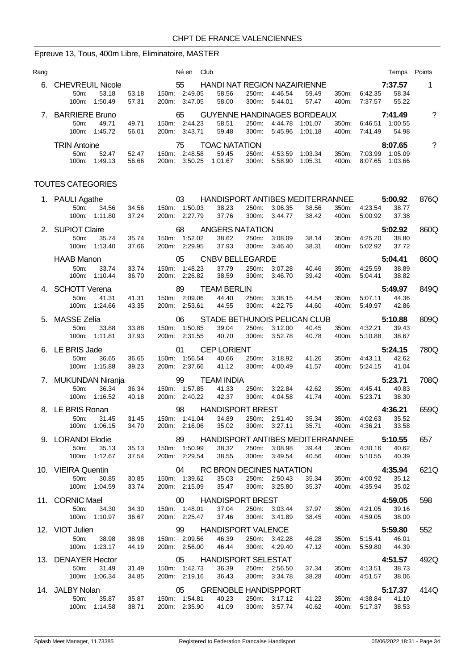# Epreuve 13, Tous, 400m Libre, Eliminatoire, MASTER

| Rang |                                                |                |                                | Né en Club                                  |                |                                |                    |                |                                | Temps              | Points             |
|------|------------------------------------------------|----------------|--------------------------------|---------------------------------------------|----------------|--------------------------------|--------------------|----------------|--------------------------------|--------------------|--------------------|
| 6.   | <b>CHEVREUIL Nicole</b>                        |                | 55                             | HANDI NAT REGION NAZAIRIENNE                |                |                                |                    |                |                                | 7:37.57            | 1                  |
|      | 53.18<br>50 <sub>m</sub> :<br>100m: 1:50.49    | 53.18<br>57.31 | 150m: 2:49.05<br>200m: 3:47.05 | 58.56<br>58.00                              | 300m:          | 250m: 4:46.54<br>5:44.01       | 59.49<br>57.47     | 350m:<br>400m: | 6:42.35<br>7:37.57             | 58.34<br>55.22     |                    |
|      | 7. BARRIERE Bruno                              |                | 65                             | GUYENNE HANDINAGES BORDEAUX                 |                |                                |                    |                |                                | 7:41.49            | $\tilde{?}$        |
|      | 50 <sub>m</sub> :<br>49.71<br>100m:<br>1:45.72 | 49.71<br>56.01 | 150m: 2:44.23<br>200m: 3:43.71 | 58.51<br>59.48                              | 250m:<br>300m: | 4:44.78<br>5.45.96             | 1:01.07<br>1:01.18 | 350m:<br>400m: | 6:46.51 1:00.55<br>7.41.49     | 54.98              |                    |
|      | <b>TRIN Antoine</b>                            |                | 75                             | <b>TOAC NATATION</b>                        |                |                                |                    |                |                                | 8:07.65            | $\overline{\cdot}$ |
|      | 50m:<br>52.47<br>100m:<br>1:49.13              | 52.47<br>56.66 | 150m: 2:48.58<br>200m: 3:50.25 | 59.45<br>1:01.67                            | 250m:<br>300m: | 4:53.59<br>5:58.90             | 1:03.34<br>1:05.31 | 350m:<br>400m: | 7:03.99<br>8:07.65             | 1:05.09<br>1:03.66 |                    |
|      | <b>TOUTES CATEGORIES</b>                       |                |                                |                                             |                |                                |                    |                |                                |                    |                    |
|      | 1. PAULI Agathe                                |                | 03                             | HANDISPORT ANTIBES MEDITERRANNEE            |                |                                |                    |                |                                | 5:00.92            | 876Q               |
|      | 50m:<br>34.56                                  | 34.56          | 150m: 1:50.03                  | 38.23                                       |                | 250m: 3:06.35                  | 38.56              | 350m:          | 4:23.54                        | 38.77              |                    |
|      | 100m: 1:11.80                                  | 37.24          | 200m: 2:27.79                  | 37.76                                       | 300m:          | 3:44.77                        | 38.42              | 400m:          | 5:00.92                        | 37.38              |                    |
|      | 2. SUPIOT Claire                               |                | 68                             | <b>ANGERS NATATION</b>                      |                |                                |                    |                |                                | 5:02.92            | 860Q               |
|      | 50m:<br>35.74<br>100m:<br>1:13.40              | 35.74<br>37.66 | 150m: 1:52.02<br>200m: 2:29.95 | 38.62<br>37.93                              | 300m:          | 250m: 3:08.09<br>3:46.40       | 38.14<br>38.31     | 350m:<br>400m: | 4:25.20<br>5:02.92             | 38.80<br>37.72     |                    |
|      | <b>HAAB Manon</b>                              |                | 05                             | <b>CNBV BELLEGARDE</b>                      |                |                                |                    |                |                                | 5:04.41            | 860Q               |
|      | 50m:<br>33.74                                  | 33.74          | 150m: 1:48.23                  | 37.79                                       | 250m:          | 3:07.28                        | 40.46              | 350m:          | 4:25.59                        | 38.89              |                    |
|      | 100m:<br>1:10.44                               | 36.70          | 200m: 2:26.82                  | 38.59                                       | 300m:          | 3:46.70                        | 39.42              | 400m:          | 5.04.41                        | 38.82              |                    |
|      | 4. SCHOTT Verena                               |                | 89                             | <b>TEAM BERLIN</b>                          |                |                                |                    |                |                                | 5:49.97            | 849Q               |
|      | 50m:<br>41.31<br>100m: 1:24.66                 | 41.31<br>43.35 | 150m: 2:09.06<br>200m: 2:53.61 | 44.40<br>44.55                              | 250m:<br>300m: | 3:38.15<br>4:22.75             | 44.54<br>44.60     | 350m:<br>400m: | 5:07.11<br>5.49.97             | 44.36<br>42.86     |                    |
|      |                                                |                |                                |                                             |                |                                |                    |                |                                |                    |                    |
|      | 5. MASSE Zelia<br>50 <sub>m</sub> :<br>33.88   | 33.88          | 06<br>150m: 1:50.85            | STADE BETHUNOIS PELICAN CLUB<br>39.04       | 250m:          | 3:12.00                        | 40.45              | 350m:          | 4:32.21                        | 5:10.88<br>39.43   | 809Q               |
|      | 100m:<br>1:11.81                               | 37.93          | 200m: 2:31.55                  | 40.70                                       | 300m:          | 3:52.78                        | 40.78              | 400m:          | 5:10.88                        | 38.67              |                    |
|      | 6. LE BRIS Jade                                |                | 01                             | <b>CEP LORIENT</b>                          |                |                                |                    |                |                                | 5:24.15            | 780Q               |
|      | 50m:<br>36.65                                  | 36.65          | 150m: 1:56.54                  | 40.66                                       | 250m:          | 3:18.92                        | 41.26              | 350m:          | 4:43.11                        | 42.62              |                    |
|      | 100m: 1:15.88                                  | 39.23          | 200m: 2:37.66                  | 41.12                                       | 300m:          | 4:00.49                        | 41.57              | 400m:          | 5.24.15                        | 41.04              |                    |
|      | 7. MUKUNDAN Niranja                            |                | 99                             | <b>TEAM INDIA</b>                           |                |                                |                    |                |                                | 5:23.71            | 708Q               |
|      | 50m:<br>36.34<br>100m: 1:16.52                 | 36.34<br>40.18 | 150m: 1:57.85<br>200m: 2:40.22 | 41.33<br>42.37                              | 250m:<br>300m: | 3:22.84<br>4:04.58             | 42.62<br>41.74     | 350m:<br>400m: | 4:45.41<br>5.23.71             | 40.83<br>38.30     |                    |
|      | 8. LE BRIS Ronan                               |                |                                | <b>HANDISPORT BREST</b>                     |                |                                |                    |                |                                | 4:36.21            |                    |
|      | 50m: 31.45                                     | 31.45          | 98<br>150m: 1:41.04            | 34.89                                       |                | 250m: 2:51.40                  | 35.34              |                | 350m: 4:02.63                  | 35.52              | 659Q               |
|      | 100m: 1:06.15                                  | 34.70          | 200m: 2:16.06                  | 35.02                                       |                | 300m: 3:27.11                  | 35.71              |                | 400m: 4:36.21                  | 33.58              |                    |
|      | 9. LORANDI Elodie                              |                |                                | 89 HANDISPORT ANTIBES MEDITERRANNEE 5:10.55 |                |                                |                    |                |                                |                    | 657                |
|      | 50m:<br>35.13                                  | 35.13          | 150m: 1:50.99                  | 38.32                                       |                | 250m: 3:08.98                  | 39.44              |                | 350m: 4:30.16 40.62            |                    |                    |
|      | 100m: 1:12.67                                  | 37.54          | 200m: 2:29.54                  | 38.55                                       |                | 300m: 3:49.54                  | 40.56              |                | 400m: 5:10.55                  | 40.39              |                    |
|      | 10. VIEIRA Quentin                             |                |                                | 04 RC BRON DECINES NATATION                 |                |                                |                    |                |                                | 4:35.94            | 621Q               |
|      | 50m:<br>30.85<br>100m: 1:04.59                 | 30.85<br>33.74 | 150m: 1:39.62<br>200m: 2:15.09 | 35.03<br>35.47                              |                | 250m: 2:50.43<br>300m: 3:25.80 | 35.34<br>35.37     |                | 350m: 4:00.92<br>400m: 4:35.94 | 35.12<br>35.02     |                    |
|      |                                                |                |                                |                                             |                |                                |                    |                |                                |                    |                    |
|      | 11. CORNIC Mael<br>50m:<br>34.30               | 34.30          | 150m: 1:48.01                  | 00 HANDISPORT BREST<br>37.04                |                | 250m: 3:03.44                  | 37.97              |                | 350m: 4:21.05                  | 4:59.05<br>39.16   | 598                |
|      | 100m: 1:10.97                                  | 36.67          | 200m: 2:25.47                  | 37.46                                       |                | 300m: 3:41.89                  | 38.45              |                | 400m: 4:59.05                  | 38.00              |                    |
|      | 12. VIOT Julien                                |                |                                | 99 HANDISPORT VALENCE                       |                |                                |                    |                |                                | 5:59.80            | 552                |
|      | 50m:<br>38.98                                  | 38.98          | 150m: 2:09.56                  | 46.39                                       |                | 250m: 3:42.28                  | 46.28              |                | 350m: 5:15.41                  | 46.01              |                    |
|      | 100m: 1:23.17                                  | 44.19          | 200m: 2:56.00                  | 46.44                                       |                | 300m: 4:29.40                  | 47.12              |                | 400m: 5:59.80                  | 44.39              |                    |
|      | 13. DENAYER Hector                             |                |                                | 05 HANDISPORT SELESTAT                      |                |                                |                    |                |                                | 4:51.57            | 492Q               |
|      | 50m:<br>31.49<br>100m: 1:06.34                 | 31.49<br>34.85 | 150m: 1:42.73<br>200m: 2:19.16 | 36.39<br>36.43                              |                | 250m: 2:56.50<br>300m: 3:34.78 | 37.34<br>38.28     |                | 350m: 4:13.51<br>400m: 4:51.57 | 38.73<br>38.06     |                    |
|      |                                                |                |                                |                                             |                |                                |                    |                |                                |                    |                    |
|      | 14. JALBY Nolan<br>50m:<br>35.87               | 35.87          | 05<br>150m: 1:54.81            | GRENOBLE HANDISPPORT<br>40.23               |                | 250m: 3:17.12                  | 41.22              |                | 350m: 4:38.84                  | 5:17.37<br>41.10   | 414Q               |
|      | 100m: 1:14.58                                  | 38.71          | 200m: 2:35.90                  | 41.09                                       |                | 300m: 3:57.74                  | 40.62              |                | 400m: 5:17.37                  | 38.53              |                    |
|      |                                                |                |                                |                                             |                |                                |                    |                |                                |                    |                    |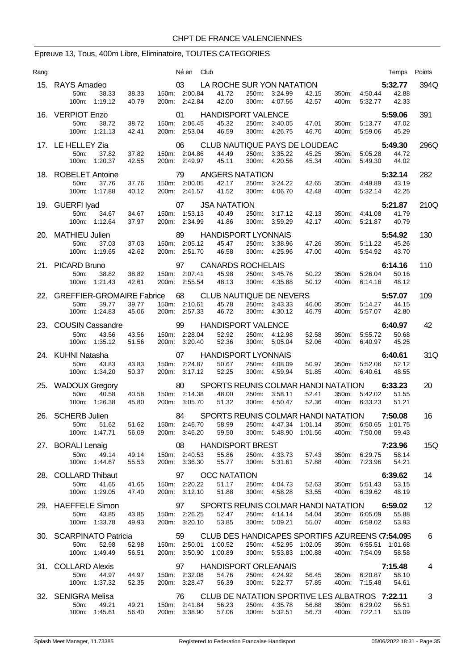# Epreuve 13, Tous, 400m Libre, Eliminatoire, TOUTES CATEGORIES

| Rang |                                                 |                | Né en                          | Club |                                                  |                |                                        |                |                |                                | Temps            | Points            |
|------|-------------------------------------------------|----------------|--------------------------------|------|--------------------------------------------------|----------------|----------------------------------------|----------------|----------------|--------------------------------|------------------|-------------------|
|      | 15. RAYS Amadeo                                 |                | 03                             |      | LA ROCHE SUR YON NATATION                        |                |                                        |                |                |                                | 5:32.77          | 394Q              |
|      | 50m:<br>38.33<br>100m: 1:19.12                  | 38.33<br>40.79 | 150m: 2:00.84<br>200m: 2:42.84 |      | 41.72<br>42.00                                   | 250m:          | 3:24.99<br>300m: 4:07.56               | 42.15<br>42.57 | 400m:          | 350m: 4:50.44<br>5:32.77       | 42.88<br>42.33   |                   |
|      | 16. VERPIOT Enzo                                |                | 01                             |      | <b>HANDISPORT VALENCE</b>                        |                |                                        |                |                |                                | 5:59.06          | 391               |
|      | 50 <sub>m</sub> :<br>38.72<br>100m: 1:21.13     | 38.72<br>42.41 | 150m: 2:06.45<br>200m: 2:53.04 |      | 45.32<br>46.59                                   | 250m:<br>300m: | 3:40.05<br>4:26.75                     | 47.01<br>46.70 | 350m:<br>400m: | 5:13.77<br>5.59.06             | 47.02<br>45.29   |                   |
|      | 17. LE HELLEY Zia                               |                | 06                             |      | CLUB NAUTIQUE PAYS DE LOUDEAC                    |                |                                        |                |                |                                | 5:49.30          | 296Q              |
|      | 37.82<br>50 <sub>m</sub><br>$100m$ :<br>1:20.37 | 37.82<br>42.55 | 150m: 2:04.86<br>200m: 2:49.97 |      | 44.49<br>45.11                                   | 250m:<br>300m: | 3:35.22<br>4:20.56                     | 45.25<br>45.34 | 350m:<br>400m: | 5:05.28<br>5:49.30             | 44.72<br>44.02   |                   |
|      | 18. ROBELET Antoine                             |                | 79                             |      | <b>ANGERS NATATION</b>                           |                |                                        |                |                |                                | 5:32.14          | 282               |
|      | 50m:<br>37.76<br>100m:<br>1:17.88               | 37.76<br>40.12 | 150m: 2:00.05<br>200m: 2:41.57 |      | 42.17<br>41.52                                   | 250m:<br>300m: | 3:24.22<br>4:06.70                     | 42.65<br>42.48 | 350m:<br>400m: | 4:49.89<br>5:32.14             | 43.19<br>42.25   |                   |
|      | 19. GUERFI Iyad                                 |                | 07                             |      | <b>JSA NATATION</b>                              |                |                                        |                |                |                                | 5:21.87          | 210Q              |
|      | 50m:<br>34.67                                   | 34.67          | 150m: 1:53.13                  |      | 40.49                                            | 250m:          | 3:17.12                                | 42.13          | 350m:          | 4:41.08                        | 41.79            |                   |
|      | 100m: 1:12.64                                   | 37.97          | 200m: 2:34.99                  |      | 41.86                                            | 300m:          | 3:59.29                                | 42.17          | 400m:          | 5.21.87                        | 40.79            |                   |
|      | 20. MATHIEU Julien                              |                | 89                             |      | <b>HANDISPORT LYONNAIS</b>                       |                |                                        |                |                |                                | 5:54.92          | 130               |
|      | 50m:<br>37.03                                   | 37.03          | 150m: 2:05.12                  |      | 45.47                                            | 250m:          | 3:38.96                                | 47.26          | 350m.          | 5:11.22                        | 45.26            |                   |
|      | 100m:<br>1:19.65                                | 42.62          | 200m: 2:51.70                  |      | 46.58                                            | 300m:          | 4:25.96                                | 47.00          | 400m:          | 5:54.92                        | 43.70            |                   |
|      | 21. PICARD Bruno                                |                | 97                             |      | <b>CANARDS ROCHELAIS</b>                         |                |                                        |                |                |                                | 6:14.16          | 110               |
|      | 50 <sub>m</sub> :<br>38.82                      | 38.82          | 150m: 2:07.41                  |      | 45.98                                            | 250m:          | 3:45.76                                | 50.22          | 350m:          | 5:26.04                        | 50.16            |                   |
|      | 100m: 1:21.43                                   | 42.61          | 200m: 2:55.54                  |      | 48.13                                            | 300m:          | 4:35.88                                | 50.12          | 400m:          | 6:14.16                        | 48.12            |                   |
| 22.  | <b>GREFFIER-GROMAIRE Fabrice</b>                |                | 68                             |      | CLUB NAUTIQUE DE NEVERS                          |                |                                        |                |                |                                | 5:57.07          | 109               |
|      | 50m:<br>39.77<br>100m: 1:24.83                  | 39.77<br>45.06 | 150m: 2:10.61<br>200m: 2:57.33 |      | 45.78<br>46.72                                   | 250m:          | 3:43.33<br>300m: 4:30.12               | 46.00<br>46.79 | 350m:<br>400m: | 5:14.27<br>5:57.07             | 44.15<br>42.80   |                   |
|      | 23. COUSIN Cassandre                            |                | 99                             |      | <b>HANDISPORT VALENCE</b>                        |                |                                        |                |                |                                | 6:40.97          | 42                |
|      | 50m:<br>43.56<br>100m:<br>1:35.12               | 43.56<br>51.56 | 150m: 2:28.04<br>200m: 3:20.40 |      | 52.92<br>52.36                                   | 300m:          | 250m: 4:12.98<br>5:05.04               | 52.58<br>52.06 | 350m:<br>400m: | 5:55.72<br>6:40.97             | 50.68<br>45.25   |                   |
|      | 24. KUHNI Natasha                               |                | 07                             |      | <b>HANDISPORT LYONNAIS</b>                       |                |                                        |                |                |                                | 6:40.61          | 31Q               |
|      | 50 <sub>m</sub><br>43.83                        | 43.83          | 150m: 2:24.87                  |      | 50.67                                            |                | 250m: 4:08.09                          | 50.97          | 350m:          | 5:52.06                        | 52.12            |                   |
|      | 100m:<br>1:34.20                                | 50.37          | 200m: 3:17.12                  |      | 52.25                                            | 300m:          | 4:59.94                                | 51.85          | 400m:          | 6:40.61                        | 48.55            |                   |
|      | 25. WADOUX Gregory                              |                | 80                             |      | SPORTS REUNIS COLMAR HANDI NATATION              |                |                                        |                |                |                                | 6:33.23          | 20                |
|      | 40.58<br>50m:                                   | 40.58          | 150m: 2:14.38                  |      | 48.00                                            | 250m:          | 3:58.11                                | 52.41          | 350m:          | 5:42.02                        | 51.55            |                   |
|      | 1:26.38<br>100m:                                | 45.80          | 200m: 3:05.70                  |      | 51.32                                            | 300m:          | 4:50.47                                | 52.36          | 400m:          | 6:33.23                        | 51.21            |                   |
|      | 26. SCHERB Julien                               |                | 84                             |      | SPORTS REUNIS COLMAR HANDI NATATION              |                |                                        |                |                |                                | 7:50.08          | 16                |
|      | 50m:<br>51.62                                   | 51.62          | 150m: 2:46.70                  |      | 58.99                                            |                | 250m: 4:47.34                          | 1:01.14        | 350m:          |                                |                  |                   |
|      | 100m: 1:47.71                                   | 56.09          | 200m: 3:46.20                  |      | 59.50                                            | 300m:          | 5:48.90                                | 1:01.56        | 400m:          | 7:50.08                        | 59.43            |                   |
|      | 27. BORALI Lenaig                               |                | 08                             |      | <b>HANDISPORT BREST</b>                          |                |                                        |                |                |                                | 7:23.96          | 15Q               |
|      | 50 <sub>m</sub><br>49.14<br>100m: 1:44.67       | 49.14<br>55.53 | 150m: 2:40.53<br>200m: 3:36.30 |      | 55.86<br>55.77                                   | 300m:          | 250m: 4:33.73<br>5:31.61               | 57.43<br>57.88 | 350m:<br>400m: | 6:29.75<br>7:23.96             | 58.14<br>54.21   |                   |
|      |                                                 |                |                                |      |                                                  |                |                                        |                |                |                                |                  |                   |
|      | 28. COLLARD Thibaut                             |                | 97                             |      | <b>OCC NATATION</b>                              |                |                                        |                |                |                                | 6:39.62          | 14                |
|      | 50m:<br>41.65<br>100m: 1:29.05                  | 41.65<br>47.40 | 150m: 2:20.22<br>200m: 3:12.10 |      | 51.17<br>51.88                                   | 300m:          | 250m: 4:04.73<br>4:58.28               | 52.63<br>53.55 |                | 350m: 5:51.43<br>400m: 6:39.62 | 53.15<br>48.19   |                   |
|      |                                                 |                |                                |      |                                                  |                |                                        |                |                |                                |                  |                   |
|      | 29. HAEFFELE Simon                              |                | 97                             |      | SPORTS REUNIS COLMAR HANDI NATATION              |                |                                        |                |                |                                | 6:59.02          | $12 \overline{ }$ |
|      | 50m:<br>43.85<br>100m: 1:33.78                  | 43.85<br>49.93 | 150m: 2:26.25<br>200m: 3:20.10 |      | 52.47<br>53.85                                   |                | 250m: 4:14.14<br>300m: 5:09.21         | 54.04<br>55.07 | 350m:          | 6:05.09<br>400m: 6:59.02       | 55.88<br>53.93   |                   |
|      |                                                 |                |                                |      |                                                  |                |                                        |                |                |                                |                  |                   |
|      | 30. SCARPINATO Patricia                         |                | 59                             |      | CLUB DES HANDICAPES SPORTIFS AZUREENS (7:54.095) |                |                                        |                |                |                                |                  | 6                 |
|      | 52.98<br>50m:<br>100m: 1:49.49                  | 52.98<br>56.51 | 150m: 2:50.01<br>200m: 3:50.90 |      | 1:00.52<br>1:00.89                               |                | 250m: 4:52.95 1:02.05<br>300m: 5:53.83 | 1:00.88        | 400m:          | 350m: 6:55.51<br>7:54.09       | 1:01.68<br>58.58 |                   |
|      |                                                 |                |                                |      |                                                  |                |                                        |                |                |                                |                  |                   |
|      | 31. COLLARD Alexis                              |                |                                |      | 97 HANDISPORT ORLEANAIS                          |                |                                        |                |                |                                | 7:15.48          | 4                 |
|      | 50m:<br>44.97<br>100m: 1:37.32                  | 44.97<br>52.35 | 150m: 2:32.08<br>200m: 3:28.47 |      | 54.76<br>56.39                                   |                | 250m: 4:24.92<br>300m: 5:22.77         | 56.45<br>57.85 |                | 350m: 6:20.87<br>400m: 7:15.48 | 58.10<br>54.61   |                   |
|      |                                                 |                |                                |      |                                                  |                |                                        |                |                |                                |                  |                   |
|      | 32. SENIGRA Melisa                              |                | 76.                            |      | CLUB DE NATATION SPORTIVE LES ALBATROS 7:22.11   |                | 250m: 4:35.78                          |                |                |                                |                  | 3                 |
|      | 50m:<br>49.21<br>100m: 1:45.61                  | 49.21<br>56.40 | 150m: 2:41.84<br>200m: 3:38.90 |      | 56.23<br>57.06                                   |                | 300m: 5:32.51                          | 56.88<br>56.73 |                | 350m: 6:29.02<br>400m: 7:22.11 | 56.51<br>53.09   |                   |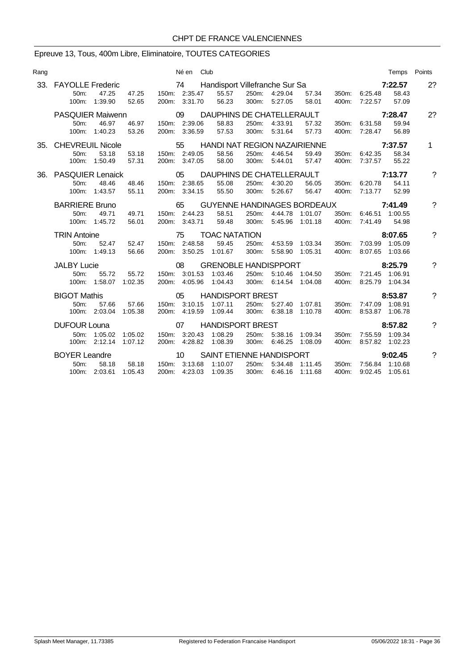## Epreuve 13, Tous, 400m Libre, Eliminatoire, TOUTES CATEGORIES

| Rang |                                           |                                |                    |                 | Né en Club                           |                                                                 |                |                                                |                    |                |                                                | Temps Points               |             |
|------|-------------------------------------------|--------------------------------|--------------------|-----------------|--------------------------------------|-----------------------------------------------------------------|----------------|------------------------------------------------|--------------------|----------------|------------------------------------------------|----------------------------|-------------|
| 33.  | <b>FAYOLLE Frederic</b><br>50m:<br>100m:  | 47.25<br>1:39.90               | 47.25<br>52.65     |                 | 150m: 2:35.47<br>200m: 3:31.70       | 74 Handisport Villefranche Sur Sa<br>55.57<br>56.23             |                | 250m: 4:29.04<br>300m: 5:27.05                 | 57.34<br>58.01     |                | 350m: 6:25.48<br>400m: 7:22.57                 | 7:22.57<br>58.43<br>57.09  | 2?          |
|      | <b>PASQUIER Maiwenn</b><br>50m:           | 46.97<br>100m: 1:40.23         | 46.97<br>53.26     | $\overline{0}9$ | 150m: 2:39.06<br>200m: 3:36.59       | DAUPHINS DE CHATELLERAULT<br>58.83<br>57.53                     |                | 250m: 4:33.91<br>300m: 5:31.64                 | 57.32<br>57.73     | 400m:          | 350m: 6:31.58<br>7:28.47                       | 7:28.47<br>59.94<br>56.89  | 2?          |
|      | 35. CHEVREUIL Nicole<br>50m:<br>100m:     | 53.18<br>1:50.49               | 53.18<br>57.31     |                 | 55<br>150m: 2:49.05<br>200m: 3:47.05 | <b>HANDI NAT REGION NAZAIRIENNE</b><br>58.56<br>58.00           |                | 250m: 4:46.54<br>300m: 5:44.01                 | 59.49<br>57.47     | 400m:          | 350m: 6:42.35<br>7:37.57                       | 7:37.57<br>58.34<br>55.22  | $\mathbf 1$ |
| 36.  | <b>PASQUIER Lenaick</b><br>$50m$ :        | 48.46<br>100m: 1:43.57         | 48.46<br>55.11     | $\overline{05}$ | 150m: 2:38.65<br>200m: 3:34.15       | DAUPHINS DE CHATELLERAULT<br>55.08<br>55.50                     |                | 250m: 4:30.20<br>300m: 5:26.67                 | 56.05<br>56.47     | 350m:<br>400m: | 6:20.78<br>7:13.77                             | 7:13.77<br>54.11<br>52.99  | ?           |
|      | <b>BARRIERE Bruno</b><br>50m:             | 49.71<br>100m: 1:45.72         | 49.71<br>56.01     |                 | 65<br>150m: 2:44.23<br>200m: 3:43.71 | <b>GUYENNE HANDINAGES BORDEAUX</b><br>58.51<br>59.48            |                | 250m: 4:44.78 1:01.07<br>300m: 5:45.96 1:01.18 |                    | 400m:          | 350m: 6:46.51 1:00.55<br>7:41.49               | 7:41.49<br>54.98           | 7           |
|      | <b>TRIN Antoine</b><br>50 <sub>m</sub> :  | 52.47<br>100m: 1:49.13         | 52.47<br>56.66     |                 | 75<br>150m: 2:48.58<br>200m: 3:50.25 | <b>TOAC NATATION</b><br>59.45<br>1:01.67                        | 250m:<br>300m: | 4:53.59 1:03.34<br>5:58.90                     | 1:05.31            | 350m:          | 7:03.99 1:05.09<br>400m: 8:07.65 1:03.66       | 8:07.65                    | ?           |
|      | <b>JALBY Lucie</b><br>50m:                | 55.72<br>100m: 1:58.07         | 55.72<br>1:02.35   |                 | 08<br>150m: 3:01.53                  | <b>GRENOBLE HANDISPPORT</b><br>1:03.46<br>200m: 4:05.96 1:04.43 |                | 250m: 5:10.46<br>300m: 6:14.54 1:04.08         | 1:04.50            | 350m:<br>400m: | 7:21.45 1:06.91                                | 8:25.79<br>8:25.79 1:04.34 | ?           |
|      | <b>BIGOT Mathis</b><br>$50m$ :            | 57.66<br>100m: 2:03.04 1:05.38 | 57.66              |                 | 05<br>150m: 3:10.15<br>200m: 4:19.59 | <b>HANDISPORT BREST</b><br>1:07.11<br>1:09.44                   |                | 250m: 5:27.40 1:07.81<br>300m: 6:38.18         | 1:10.78            |                | 350m: 7:47.09 1:08.91<br>400m: 8:53.87 1:06.78 | 8:53.87                    | 7           |
|      | <b>DUFOUR Louna</b>                       | 50m: 1:05.02<br>100m: 2:12.14  | 1:05.02<br>1:07.12 |                 | 07<br>150m: 3:20.43                  | <b>HANDISPORT BREST</b><br>1:08.29<br>200m: 4:28.82 1:08.39     | 250m:          | 5:38.16<br>300m: 6:46.25                       | 1:09.34<br>1:08.09 | 350m:          | 7:55.59 1:09.34<br>400m: 8:57.82 1:02.23       | 8:57.82                    | ?           |
|      | <b>BOYER Leandre</b><br>50 <sub>m</sub> : | 58.18<br>100m: 2:03.61         | 58.18<br>1:05.43   | $\sim$ 10       | 150m: 3:13.68                        | SAINT ETIENNE HANDISPORT<br>1:10.07<br>200m: 4:23.03 1:09.35    |                | 250m: 5:34.48<br>300m: 6:46.16                 | 1:11.45<br>1:11.68 | 350m:          | 7:56.84 1:10.68<br>400m: 9:02.45 1:05.61       | 9:02.45                    | ?           |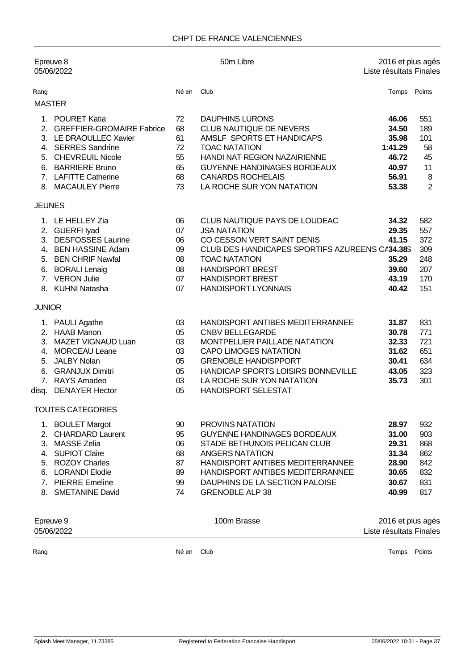#### CHPT DE FRANCE VALENCIENNES

|                                                    | Epreuve 8<br>05/06/2022                                                                                                                                                                       |                                              | 50m Libre                                                                                                                                                                                                                                                   | 2016 et plus agés<br>Liste résultats Finales                           |                                                            |
|----------------------------------------------------|-----------------------------------------------------------------------------------------------------------------------------------------------------------------------------------------------|----------------------------------------------|-------------------------------------------------------------------------------------------------------------------------------------------------------------------------------------------------------------------------------------------------------------|------------------------------------------------------------------------|------------------------------------------------------------|
| Rang                                               |                                                                                                                                                                                               | Né en                                        | Club                                                                                                                                                                                                                                                        | Temps Points                                                           |                                                            |
|                                                    | <b>MASTER</b>                                                                                                                                                                                 |                                              |                                                                                                                                                                                                                                                             |                                                                        |                                                            |
| 6.                                                 | 1. POURET Katia<br>2. GREFFIER-GROMAIRE Fabrice<br>3. LE DRAOULLEC Xavier<br>4. SERRES Sandrine<br>5. CHEVREUIL Nicole<br><b>BARRIERE Bruno</b><br>7. LAFITTE Catherine<br>8. MACAULEY Pierre | 72<br>68<br>61<br>72<br>55<br>65<br>68<br>73 | <b>DAUPHINS LURONS</b><br>CLUB NAUTIQUE DE NEVERS<br>AMSLF SPORTS ET HANDICAPS<br><b>TOAC NATATION</b><br>HANDI NAT REGION NAZAIRIENNE<br>GUYENNE HANDINAGES BORDEAUX<br><b>CANARDS ROCHELAIS</b><br>LA ROCHE SUR YON NATATION                              | 46.06<br>34.50<br>35.98<br>1:41.29<br>46.72<br>40.97<br>56.91<br>53.38 | 551<br>189<br>101<br>58<br>45<br>11<br>8<br>$\overline{2}$ |
|                                                    |                                                                                                                                                                                               |                                              |                                                                                                                                                                                                                                                             |                                                                        |                                                            |
| <b>JEUNES</b><br>3.<br>6.                          | 1. LE HELLEY Zia<br>2. GUERFI lyad<br><b>DESFOSSES Laurine</b><br>4. BEN HASSINE Adam<br>5. BEN CHRIF Nawfal<br><b>BORALI Lenaig</b><br>7. VERON Julie<br>8. KUHNI Natasha                    | 06<br>07<br>06<br>09<br>08<br>08<br>07<br>07 | CLUB NAUTIQUE PAYS DE LOUDEAC<br><b>JSA NATATION</b><br>CO CESSON VERT SAINT DENIS<br>CLUB DES HANDICAPES SPORTIFS AZUREENS CA34.38S<br><b>TOAC NATATION</b><br><b>HANDISPORT BREST</b><br><b>HANDISPORT BREST</b><br><b>HANDISPORT LYONNAIS</b>            | 34.32<br>29.35<br>41.15<br>35.29<br>39.60<br>43.19<br>40.42            | 582<br>557<br>372<br>309<br>248<br>207<br>170<br>151       |
| <b>JUNIOR</b>                                      |                                                                                                                                                                                               |                                              |                                                                                                                                                                                                                                                             |                                                                        |                                                            |
| 5.<br>6.<br>disq.                                  | 1. PAULI Agathe<br>2. HAAB Manon<br>3. MAZET VIGNAUD Luan<br>4. MORCEAU Leane<br><b>JALBY Nolan</b><br><b>GRANJUX Dimitri</b><br>7. RAYS Amadeo<br><b>DENAYER Hector</b>                      | 03<br>05<br>03<br>03<br>05<br>05<br>03<br>05 | HANDISPORT ANTIBES MEDITERRANNEE<br><b>CNBV BELLEGARDE</b><br>MONTPELLIER PAILLADE NATATION<br><b>CAPO LIMOGES NATATION</b><br><b>GRENOBLE HANDISPPORT</b><br>HANDICAP SPORTS LOISIRS BONNEVILLE<br>LA ROCHE SUR YON NATATION<br><b>HANDISPORT SELESTAT</b> | 31.87<br>30.78<br>32.33<br>31.62<br>30.41<br>43.05<br>35.73            | 831<br>771<br>721<br>651<br>634<br>323<br>301              |
|                                                    | <b>TOUTES CATEGORIES</b>                                                                                                                                                                      |                                              |                                                                                                                                                                                                                                                             |                                                                        |                                                            |
| 2.<br>3.<br>4.<br>5.<br>6.<br>7 <sub>1</sub><br>8. | 1. BOULET Margot<br><b>CHARDARD Laurent</b><br><b>MASSE Zelia</b><br><b>SUPIOT Claire</b><br><b>ROZOY Charles</b><br><b>LORANDI Elodie</b><br><b>PIERRE</b> Emeline<br><b>SMETANINE David</b> | 90<br>95<br>06<br>68<br>87<br>89<br>99<br>74 | <b>PROVINS NATATION</b><br><b>GUYENNE HANDINAGES BORDEAUX</b><br>STADE BETHUNOIS PELICAN CLUB<br><b>ANGERS NATATION</b><br>HANDISPORT ANTIBES MEDITERRANNEE<br>HANDISPORT ANTIBES MEDITERRANNEE<br>DAUPHINS DE LA SECTION PALOISE<br><b>GRENOBLE ALP 38</b> | 28.97<br>31.00<br>29.31<br>31.34<br>28.90<br>30.65<br>30.67<br>40.99   | 932<br>903<br>868<br>862<br>842<br>832<br>831<br>817       |
|                                                    | Epreuve 9<br>05/06/2022                                                                                                                                                                       |                                              | 100m Brasse                                                                                                                                                                                                                                                 | 2016 et plus agés<br>Liste résultats Finales                           |                                                            |

Rang **Né en Club** Né en Club **Né en Club Temps** Points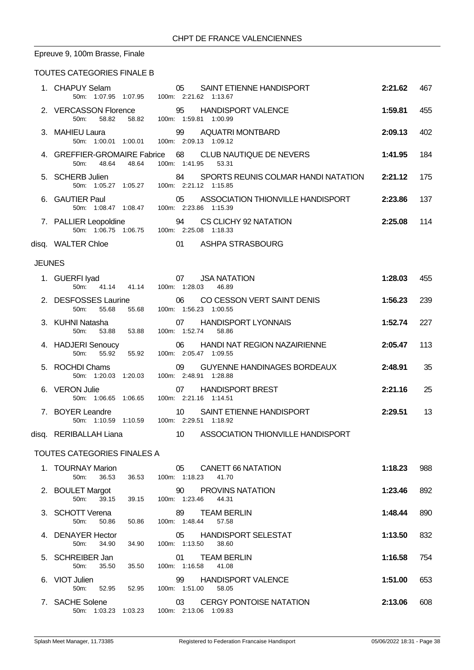# Epreuve 9, 100m Brasse, Finale

### TOUTES CATEGORIES FINALE B

|               | 1. CHAPUY Selam<br>50m: 1:07.95 1:07.95 100m: 2:21.62 1:13.67            | SAINT ETIENNE HANDISPORT<br>05                                                 | 2:21.62 | 467 |
|---------------|--------------------------------------------------------------------------|--------------------------------------------------------------------------------|---------|-----|
|               | 2. VERCASSON Florence<br>50m: 58.82 58.82 100m: 1:59.81 1:00.99          | 95 HANDISPORT VALENCE                                                          | 1:59.81 | 455 |
|               | 3. MAHIEU Laura<br>50m: 1:00.01 1:00.01 100m: 2:09.13 1:09.12            | 99 AQUATRI MONTBARD                                                            | 2:09.13 | 402 |
|               | 50m: 48.64 48.64                                                         | 4. GREFFIER-GROMAIRE Fabrice 68 CLUB NAUTIQUE DE NEVERS<br>100m: 1:41.95 53.31 | 1:41.95 | 184 |
|               | 5. SCHERB Julien<br>50m: 1:05.27 1:05.27 100m: 2:21.12 1:15.85           | SPORTS REUNIS COLMAR HANDI NATATION 2:21.12<br>84                              |         | 175 |
|               | 6. GAUTIER Paul 05 ASSOCIA<br>50m: 1:08.47 1:08.47 100m: 2:23.86 1:15.39 | 05 ASSOCIATION THIONVILLE HANDISPORT                                           | 2:23.86 | 137 |
|               | 7. PALLIER Leopoldine<br>50m: 1:06.75 1:06.75 100m: 2:25.08 1:18.33      | 94 CS CLICHY 92 NATATION                                                       | 2:25.08 | 114 |
|               | disq. WALTER Chloe                                                       | 01 ASHPA STRASBOURG                                                            |         |     |
| <b>JEUNES</b> |                                                                          |                                                                                |         |     |
|               | RFI Iyad<br>50m: 41.14 41.14 100m: 1:28.03 46.89<br>1. GUERFI lyad       | <b>JSA NATATION</b>                                                            | 1:28.03 | 455 |
|               | 50m:<br>55.68<br>55.68                                                   | 2. DESFOSSES Laurine 06 CO CESSON VERT SAINT DENIS<br>100m: 1:56.23 1:00.55    | 1:56.23 | 239 |
|               | 3. KUHNI Natasha<br>50m:<br>53.88<br>53.88                               | 07 HANDISPORT LYONNAIS<br>100m: 1:52.74<br>58.86                               | 1:52.74 | 227 |
|               | 4. HADJERI Senoucy<br>$50m$ :<br>55.92<br>55.92                          | 06<br>HANDI NAT REGION NAZAIRIENNE<br>100m: 2:05.47 1:09.55                    | 2:05.47 | 113 |
|               | 5. ROCHDI Chams<br>50m: 1:20.03 1:20.03                                  | <b>GUYENNE HANDINAGES BORDEAUX</b><br>09<br>100m: 2:48.91 1:28.88              | 2:48.91 | 35  |
|               | 6. VERON Julie<br>50m: 1:06.65 1:06.65                                   | <b>HANDISPORT BREST</b><br>07<br>100m: 2:21.16 1:14.51                         | 2:21.16 | 25  |
|               | 7. BOYER Leandre<br>50m: 1:10.59  1:10.59  100m: 2:29.51  1:18.92        | SAINT ETIENNE HANDISPORT<br>10                                                 | 2:29.51 | 13  |
|               | disq. RERIBALLAH Liana                                                   | 10 ASSOCIATION THIONVILLE HANDISPORT                                           |         |     |
|               | TOUTTCOO1TTCOOPITO TIII1100A                                             |                                                                                |         |     |

#### TOUTES CATEGORIES FINALES A

| 1. TOURNAY Marion<br>36.53<br>$50m$ : | 36.53   | 05<br>CANETT 66 NATATION<br>100m:<br>1:18.23<br>41.70            | 1:18.23 | 988 |
|---------------------------------------|---------|------------------------------------------------------------------|---------|-----|
| 2. BOULET Margot<br>39.15<br>$50m$ :  | 39.15   | 90<br><b>PROVINS NATATION</b><br>100m:<br>1.23.46<br>44.31       | 1:23.46 | 892 |
| 3. SCHOTT Verena<br>50.86<br>$50m$ :  | 50.86   | 89<br><b>TEAM BERLIN</b><br>100m: 1:48.44<br>57.58               | 1:48.44 | 890 |
| 4. DENAYER Hector<br>34.90<br>50m:    | 34.90   | <b>HANDISPORT SELESTAT</b><br>05<br>1:13.50<br>100m:<br>38.60    | 1:13.50 | 832 |
| 5. SCHREIBER Jan<br>35.50<br>$50m$ :  | 35.50   | <b>TEAM BERLIN</b><br>01<br>100m: 1:16.58<br>41.08               | 1:16.58 | 754 |
| 6. VIOT Julien<br>52.95<br>50m:       | 52.95   | <b>HANDISPORT VALENCE</b><br>99<br>1:51.00<br>$100m$ :<br>58.05  | 1:51.00 | 653 |
| 7. SACHE Solene<br>50m: 1:03.23       | 1:03.23 | <b>CERGY PONTOISE NATATION</b><br>03<br>100m: 2:13.06<br>1:09.83 | 2:13.06 | 608 |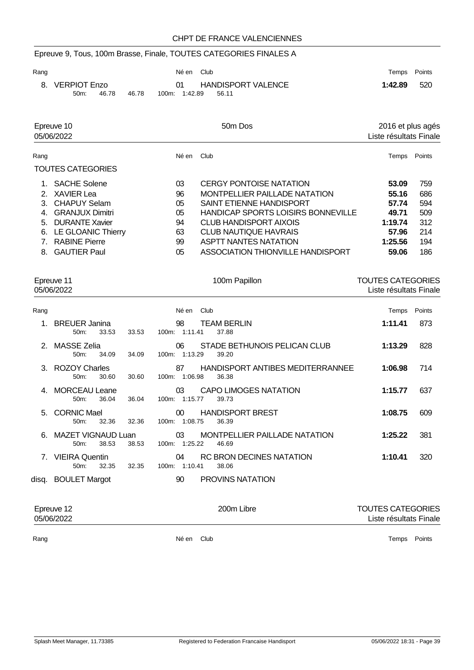# Epreuve 9, Tous, 100m Brasse, Finale, TOUTES CATEGORIES FINALES A

| Rang |                 |       |       | Né en Club    |                           |         | Temps Points |
|------|-----------------|-------|-------|---------------|---------------------------|---------|--------------|
|      | 8. VERPIOT Enzo |       |       | 01            | <b>HANDISPORT VALENCE</b> | 1:42.89 | 520          |
|      | $50m$ :         | 46.78 | 46.78 | 100m: 1:42.89 | - 56.11                   |         |              |

| Epreuve 10 |                          |       | 50 <sub>m</sub> Dos                | 2016 et plus agés      |        |  |  |
|------------|--------------------------|-------|------------------------------------|------------------------|--------|--|--|
|            | 05/06/2022               |       |                                    | Liste résultats Finale |        |  |  |
| Rang       |                          | Né en | Club                               | Temps                  | Points |  |  |
|            | <b>TOUTES CATEGORIES</b> |       |                                    |                        |        |  |  |
|            | 1. SACHE Solene          | 03    | <b>CERGY PONTOISE NATATION</b>     | 53.09                  | 759    |  |  |
|            | 2. XAVIER Lea            | 96    | MONTPELLIER PAILLADE NATATION      | 55.16                  | 686    |  |  |
|            | 3. CHAPUY Selam          | 05    | SAINT ETIENNE HANDISPORT           | 57.74                  | 594    |  |  |
| 4.         | <b>GRANJUX Dimitri</b>   | 05    | HANDICAP SPORTS LOISIRS BONNEVILLE | 49.71                  | 509    |  |  |
| 5.         | <b>DURANTE Xavier</b>    | 94    | CLUB HANDISPORT AIXOIS             | 1:19.74                | 312    |  |  |
|            | 6. LE GLOANIC Thierry    | 63    | CLUB NAUTIQUE HAVRAIS              | 57.96                  | 214    |  |  |
|            | 7. RABINE Pierre         | 99    | ASPTT NANTES NATATION              | 1:25.56                | 194    |  |  |
|            | 8. GAUTIER Paul          | 05    | ASSOCIATION THIONVILLE HANDISPORT  | 59.06                  | 186    |  |  |

| Epreuve 11<br>05/06/2022 |                                          |       | 100m Papillon                                                    | <b>TOUTES CATEGORIES</b><br>Liste résultats Finale |        |  |  |
|--------------------------|------------------------------------------|-------|------------------------------------------------------------------|----------------------------------------------------|--------|--|--|
| Rang                     |                                          |       | Club<br>Né en                                                    | Temps                                              | Points |  |  |
| 1                        | <b>BREUER Janina</b><br>$50m$ :<br>33.53 | 33.53 | 98<br><b>TEAM BERLIN</b><br>100m: 1:11.41<br>37.88               | 1:11.41                                            | 873    |  |  |
|                          | 2. MASSE Zelia<br>$50m$ :<br>34.09       | 34.09 | STADE BETHUNOIS PELICAN CLUB<br>06.<br>100m: 1:13.29<br>39.20    | 1:13.29                                            | 828    |  |  |
|                          | 3. ROZOY Charles<br>30.60<br>$50m$ :     | 30.60 | HANDISPORT ANTIBES MEDITERRANNEE<br>87<br>100m: 1:06.98<br>36.38 | 1:06.98                                            | 714    |  |  |
|                          | MORCEAU Leane<br>36.04<br>50m            | 36.04 | 03<br><b>CAPO LIMOGES NATATION</b><br>100m: 1:15.77<br>39.73     | 1:15.77                                            | 637    |  |  |
| 5.                       | <b>CORNIC Mael</b><br>$50m$ :<br>32.36   | 32.36 | <b>HANDISPORT BREST</b><br>00<br>100m: 1:08.75<br>36.39          | 1:08.75                                            | 609    |  |  |
|                          | MAZET VIGNAUD Luan<br>38.53<br>$50m$ :   | 38.53 | 03<br>MONTPELLIER PAILLADE NATATION<br>100m: 1:25.22<br>46.69    | 1:25.22                                            | 381    |  |  |
|                          | 7. VIEIRA Quentin<br>32.35<br>$50m$ :    | 32.35 | 04<br>RC BRON DECINES NATATION<br>100m: 1:10.41<br>38.06         | 1:10.41                                            | 320    |  |  |
|                          | disq. BOULET Margot                      |       | <b>PROVINS NATATION</b><br>90                                    |                                                    |        |  |  |

| Epreuve 12<br>05/06/2022 |       | 200m Libre | <b>TOUTES CATEGORIES</b><br>Liste résultats Finale |
|--------------------------|-------|------------|----------------------------------------------------|
| Rang                     | Né en | Club       | Points<br>Temps                                    |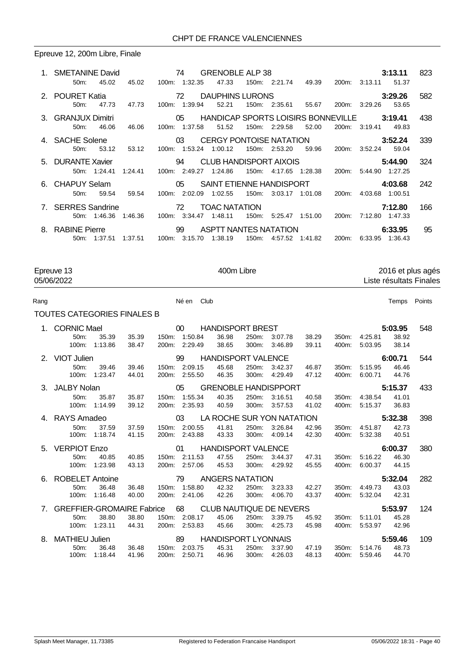### Epreuve 12, 200m Libre, Finale

| 1. SMETANINE David<br>45.02<br>$50m$ : | 74 GRENOBLE ALP 38<br>45.02 100m: 1:32.35                                     |                                          | 47.33                                          |                       |                 | 150m: 2:21.74  49.39  200m: 3:13.11  51.37     | 3:13.11                    | 823 |
|----------------------------------------|-------------------------------------------------------------------------------|------------------------------------------|------------------------------------------------|-----------------------|-----------------|------------------------------------------------|----------------------------|-----|
| 2. POURET Katia<br>47.73<br>50m        | <b>72 DAUPHINS LURONS</b><br>47.73                                            | 100m: 1:39.94                            | 52.21                                          | 150m: 2:35.61 55.67   |                 | 200m: 3:29.26                                  | 3:29.26<br>53.65           | 582 |
| 3. GRANJUX Dimitri<br>46.06<br>$50m$ : | 46.06                                                                         | 100m: 1:37.58                            | 05 HANDICAP SPORTS LOISIRS BONNEVILLE<br>51.52 | 150m: 2:29.58         | 52.00           | 200m: 3:19.41                                  | 3:19.41<br>49.83           | 438 |
| 4. SACHE Solene<br>$50m$ :<br>53.12    | 53.12                                                                         | 03 <sup>7</sup><br>100m: 1:53.24 1:00.12 | CERGY PONTOISE NATATION 3:52.24                | 150m: 2:53.20         | 59.96           | 200m: 3:52.24 59.04                            |                            | 339 |
| 5. DURANTE Xavier<br>50m: 1:24.41      | $\sim$ 0.4 $\sim$ 0.4 $\sim$<br>1:24.41 100m: 2:49.27 1:24.86                 |                                          | CLUB HANDISPORT AIXOIS                         | 150m: 4:17.65 1:28.38 |                 | 200m: 5:44.90 1:27.25                          | 5:44.90                    | 324 |
| 6. CHAPUY Selam<br>59.54<br>50m        | 05 SAINT ETIENNE HANDISPORT<br>59.54                                          | 100m: 2:02.09 1:02.55                    |                                                | 150m:                 | 3:03.17 1:01.08 | 200m:                                          | 4:03.68<br>4:03.68 1:00.51 | 242 |
| 7. SERRES Sandrine                     | 72<br>50 m: 1:46.36 1:46.36 100 m: 3:34.47 1:48.11                            |                                          | <b>TOAC NATATION</b>                           |                       |                 | 150m: 5:25.47  1:51.00  200m: 7:12.80  1:47.33 | 7:12.80                    | 166 |
| 8. RABINE Pierre<br>$50m$ :<br>1:37.51 | $\sim$ 0.99 $\sim$ 0.99 $\sim$ 0.99 $\sim$<br>1:37.51  100m: 3:15.70  1:38.19 |                                          | ASPTT NANTES NATATION                          |                       |                 | 150m: 4.57.52 1.41.82 200m: 6.33.95 1.36.43    | 6:33.95                    | 95  |

Epreuve 13 100m Libre 13 2016 et plus agés<br>C5/06/2022 2016 et plus agés Liste résultats Finales

#### Rang **Né en Club** Né en Club **Né en Club Temps** Points

### TOUTES CATEGORIES FINALES B

| 1. CORNIC Mael                                          |       |               | 00            | <b>HANDISPORT BREST</b>     |       |         |       |       |               | 5:03.95 | 548 |
|---------------------------------------------------------|-------|---------------|---------------|-----------------------------|-------|---------|-------|-------|---------------|---------|-----|
| 35.39<br>50 <sub>m</sub> :                              | 35.39 |               | 150m: 1:50.84 | 36.98                       | 250m: | 3:07.78 | 38.29 | 350m: | 4:25.81       | 38.92   |     |
| 1:13.86<br>100m:                                        | 38.47 |               | 200m: 2:29.49 | 38.65                       | 300m: | 3:46.89 | 39.11 | 400m: | 5:03.95       | 38.14   |     |
| 2. VIOT Julien                                          |       |               | 99            | <b>HANDISPORT VALENCE</b>   |       |         |       |       |               | 6:00.71 | 544 |
| 50m:<br>39.46                                           | 39.46 |               | 150m: 2:09.15 | 45.68                       | 250m: | 3:42.37 | 46.87 | 350m: | 5:15.95       | 46.46   |     |
| 1:23.47<br>100m:                                        | 44.01 |               | 200m: 2:55.50 | 46.35                       | 300m: | 4:29.49 | 47.12 | 400m: | 6:00.71       | 44.76   |     |
| 3. JALBY Nolan                                          |       |               | 05            | <b>GRENOBLE HANDISPPORT</b> |       |         |       |       |               | 5:15.37 | 433 |
| 35.87<br>50 <sub>m</sub> :                              | 35.87 |               | 150m: 1:55.34 | 40.35                       | 250m: | 3:16.51 | 40.58 |       | 350m: 4:38.54 | 41.01   |     |
| 100m:<br>1:14.99                                        | 39.12 |               | 200m: 2:35.93 | 40.59                       | 300m: | 3:57.53 | 41.02 | 400m: | 5:15.37       | 36.83   |     |
| 4. RAYS Amadeo                                          |       | $\sim$ 03     |               | LA ROCHE SUR YON NATATION   |       |         |       |       |               | 5:32.38 | 398 |
| 37.59<br>50m                                            | 37.59 | 150m: 2:00.55 |               | 41.81                       | 250m: | 3:26.84 | 42.96 | 350m: | 4:51.87       | 42.73   |     |
| 100m: 1:18.74                                           | 41.15 |               | 200m: 2:43.88 | 43.33                       | 300m: | 4:09.14 | 42.30 | 400m: | 5:32.38       | 40.51   |     |
| 5. VERPIOT Enzo                                         |       | $\sim$ 01     |               | <b>HANDISPORT VALENCE</b>   |       |         |       |       |               | 6:00.37 | 380 |
|                                                         |       |               | 150m: 2:11.53 | 47.55                       | 250m: | 3:44.37 | 47.31 | 350m: | 5:16.22       | 46.30   |     |
| 40.85<br>50 <sub>m</sub> :                              | 40.85 |               |               |                             |       |         |       |       |               |         |     |
| 1:23.98<br>100m:                                        | 43.13 |               | 200m: 2:57.06 | 45.53                       | 300m: | 4:29.92 | 45.55 | 400m: | 6:00.37       | 44.15   |     |
| 6. ROBELET Antoine                                      |       |               |               | <b>ANGERS NATATION</b>      |       |         |       |       |               | 5:32.04 | 282 |
| 36.48<br>$50m$ :                                        | 36.48 |               | 150m: 1:58.80 | 42.32                       | 250m: | 3:23.33 | 42.27 | 350m: | 4:49.73       | 43.03   |     |
| 1:16.48<br>100m:                                        | 40.00 |               | 200m: 2:41.06 | 42.26                       | 300m: | 4:06.70 | 43.37 | 400m: | 5:32.04       | 42.31   |     |
| 7. GREFFIER-GROMAIRE Fabrice 68 CLUB NAUTIQUE DE NEVERS |       |               |               |                             |       |         |       |       |               | 5:53.97 | 124 |
| 38.80<br>50 <sub>m</sub> :                              | 38.80 |               | 150m: 2:08.17 | 45.06                       | 250m: | 3:39.75 | 45.92 | 350m: | 5:11.01       | 45.28   |     |
| 1:23.11<br>100m:                                        | 44.31 |               | 200m: 2:53.83 | 45.66                       | 300m: | 4:25.73 | 45.98 | 400m: | 5:53.97       | 42.96   |     |
| 8. MATHIEU Julien                                       |       |               | 89            | <b>HANDISPORT LYONNAIS</b>  |       |         |       |       |               | 5:59.46 | 109 |
| $50m$ :<br>36.48                                        | 36.48 | 150m: 2:03.75 |               | 45.31                       | 250m: | 3:37.90 | 47.19 | 350m: | 5:14.76       | 48.73   |     |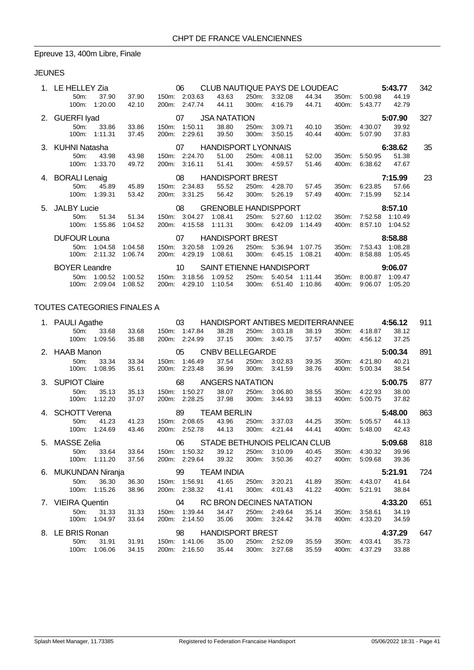### Epreuve 13, 400m Libre, Finale

### JEUNES

|    | LE HELLEY Zia                                     |              |         |       | 06              | CLUB NAUTIQUE PAYS DE LOUDEAC                  |       |         |         |       |                       | 5:43.77 | 342 |
|----|---------------------------------------------------|--------------|---------|-------|-----------------|------------------------------------------------|-------|---------|---------|-------|-----------------------|---------|-----|
|    | 50m:                                              | 37.90        | 37.90   |       | 150m: 2:03.63   | 43.63                                          | 250m: | 3:32.08 | 44.34   | 350m: | 5:00.98               | 44.19   |     |
|    | 100m:                                             | 1:20.00      | 42.10   |       | 200m: 2:47.74   | 44.11                                          | 300m: | 4:16.79 | 44.71   | 400m: | 5:43.77               | 42.79   |     |
|    | 2. GUERFI Iyad                                    |              |         |       | 07              | <b>JSA NATATION</b>                            |       |         |         |       |                       | 5:07.90 | 327 |
|    | 50m:                                              | 33.86        | 33.86   | 150m: | 1:50.11         | 38.80                                          | 250m: | 3:09.71 | 40.10   | 350m: | 4:30.07               | 39.92   |     |
|    | $100m$ :                                          | 1:11.31      | 37.45   | 200m: | 2:29.61         | 39.50                                          | 300m: | 3:50.15 | 40.44   | 400m: | 5:07.90               | 37.83   |     |
|    | 3. KUHNI Natasha                                  |              |         |       |                 | 07 HANDISPORT LYONNAIS                         |       |         |         |       |                       | 6:38.62 | 35  |
|    | 50m:                                              | 43.98        | 43.98   |       | 150m: 2:24.70   | 51.00                                          | 250m: | 4:08.11 | 52.00   | 350m: | 5:50.95               | 51.38   |     |
|    | 100m:                                             | 1:33.70      | 49.72   |       | 200m: 3:16.11   | 51.41                                          | 300m: | 4:59.57 | 51.46   | 400m: | 6:38.62               | 47.67   |     |
|    | <b>HANDISPORT BREST</b><br>4. BORALI Lenaig<br>08 |              |         |       |                 |                                                |       |         | 7:15.99 | 23    |                       |         |     |
|    | 50m:                                              | 45.89        | 45.89   |       | 150m: 2:34.83   | 55.52                                          | 250m: | 4:28.70 | 57.45   | 350m: | 6:23.85               | 57.66   |     |
|    | $100m$ :                                          | 1:39.31      | 53.42   |       | 200m: 3:31.25   | 56.42                                          | 300m: | 5:26.19 | 57.49   | 400m: | 7:15.99               | 52.14   |     |
| 5. | <b>JALBY Lucie</b>                                |              |         |       | 08              | <b>GRENOBLE HANDISPPORT</b>                    |       |         |         |       |                       | 8:57.10 |     |
|    | 50m:                                              | 51.34        | 51.34   | 150m: | 3:04.27         | 1:08.41                                        | 250m: | 5:27.60 | 1:12.02 | 350m: | 7:52.58               | 1:10.49 |     |
|    | $100m$ :                                          | 1:55.86      | 1:04.52 | 200m: | 4:15.58         | 1:11.31                                        | 300m: | 6:42.09 | 1:14.49 | 400m: | 8:57.10               | 1:04.52 |     |
|    | <b>DUFOUR Louna</b>                               |              |         | 07    |                 | <b>HANDISPORT BREST</b>                        |       |         |         |       |                       | 8:58.88 |     |
|    | $50m$ :                                           | 1:04.58      | 1:04.58 | 150m: | 3:20.58         | 1:09.26                                        | 250m: | 5:36.94 | 1:07.75 | 350m: | 7:53.43               | 1:08.28 |     |
|    | $100m$ :                                          | 2:11.32      | 1:06.74 | 200m: | 4:29.19         | 1:08.61                                        | 300m: | 6:45.15 | 1:08.21 | 400m: | 8:58.88               | 1:05.45 |     |
|    | <b>BOYER Leandre</b>                              |              |         |       | 10 <sup>°</sup> | SAINT ETIENNE HANDISPORT                       |       |         |         |       |                       | 9:06.07 |     |
|    |                                                   | 50m: 1:00.52 | 1:00.52 |       |                 | 150m: 3:18.56  1:09.52  250m: 5:40.54  1:11.44 |       |         |         |       | 350m: 8:00.87 1:09.47 |         |     |

100m: 2:09.04 1:08.52 200m: 4:29.10 1:10.54 300m: 6:51.40 1:10.86 400m: 9:06.07 1:05.20

### TOUTES CATEGORIES FINALES A

| 1. PAULI Agathe     |         |       |       | 03            | HANDISPORT ANTIBES MEDITERRANNEE |       |         |       |       |         | 4:56.12 | 911 |
|---------------------|---------|-------|-------|---------------|----------------------------------|-------|---------|-------|-------|---------|---------|-----|
| 50 <sub>m</sub> :   | 33.68   | 33.68 |       | 150m: 1:47.84 | 38.28                            | 250m: | 3:03.18 | 38.19 | 350m: | 4:18.87 | 38.12   |     |
| 100m:               | 1:09.56 | 35.88 |       | 200m: 2:24.99 | 37.15                            | 300m: | 3:40.75 | 37.57 | 400m: | 4:56.12 | 37.25   |     |
| 2. HAAB Manon       |         |       |       | 05            | <b>CNBV BELLEGARDE</b>           |       |         |       |       |         | 5:00.34 | 891 |
| 50 <sub>m</sub> :   | 33.34   | 33.34 | 150m: | 1:46.49       | 37.54                            | 250m: | 3:02.83 | 39.35 | 350m: | 4:21.80 | 40.21   |     |
| 100m:               | 1:08.95 | 35.61 |       | 200m: 2:23.48 | 36.99                            | 300m: | 3:41.59 | 38.76 | 400m: | 5:00.34 | 38.54   |     |
| 3. SUPIOT Claire    |         |       |       | 68            | <b>ANGERS NATATION</b>           |       |         |       |       |         | 5:00.75 | 877 |
| 50m:                | 35.13   | 35.13 |       | 150m: 1:50.27 | 38.07                            | 250m: | 3:06.80 | 38.55 | 350m: | 4:22.93 | 38.00   |     |
| 100m:               | 1:12.20 | 37.07 |       | 200m: 2:28.25 | 37.98                            | 300m: | 3:44.93 | 38.13 | 400m: | 5:00.75 | 37.82   |     |
| 4. SCHOTT Verena    |         |       |       |               | <b>TEAM BERLIN</b>               |       |         |       |       |         | 5:48.00 | 863 |
| 50m:                | 41.23   | 41.23 |       | 150m: 2:08.65 | 43.96                            | 250m: | 3:37.03 | 44.25 | 350m: | 5:05.57 | 44.13   |     |
| 100m:               | 1:24.69 | 43.46 |       | 200m: 2:52.78 | 44.13                            | 300m: | 4:21.44 | 44.41 | 400m: | 5:48.00 | 42.43   |     |
| 5. MASSE Zelia      |         |       |       | 06            | STADE BETHUNOIS PELICAN CLUB     |       |         |       |       |         | 5:09.68 | 818 |
| 50m:                | 33.64   | 33.64 |       | 150m: 1:50.32 | 39.12                            | 250m: | 3:10.09 | 40.45 | 350m: | 4:30.32 | 39.96   |     |
| 100m:               | 1:11.20 | 37.56 |       | 200m: 2:29.64 | 39.32                            | 300m: | 3:50.36 | 40.27 | 400m: | 5:09.68 | 39.36   |     |
| 6. MUKUNDAN Niranja |         |       |       | 99            | <b>TEAM INDIA</b>                |       |         |       |       |         | 5:21.91 | 724 |
| 50m:                | 36.30   | 36.30 | 150m: | 1:56.91       | 41.65                            | 250m: | 3:20.21 | 41.89 | 350m: | 4:43.07 | 41.64   |     |
| $100m$ :            | 1:15.26 | 38.96 |       | 200m: 2:38.32 | 41.41                            | 300m: | 4:01.43 | 41.22 | 400m: | 5:21.91 | 38.84   |     |
|                     |         |       |       |               |                                  |       |         |       |       |         |         |     |
| 7. VIEIRA Quentin   |         |       |       | 04            | <b>RC BRON DECINES NATATION</b>  |       |         |       |       |         | 4:33.20 | 651 |
| 50 <sub>m</sub> :   | 31.33   | 31.33 |       | 150m: 1:39.44 | 34.47                            | 250m: | 2:49.64 | 35.14 | 350m: | 3:58.61 | 34.19   |     |
| 100m:               | 1:04.97 | 33.64 | 200m: | 2:14.50       | 35.06                            | 300m: | 3:24.42 | 34.78 | 400m: | 4:33.20 | 34.59   |     |
| 8. LE BRIS Ronan    |         |       |       | 98            | <b>HANDISPORT BREST</b>          |       |         |       |       |         | 4:37.29 | 647 |
| 50m:                | 31.91   | 31.91 |       | 150m: 1:41.06 | 35.00                            | 250m: | 2:52.09 | 35.59 | 350m: | 4:03.41 | 35.73   |     |